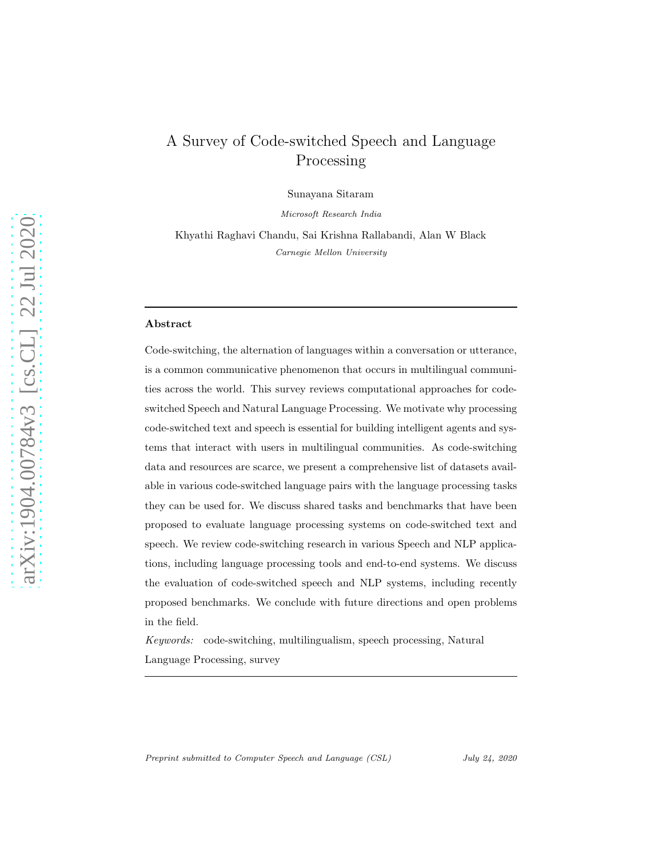# A Survey of Code-switched Speech and Language Processing

Sunayana Sitaram

Microsoft Research India

Khyathi Raghavi Chandu, Sai Krishna Rallabandi, Alan W Black Carnegie Mellon University

## Abstract

Code-switching, the alternation of languages within a conversation or utterance, is a common communicative phenomenon that occurs in multilingual communities across the world. This survey reviews computational approaches for codeswitched Speech and Natural Language Processing. We motivate why processing code-switched text and speech is essential for building intelligent agents and systems that interact with users in multilingual communities. As code-switching data and resources are scarce, we present a comprehensive list of datasets available in various code-switched language pairs with the language processing tasks they can be used for. We discuss shared tasks and benchmarks that have been proposed to evaluate language processing systems on code-switched text and speech. We review code-switching research in various Speech and NLP applications, including language processing tools and end-to-end systems. We discuss the evaluation of code-switched speech and NLP systems, including recently proposed benchmarks. We conclude with future directions and open problems in the field.

*Keywords:* code-switching, multilingualism, speech processing, Natural Language Processing, survey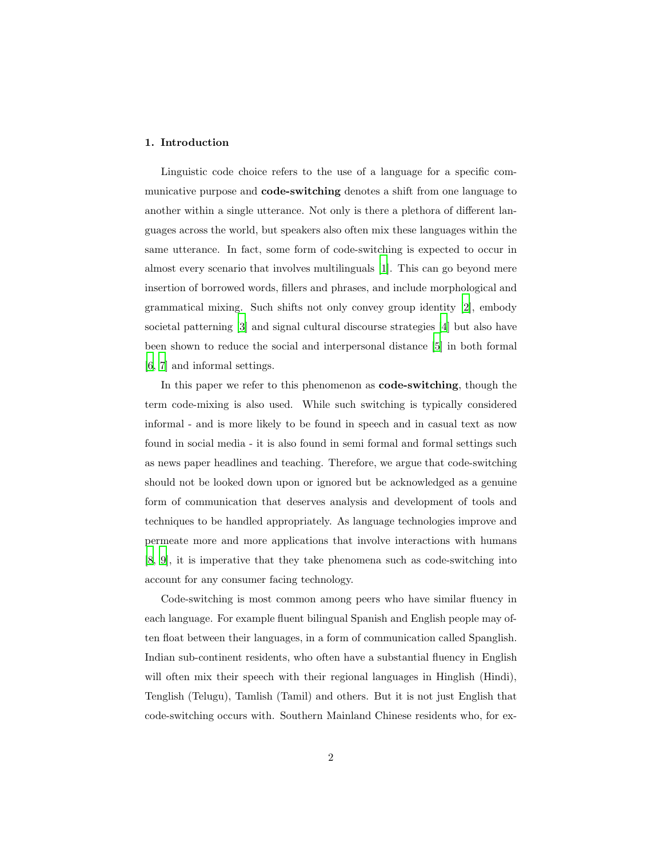## 1. Introduction

Linguistic code choice refers to the use of a language for a specific communicative purpose and code-switching denotes a shift from one language to another within a single utterance. Not only is there a plethora of different languages across the world, but speakers also often mix these languages within the same utterance. In fact, some form of code-switching is expected to occur in almost every scenario that involves multilinguals [\[1](#page-39-0)]. This can go beyond mere insertion of borrowed words, fillers and phrases, and include morphological and grammatical mixing. Such shifts not only convey group identity [\[2](#page-39-1)], embody societal patterning [\[3](#page-39-2)] and signal cultural discourse strategies [\[4](#page-39-3)] but also have been shown to reduce the social and interpersonal distance [\[5\]](#page-39-4) in both formal [\[6,](#page-40-0) [7\]](#page-40-1) and informal settings.

In this paper we refer to this phenomenon as **code-switching**, though the term code-mixing is also used. While such switching is typically considered informal - and is more likely to be found in speech and in casual text as now found in social media - it is also found in semi formal and formal settings such as news paper headlines and teaching. Therefore, we argue that code-switching should not be looked down upon or ignored but be acknowledged as a genuine form of communication that deserves analysis and development of tools and techniques to be handled appropriately. As language technologies improve and permeate more and more applications that involve interactions with humans [\[8,](#page-40-2) [9](#page-40-3)], it is imperative that they take phenomena such as code-switching into account for any consumer facing technology.

Code-switching is most common among peers who have similar fluency in each language. For example fluent bilingual Spanish and English people may often float between their languages, in a form of communication called Spanglish. Indian sub-continent residents, who often have a substantial fluency in English will often mix their speech with their regional languages in Hinglish (Hindi), Tenglish (Telugu), Tamlish (Tamil) and others. But it is not just English that code-switching occurs with. Southern Mainland Chinese residents who, for ex-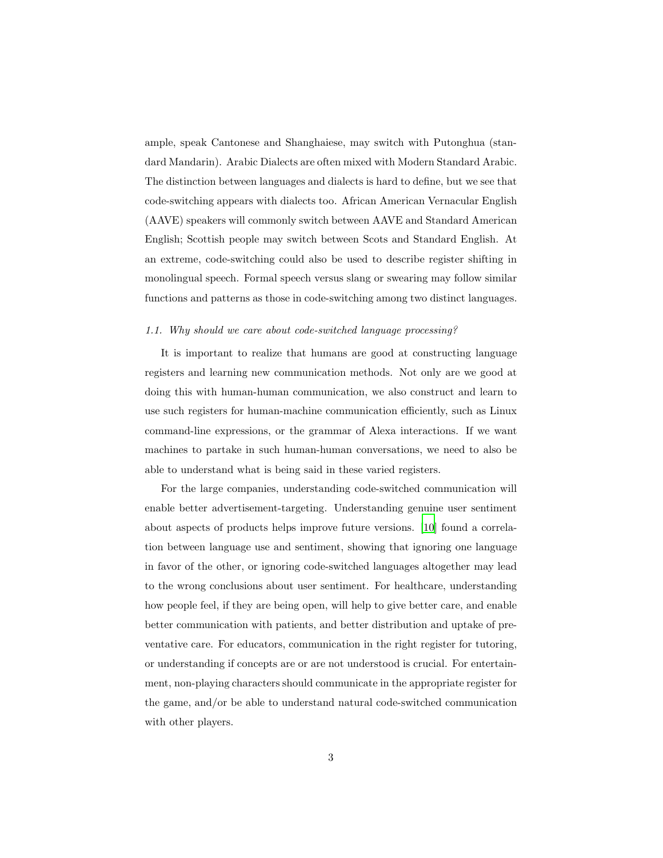ample, speak Cantonese and Shanghaiese, may switch with Putonghua (standard Mandarin). Arabic Dialects are often mixed with Modern Standard Arabic. The distinction between languages and dialects is hard to define, but we see that code-switching appears with dialects too. African American Vernacular English (AAVE) speakers will commonly switch between AAVE and Standard American English; Scottish people may switch between Scots and Standard English. At an extreme, code-switching could also be used to describe register shifting in monolingual speech. Formal speech versus slang or swearing may follow similar functions and patterns as those in code-switching among two distinct languages.

#### *1.1. Why should we care about code-switched language processing?*

It is important to realize that humans are good at constructing language registers and learning new communication methods. Not only are we good at doing this with human-human communication, we also construct and learn to use such registers for human-machine communication efficiently, such as Linux command-line expressions, or the grammar of Alexa interactions. If we want machines to partake in such human-human conversations, we need to also be able to understand what is being said in these varied registers.

For the large companies, understanding code-switched communication will enable better advertisement-targeting. Understanding genuine user sentiment about aspects of products helps improve future versions. [\[10](#page-40-4)] found a correlation between language use and sentiment, showing that ignoring one language in favor of the other, or ignoring code-switched languages altogether may lead to the wrong conclusions about user sentiment. For healthcare, understanding how people feel, if they are being open, will help to give better care, and enable better communication with patients, and better distribution and uptake of preventative care. For educators, communication in the right register for tutoring, or understanding if concepts are or are not understood is crucial. For entertainment, non-playing characters should communicate in the appropriate register for the game, and/or be able to understand natural code-switched communication with other players.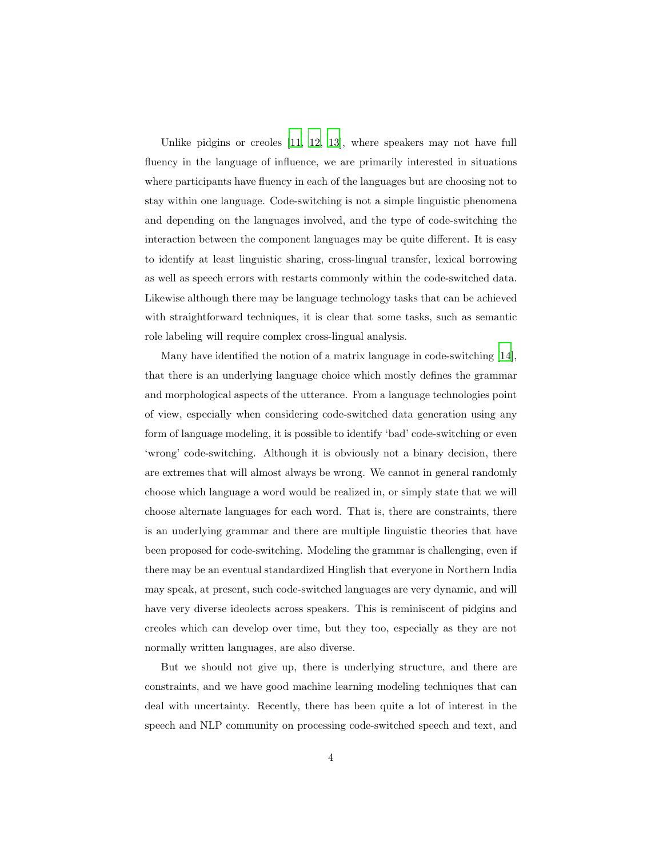Unlike pidgins or creoles [\[11](#page-40-5), [12,](#page-40-6) [13\]](#page-40-7), where speakers may not have full fluency in the language of influence, we are primarily interested in situations where participants have fluency in each of the languages but are choosing not to stay within one language. Code-switching is not a simple linguistic phenomena and depending on the languages involved, and the type of code-switching the interaction between the component languages may be quite different. It is easy to identify at least linguistic sharing, cross-lingual transfer, lexical borrowing as well as speech errors with restarts commonly within the code-switched data. Likewise although there may be language technology tasks that can be achieved with straightforward techniques, it is clear that some tasks, such as semantic role labeling will require complex cross-lingual analysis.

Many have identified the notion of a matrix language in code-switching [\[14\]](#page-40-8), that there is an underlying language choice which mostly defines the grammar and morphological aspects of the utterance. From a language technologies point of view, especially when considering code-switched data generation using any form of language modeling, it is possible to identify 'bad' code-switching or even 'wrong' code-switching. Although it is obviously not a binary decision, there are extremes that will almost always be wrong. We cannot in general randomly choose which language a word would be realized in, or simply state that we will choose alternate languages for each word. That is, there are constraints, there is an underlying grammar and there are multiple linguistic theories that have been proposed for code-switching. Modeling the grammar is challenging, even if there may be an eventual standardized Hinglish that everyone in Northern India may speak, at present, such code-switched languages are very dynamic, and will have very diverse ideolects across speakers. This is reminiscent of pidgins and creoles which can develop over time, but they too, especially as they are not normally written languages, are also diverse.

But we should not give up, there is underlying structure, and there are constraints, and we have good machine learning modeling techniques that can deal with uncertainty. Recently, there has been quite a lot of interest in the speech and NLP community on processing code-switched speech and text, and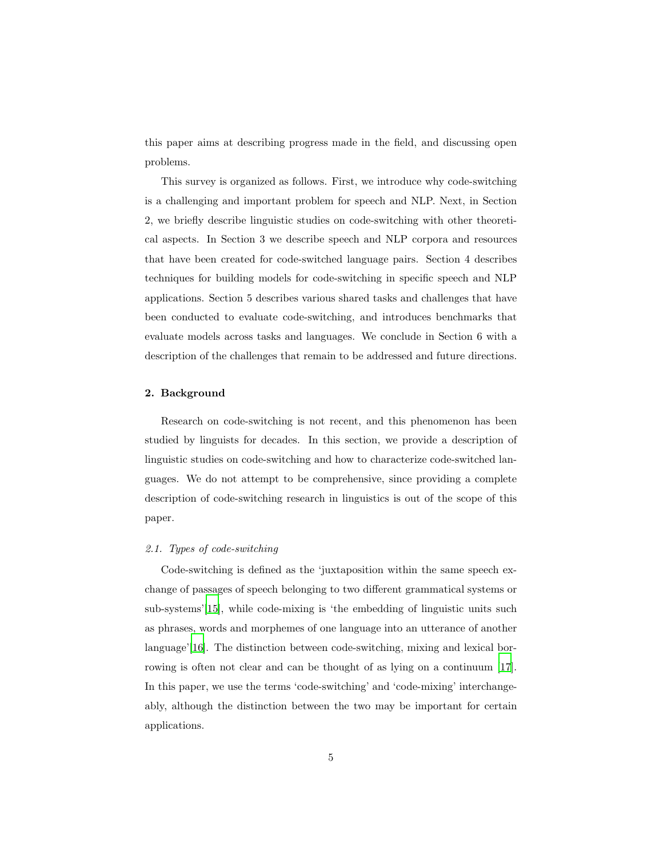this paper aims at describing progress made in the field, and discussing open problems.

This survey is organized as follows. First, we introduce why code-switching is a challenging and important problem for speech and NLP. Next, in Section 2, we briefly describe linguistic studies on code-switching with other theoretical aspects. In Section 3 we describe speech and NLP corpora and resources that have been created for code-switched language pairs. Section 4 describes techniques for building models for code-switching in specific speech and NLP applications. Section 5 describes various shared tasks and challenges that have been conducted to evaluate code-switching, and introduces benchmarks that evaluate models across tasks and languages. We conclude in Section 6 with a description of the challenges that remain to be addressed and future directions.

## 2. Background

Research on code-switching is not recent, and this phenomenon has been studied by linguists for decades. In this section, we provide a description of linguistic studies on code-switching and how to characterize code-switched languages. We do not attempt to be comprehensive, since providing a complete description of code-switching research in linguistics is out of the scope of this paper.

## *2.1. Types of code-switching*

Code-switching is defined as the 'juxtaposition within the same speech exchange of passages of speech belonging to two different grammatical systems or sub-systems'[\[15](#page-40-9)], while code-mixing is 'the embedding of linguistic units such as phrases, words and morphemes of one language into an utterance of another language'[\[16\]](#page-40-10). The distinction between code-switching, mixing and lexical borrowing is often not clear and can be thought of as lying on a continuum [\[17\]](#page-41-0). In this paper, we use the terms 'code-switching' and 'code-mixing' interchangeably, although the distinction between the two may be important for certain applications.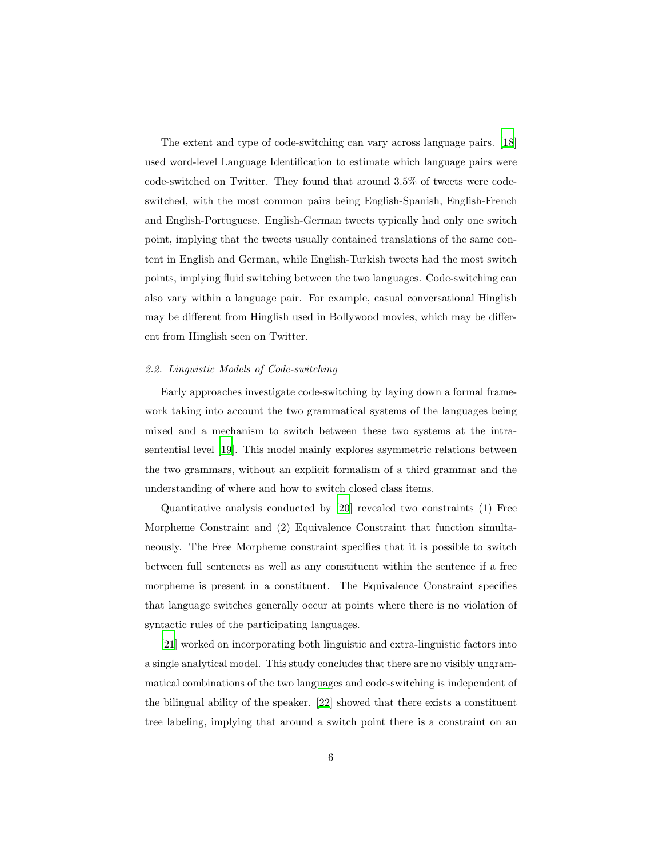The extent and type of code-switching can vary across language pairs. [\[18\]](#page-41-1) used word-level Language Identification to estimate which language pairs were code-switched on Twitter. They found that around 3.5% of tweets were codeswitched, with the most common pairs being English-Spanish, English-French and English-Portuguese. English-German tweets typically had only one switch point, implying that the tweets usually contained translations of the same content in English and German, while English-Turkish tweets had the most switch points, implying fluid switching between the two languages. Code-switching can also vary within a language pair. For example, casual conversational Hinglish may be different from Hinglish used in Bollywood movies, which may be different from Hinglish seen on Twitter.

## *2.2. Linguistic Models of Code-switching*

Early approaches investigate code-switching by laying down a formal framework taking into account the two grammatical systems of the languages being mixed and a mechanism to switch between these two systems at the intrasentential level [\[19](#page-41-2)]. This model mainly explores asymmetric relations between the two grammars, without an explicit formalism of a third grammar and the understanding of where and how to switch closed class items.

Quantitative analysis conducted by [\[20](#page-41-3)] revealed two constraints (1) Free Morpheme Constraint and (2) Equivalence Constraint that function simultaneously. The Free Morpheme constraint specifies that it is possible to switch between full sentences as well as any constituent within the sentence if a free morpheme is present in a constituent. The Equivalence Constraint specifies that language switches generally occur at points where there is no violation of syntactic rules of the participating languages.

[\[21\]](#page-41-4) worked on incorporating both linguistic and extra-linguistic factors into a single analytical model. This study concludes that there are no visibly ungrammatical combinations of the two languages and code-switching is independent of the bilingual ability of the speaker. [\[22\]](#page-41-5) showed that there exists a constituent tree labeling, implying that around a switch point there is a constraint on an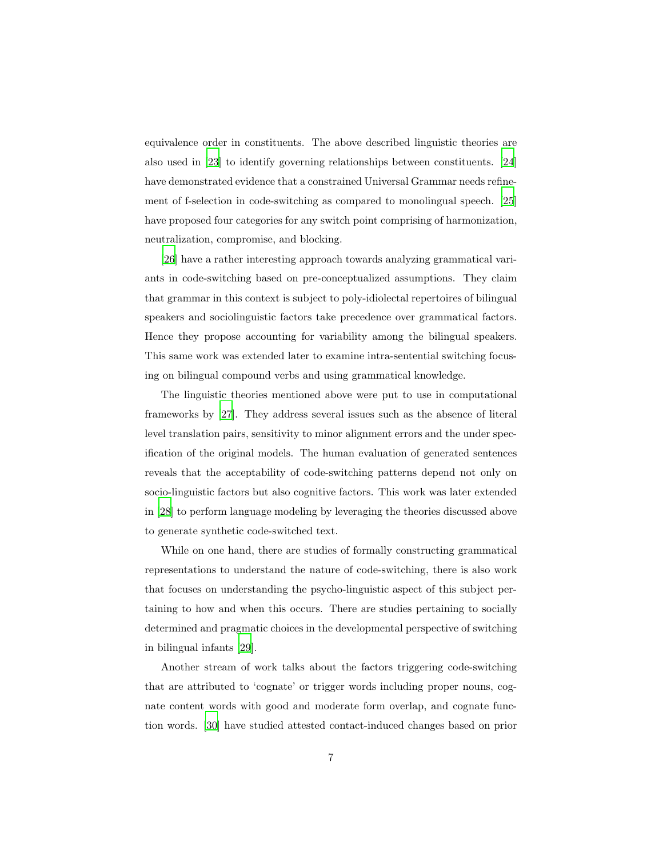equivalence order in constituents. The above described linguistic theories are also used in [\[23](#page-41-6)] to identify governing relationships between constituents. [\[24\]](#page-41-7) have demonstrated evidence that a constrained Universal Grammar needs refinement of f-selection in code-switching as compared to monolingual speech. [\[25\]](#page-41-8) have proposed four categories for any switch point comprising of harmonization, neutralization, compromise, and blocking.

[\[26\]](#page-41-9) have a rather interesting approach towards analyzing grammatical variants in code-switching based on pre-conceptualized assumptions. They claim that grammar in this context is subject to poly-idiolectal repertoires of bilingual speakers and sociolinguistic factors take precedence over grammatical factors. Hence they propose accounting for variability among the bilingual speakers. This same work was extended later to examine intra-sentential switching focusing on bilingual compound verbs and using grammatical knowledge.

The linguistic theories mentioned above were put to use in computational frameworks by [\[27](#page-42-0)]. They address several issues such as the absence of literal level translation pairs, sensitivity to minor alignment errors and the under specification of the original models. The human evaluation of generated sentences reveals that the acceptability of code-switching patterns depend not only on socio-linguistic factors but also cognitive factors. This work was later extended in [\[28\]](#page-42-1) to perform language modeling by leveraging the theories discussed above to generate synthetic code-switched text.

While on one hand, there are studies of formally constructing grammatical representations to understand the nature of code-switching, there is also work that focuses on understanding the psycho-linguistic aspect of this subject pertaining to how and when this occurs. There are studies pertaining to socially determined and pragmatic choices in the developmental perspective of switching in bilingual infants [\[29\]](#page-42-2).

Another stream of work talks about the factors triggering code-switching that are attributed to 'cognate' or trigger words including proper nouns, cognate content words with good and moderate form overlap, and cognate function words. [\[30\]](#page-42-3) have studied attested contact-induced changes based on prior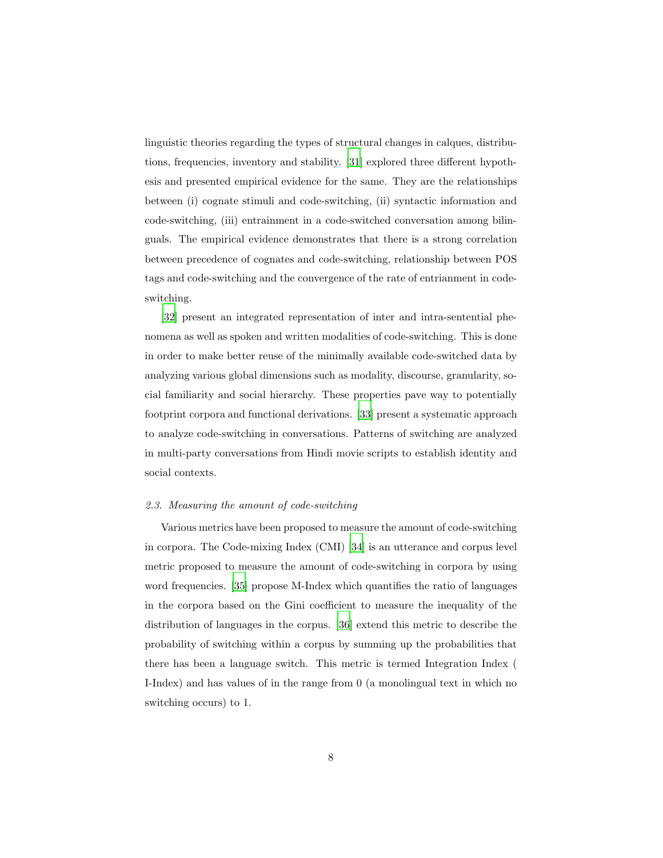linguistic theories regarding the types of structural changes in calques, distributions, frequencies, inventory and stability. [\[31\]](#page-42-4) explored three different hypothesis and presented empirical evidence for the same. They are the relationships between (i) cognate stimuli and code-switching, (ii) syntactic information and code-switching, (iii) entrainment in a code-switched conversation among bilinguals. The empirical evidence demonstrates that there is a strong correlation between precedence of cognates and code-switching, relationship between POS tags and code-switching and the convergence of the rate of entrianment in codeswitching.

[\[32\]](#page-42-5) present an integrated representation of inter and intra-sentential phenomena as well as spoken and written modalities of code-switching. This is done in order to make better reuse of the minimally available code-switched data by analyzing various global dimensions such as modality, discourse, granularity, social familiarity and social hierarchy. These properties pave way to potentially footprint corpora and functional derivations. [\[33](#page-42-6)] present a systematic approach to analyze code-switching in conversations. Patterns of switching are analyzed in multi-party conversations from Hindi movie scripts to establish identity and social contexts.

#### *2.3. Measuring the amount of code-switching*

Various metrics have been proposed to measure the amount of code-switching in corpora. The Code-mixing Index (CMI) [\[34\]](#page-42-7) is an utterance and corpus level metric proposed to measure the amount of code-switching in corpora by using word frequencies. [\[35](#page-42-8)] propose M-Index which quantifies the ratio of languages in the corpora based on the Gini coefficient to measure the inequality of the distribution of languages in the corpus. [\[36](#page-43-0)] extend this metric to describe the probability of switching within a corpus by summing up the probabilities that there has been a language switch. This metric is termed Integration Index ( I-Index) and has values of in the range from 0 (a monolingual text in which no switching occurs) to 1.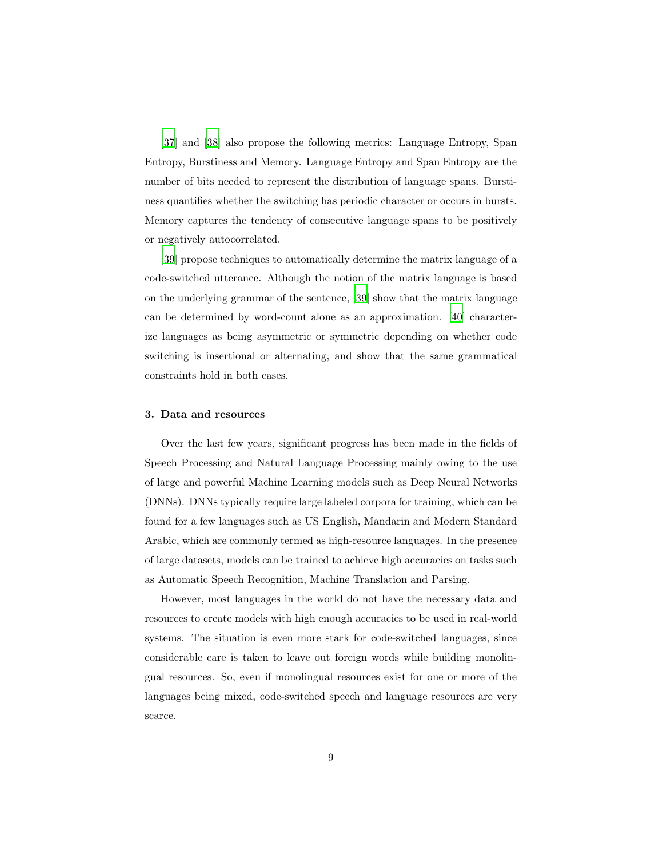[\[37\]](#page-43-1) and [\[38](#page-43-2)] also propose the following metrics: Language Entropy, Span Entropy, Burstiness and Memory. Language Entropy and Span Entropy are the number of bits needed to represent the distribution of language spans. Burstiness quantifies whether the switching has periodic character or occurs in bursts. Memory captures the tendency of consecutive language spans to be positively or negatively autocorrelated.

[\[39\]](#page-43-3) propose techniques to automatically determine the matrix language of a code-switched utterance. Although the notion of the matrix language is based on the underlying grammar of the sentence, [\[39\]](#page-43-3) show that the matrix language can be determined by word-count alone as an approximation. [\[40](#page-43-4)] characterize languages as being asymmetric or symmetric depending on whether code switching is insertional or alternating, and show that the same grammatical constraints hold in both cases.

#### 3. Data and resources

Over the last few years, significant progress has been made in the fields of Speech Processing and Natural Language Processing mainly owing to the use of large and powerful Machine Learning models such as Deep Neural Networks (DNNs). DNNs typically require large labeled corpora for training, which can be found for a few languages such as US English, Mandarin and Modern Standard Arabic, which are commonly termed as high-resource languages. In the presence of large datasets, models can be trained to achieve high accuracies on tasks such as Automatic Speech Recognition, Machine Translation and Parsing.

However, most languages in the world do not have the necessary data and resources to create models with high enough accuracies to be used in real-world systems. The situation is even more stark for code-switched languages, since considerable care is taken to leave out foreign words while building monolingual resources. So, even if monolingual resources exist for one or more of the languages being mixed, code-switched speech and language resources are very scarce.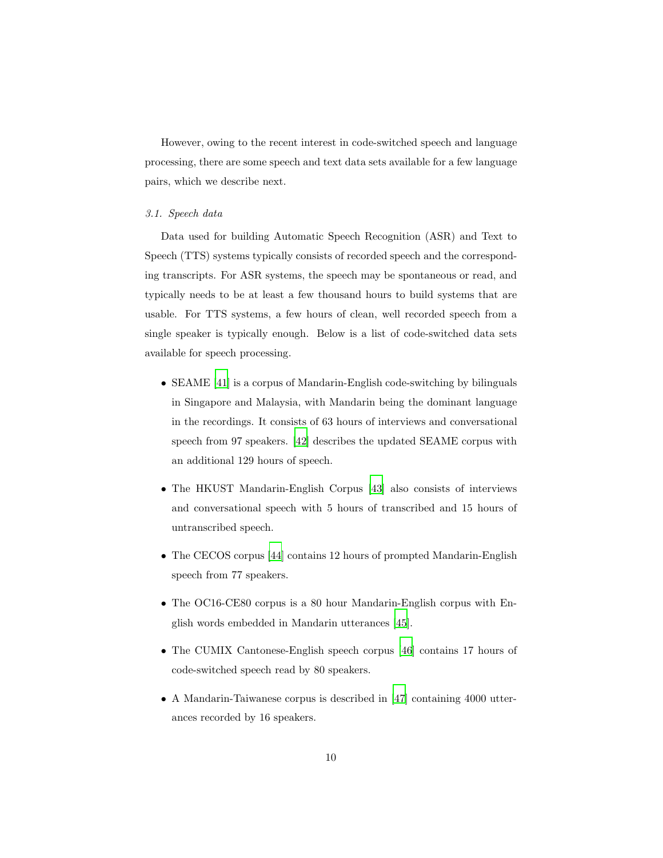However, owing to the recent interest in code-switched speech and language processing, there are some speech and text data sets available for a few language pairs, which we describe next.

#### *3.1. Speech data*

Data used for building Automatic Speech Recognition (ASR) and Text to Speech (TTS) systems typically consists of recorded speech and the corresponding transcripts. For ASR systems, the speech may be spontaneous or read, and typically needs to be at least a few thousand hours to build systems that are usable. For TTS systems, a few hours of clean, well recorded speech from a single speaker is typically enough. Below is a list of code-switched data sets available for speech processing.

- SEAME [\[41](#page-43-5)] is a corpus of Mandarin-English code-switching by bilinguals in Singapore and Malaysia, with Mandarin being the dominant language in the recordings. It consists of 63 hours of interviews and conversational speech from 97 speakers. [\[42](#page-43-6)] describes the updated SEAME corpus with an additional 129 hours of speech.
- The HKUST Mandarin-English Corpus [\[43\]](#page-43-7) also consists of interviews and conversational speech with 5 hours of transcribed and 15 hours of untranscribed speech.
- The CECOS corpus [\[44\]](#page-43-8) contains 12 hours of prompted Mandarin-English speech from 77 speakers.
- The OC16-CE80 corpus is a 80 hour Mandarin-English corpus with English words embedded in Mandarin utterances [\[45\]](#page-44-0).
- The CUMIX Cantonese-English speech corpus [\[46\]](#page-44-1) contains 17 hours of code-switched speech read by 80 speakers.
- A Mandarin-Taiwanese corpus is described in [\[47](#page-44-2)] containing 4000 utterances recorded by 16 speakers.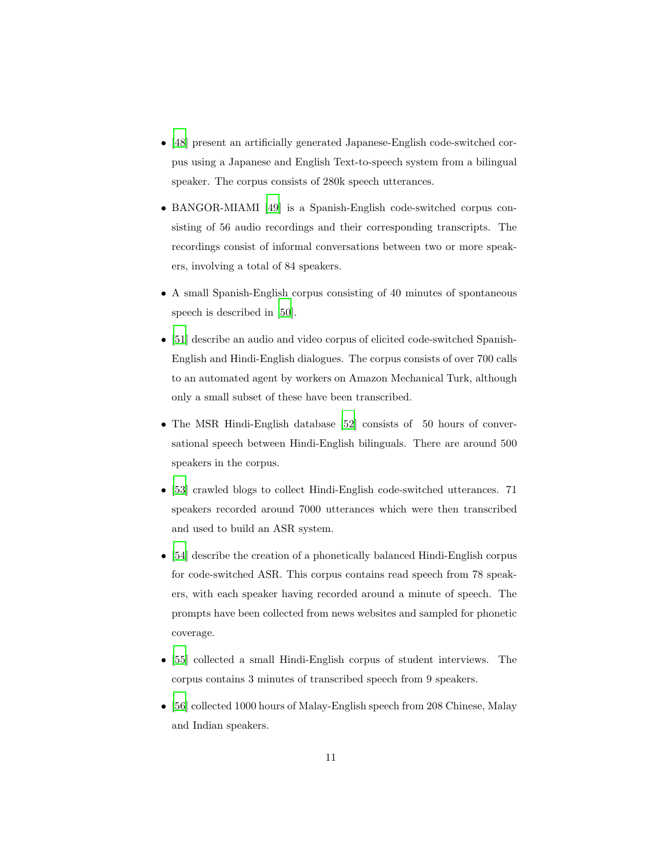- [\[48](#page-44-3)] present an artificially generated Japanese-English code-switched corpus using a Japanese and English Text-to-speech system from a bilingual speaker. The corpus consists of 280k speech utterances.
- BANGOR-MIAMI [\[49\]](#page-44-4) is a Spanish-English code-switched corpus consisting of 56 audio recordings and their corresponding transcripts. The recordings consist of informal conversations between two or more speakers, involving a total of 84 speakers.
- A small Spanish-English corpus consisting of 40 minutes of spontaneous speech is described in [\[50\]](#page-44-5).
- [\[51](#page-44-6)] describe an audio and video corpus of elicited code-switched Spanish-English and Hindi-English dialogues. The corpus consists of over 700 calls to an automated agent by workers on Amazon Mechanical Turk, although only a small subset of these have been transcribed.
- The MSR Hindi-English database [\[52](#page-44-7)] consists of 50 hours of conversational speech between Hindi-English bilinguals. There are around 500 speakers in the corpus.
- [\[53](#page-45-0)] crawled blogs to collect Hindi-English code-switched utterances. 71 speakers recorded around 7000 utterances which were then transcribed and used to build an ASR system.
- [\[54](#page-45-1)] describe the creation of a phonetically balanced Hindi-English corpus for code-switched ASR. This corpus contains read speech from 78 speakers, with each speaker having recorded around a minute of speech. The prompts have been collected from news websites and sampled for phonetic coverage.
- [\[55](#page-45-2)] collected a small Hindi-English corpus of student interviews. The corpus contains 3 minutes of transcribed speech from 9 speakers.
- [\[56](#page-45-3)] collected 1000 hours of Malay-English speech from 208 Chinese, Malay and Indian speakers.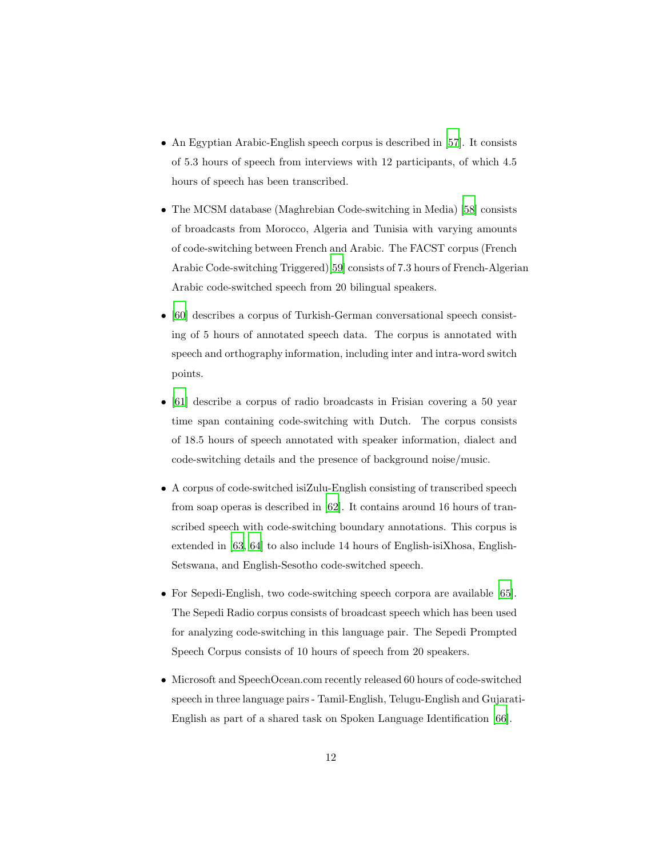- An Egyptian Arabic-English speech corpus is described in [\[57\]](#page-45-4). It consists of 5.3 hours of speech from interviews with 12 participants, of which 4.5 hours of speech has been transcribed.
- The MCSM database (Maghrebian Code-switching in Media) [\[58\]](#page-45-5) consists of broadcasts from Morocco, Algeria and Tunisia with varying amounts of code-switching between French and Arabic. The FACST corpus (French Arabic Code-switching Triggered)[\[59\]](#page-45-6) consists of 7.3 hours of French-Algerian Arabic code-switched speech from 20 bilingual speakers.
- [\[60](#page-45-7)] describes a corpus of Turkish-German conversational speech consisting of 5 hours of annotated speech data. The corpus is annotated with speech and orthography information, including inter and intra-word switch points.
- [\[61](#page-45-8)] describe a corpus of radio broadcasts in Frisian covering a 50 year time span containing code-switching with Dutch. The corpus consists of 18.5 hours of speech annotated with speaker information, dialect and code-switching details and the presence of background noise/music.
- A corpus of code-switched isiZulu-English consisting of transcribed speech from soap operas is described in [\[62\]](#page-46-0). It contains around 16 hours of transcribed speech with code-switching boundary annotations. This corpus is extended in [\[63,](#page-46-1) [64\]](#page-46-2) to also include 14 hours of English-isiXhosa, English-Setswana, and English-Sesotho code-switched speech.
- For Sepedi-English, two code-switching speech corpora are available [\[65\]](#page-46-3). The Sepedi Radio corpus consists of broadcast speech which has been used for analyzing code-switching in this language pair. The Sepedi Prompted Speech Corpus consists of 10 hours of speech from 20 speakers.
- Microsoft and SpeechOcean.com recently released 60 hours of code-switched speech in three language pairs - Tamil-English, Telugu-English and Gujarati-English as part of a shared task on Spoken Language Identification [\[66\]](#page-46-4).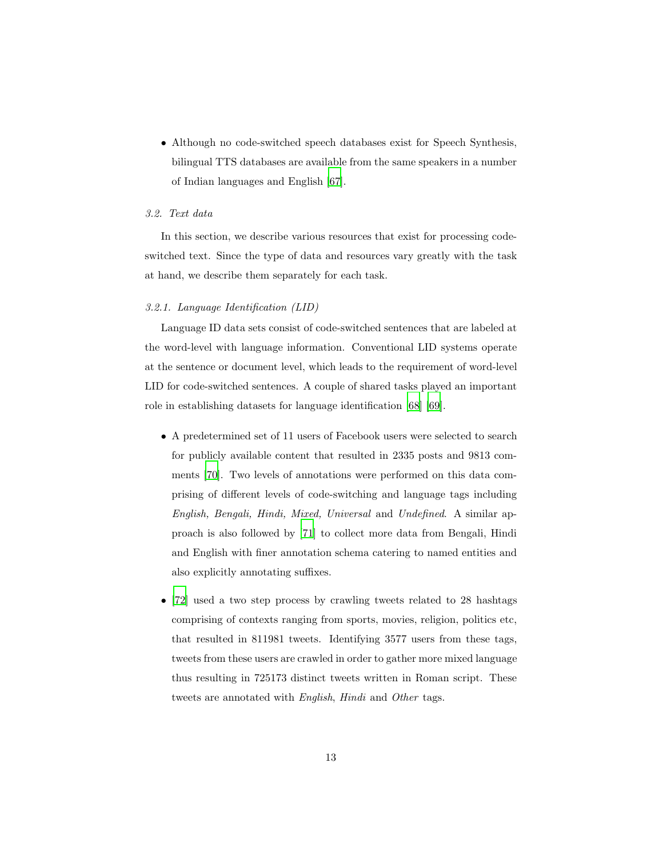• Although no code-switched speech databases exist for Speech Synthesis, bilingual TTS databases are available from the same speakers in a number of Indian languages and English [\[67\]](#page-46-5).

# *3.2. Text data*

In this section, we describe various resources that exist for processing codeswitched text. Since the type of data and resources vary greatly with the task at hand, we describe them separately for each task.

#### *3.2.1. Language Identification (LID)*

Language ID data sets consist of code-switched sentences that are labeled at the word-level with language information. Conventional LID systems operate at the sentence or document level, which leads to the requirement of word-level LID for code-switched sentences. A couple of shared tasks played an important role in establishing datasets for language identification [\[68\]](#page-46-6) [\[69](#page-46-7)].

- A predetermined set of 11 users of Facebook users were selected to search for publicly available content that resulted in 2335 posts and 9813 comments [\[70\]](#page-46-8). Two levels of annotations were performed on this data comprising of different levels of code-switching and language tags including *English, Bengali, Hindi, Mixed, Universal* and *Undefined*. A similar approach is also followed by [\[71\]](#page-47-0) to collect more data from Bengali, Hindi and English with finer annotation schema catering to named entities and also explicitly annotating suffixes.
- [\[72](#page-47-1)] used a two step process by crawling tweets related to 28 hashtags comprising of contexts ranging from sports, movies, religion, politics etc, that resulted in 811981 tweets. Identifying 3577 users from these tags, tweets from these users are crawled in order to gather more mixed language thus resulting in 725173 distinct tweets written in Roman script. These tweets are annotated with *English*, *Hindi* and *Other* tags.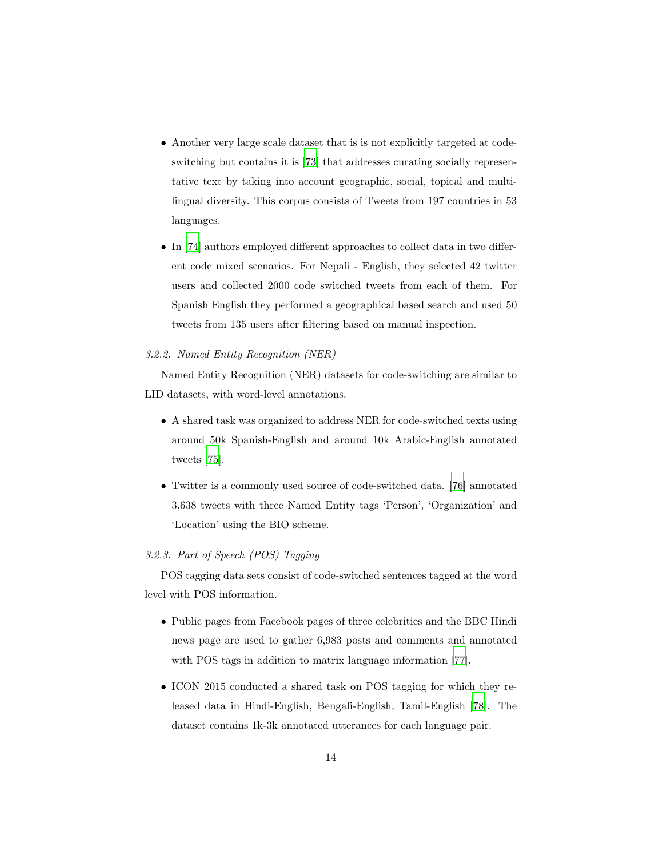- Another very large scale dataset that is is not explicitly targeted at codeswitching but contains it is [\[73](#page-47-2)] that addresses curating socially representative text by taking into account geographic, social, topical and multilingual diversity. This corpus consists of Tweets from 197 countries in 53 languages.
- In [\[74](#page-47-3)] authors employed different approaches to collect data in two different code mixed scenarios. For Nepali - English, they selected 42 twitter users and collected 2000 code switched tweets from each of them. For Spanish English they performed a geographical based search and used 50 tweets from 135 users after filtering based on manual inspection.

## *3.2.2. Named Entity Recognition (NER)*

Named Entity Recognition (NER) datasets for code-switching are similar to LID datasets, with word-level annotations.

- A shared task was organized to address NER for code-switched texts using around 50k Spanish-English and around 10k Arabic-English annotated tweets [\[75\]](#page-47-4).
- Twitter is a commonly used source of code-switched data. [\[76\]](#page-47-5) annotated 3,638 tweets with three Named Entity tags 'Person', 'Organization' and 'Location' using the BIO scheme.

## *3.2.3. Part of Speech (POS) Tagging*

POS tagging data sets consist of code-switched sentences tagged at the word level with POS information.

- Public pages from Facebook pages of three celebrities and the BBC Hindi news page are used to gather 6,983 posts and comments and annotated with POS tags in addition to matrix language information [\[77\]](#page-47-6).
- ICON 2015 conducted a shared task on POS tagging for which they released data in Hindi-English, Bengali-English, Tamil-English [\[78\]](#page-48-0). The dataset contains 1k-3k annotated utterances for each language pair.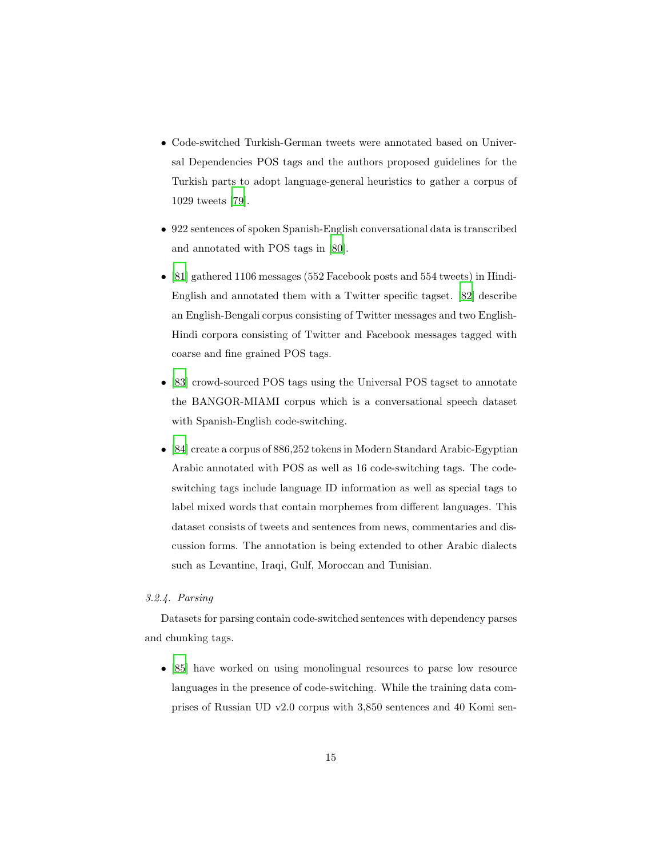- Code-switched Turkish-German tweets were annotated based on Universal Dependencies POS tags and the authors proposed guidelines for the Turkish parts to adopt language-general heuristics to gather a corpus of 1029 tweets [\[79](#page-48-1)].
- 922 sentences of spoken Spanish-English conversational data is transcribed and annotated with POS tags in [\[80\]](#page-48-2).
- [\[81](#page-48-3)] gathered 1106 messages (552 Facebook posts and 554 tweets) in Hindi-English and annotated them with a Twitter specific tagset. [\[82\]](#page-48-4) describe an English-Bengali corpus consisting of Twitter messages and two English-Hindi corpora consisting of Twitter and Facebook messages tagged with coarse and fine grained POS tags.
- [\[83](#page-48-5)] crowd-sourced POS tags using the Universal POS tagset to annotate the BANGOR-MIAMI corpus which is a conversational speech dataset with Spanish-English code-switching.
- [\[84](#page-48-6)] create a corpus of 886,252 tokens in Modern Standard Arabic-Egyptian Arabic annotated with POS as well as 16 code-switching tags. The codeswitching tags include language ID information as well as special tags to label mixed words that contain morphemes from different languages. This dataset consists of tweets and sentences from news, commentaries and discussion forms. The annotation is being extended to other Arabic dialects such as Levantine, Iraqi, Gulf, Moroccan and Tunisian.

## *3.2.4. Parsing*

Datasets for parsing contain code-switched sentences with dependency parses and chunking tags.

• [\[85](#page-48-7)] have worked on using monolingual resources to parse low resource languages in the presence of code-switching. While the training data comprises of Russian UD v2.0 corpus with 3,850 sentences and 40 Komi sen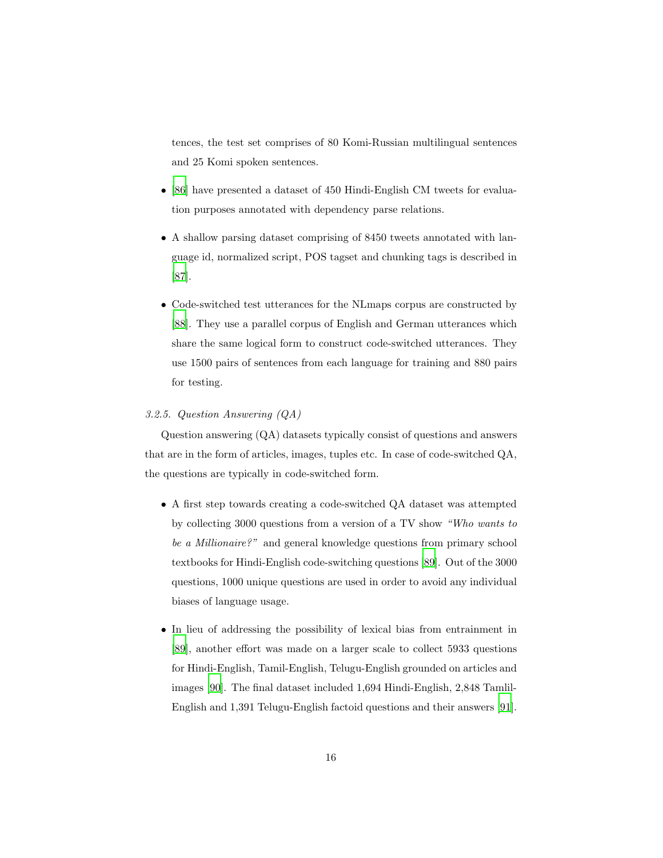tences, the test set comprises of 80 Komi-Russian multilingual sentences and 25 Komi spoken sentences.

- [\[86](#page-49-0)] have presented a dataset of 450 Hindi-English CM tweets for evaluation purposes annotated with dependency parse relations.
- A shallow parsing dataset comprising of 8450 tweets annotated with language id, normalized script, POS tagset and chunking tags is described in [\[87](#page-49-1)].
- Code-switched test utterances for the NLmaps corpus are constructed by [\[88](#page-49-2)]. They use a parallel corpus of English and German utterances which share the same logical form to construct code-switched utterances. They use 1500 pairs of sentences from each language for training and 880 pairs for testing.

## *3.2.5. Question Answering (QA)*

Question answering (QA) datasets typically consist of questions and answers that are in the form of articles, images, tuples etc. In case of code-switched QA, the questions are typically in code-switched form.

- A first step towards creating a code-switched QA dataset was attempted by collecting 3000 questions from a version of a TV show *"Who wants to be a Millionaire?"* and general knowledge questions from primary school textbooks for Hindi-English code-switching questions [\[89\]](#page-49-3). Out of the 3000 questions, 1000 unique questions are used in order to avoid any individual biases of language usage.
- In lieu of addressing the possibility of lexical bias from entrainment in [\[89](#page-49-3)], another effort was made on a larger scale to collect 5933 questions for Hindi-English, Tamil-English, Telugu-English grounded on articles and images [\[90\]](#page-49-4). The final dataset included 1,694 Hindi-English, 2,848 Tamlil-English and 1,391 Telugu-English factoid questions and their answers [\[91\]](#page-49-5).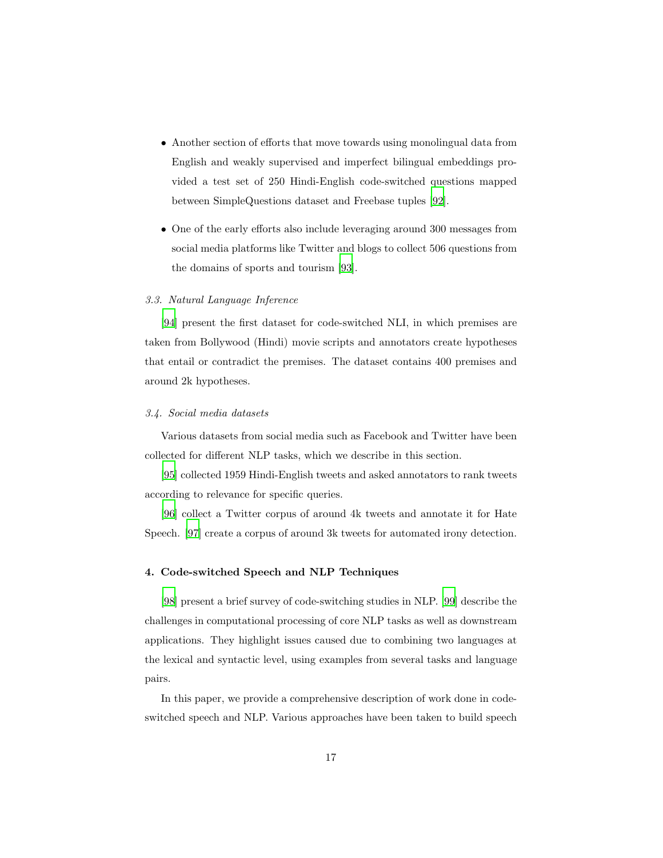- Another section of efforts that move towards using monolingual data from English and weakly supervised and imperfect bilingual embeddings provided a test set of 250 Hindi-English code-switched questions mapped between SimpleQuestions dataset and Freebase tuples [\[92\]](#page-49-6).
- One of the early efforts also include leveraging around 300 messages from social media platforms like Twitter and blogs to collect 506 questions from the domains of sports and tourism [\[93\]](#page-50-0).

## *3.3. Natural Language Inference*

[\[94\]](#page-50-1) present the first dataset for code-switched NLI, in which premises are taken from Bollywood (Hindi) movie scripts and annotators create hypotheses that entail or contradict the premises. The dataset contains 400 premises and around 2k hypotheses.

## *3.4. Social media datasets*

Various datasets from social media such as Facebook and Twitter have been collected for different NLP tasks, which we describe in this section.

[\[95\]](#page-50-2) collected 1959 Hindi-English tweets and asked annotators to rank tweets according to relevance for specific queries.

[\[96\]](#page-50-3) collect a Twitter corpus of around 4k tweets and annotate it for Hate Speech. [\[97\]](#page-50-4) create a corpus of around 3k tweets for automated irony detection.

## 4. Code-switched Speech and NLP Techniques

[\[98\]](#page-50-5) present a brief survey of code-switching studies in NLP. [\[99](#page-50-6)] describe the challenges in computational processing of core NLP tasks as well as downstream applications. They highlight issues caused due to combining two languages at the lexical and syntactic level, using examples from several tasks and language pairs.

In this paper, we provide a comprehensive description of work done in codeswitched speech and NLP. Various approaches have been taken to build speech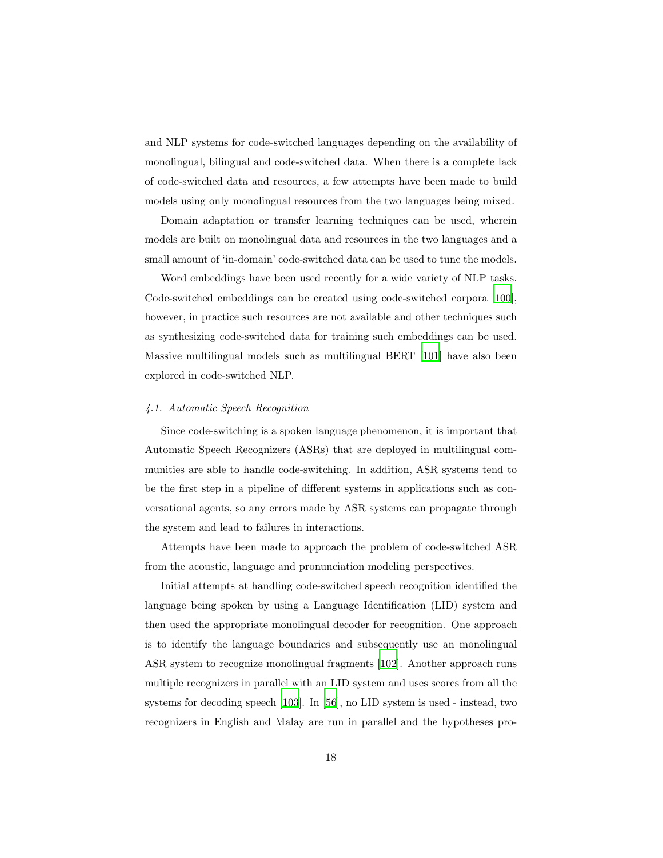and NLP systems for code-switched languages depending on the availability of monolingual, bilingual and code-switched data. When there is a complete lack of code-switched data and resources, a few attempts have been made to build models using only monolingual resources from the two languages being mixed.

Domain adaptation or transfer learning techniques can be used, wherein models are built on monolingual data and resources in the two languages and a small amount of 'in-domain' code-switched data can be used to tune the models.

Word embeddings have been used recently for a wide variety of NLP tasks. Code-switched embeddings can be created using code-switched corpora [\[100\]](#page-50-7), however, in practice such resources are not available and other techniques such as synthesizing code-switched data for training such embeddings can be used. Massive multilingual models such as multilingual BERT [\[101\]](#page-50-8) have also been explored in code-switched NLP.

#### *4.1. Automatic Speech Recognition*

Since code-switching is a spoken language phenomenon, it is important that Automatic Speech Recognizers (ASRs) that are deployed in multilingual communities are able to handle code-switching. In addition, ASR systems tend to be the first step in a pipeline of different systems in applications such as conversational agents, so any errors made by ASR systems can propagate through the system and lead to failures in interactions.

Attempts have been made to approach the problem of code-switched ASR from the acoustic, language and pronunciation modeling perspectives.

Initial attempts at handling code-switched speech recognition identified the language being spoken by using a Language Identification (LID) system and then used the appropriate monolingual decoder for recognition. One approach is to identify the language boundaries and subsequently use an monolingual ASR system to recognize monolingual fragments [\[102](#page-51-0)]. Another approach runs multiple recognizers in parallel with an LID system and uses scores from all the systems for decoding speech [\[103](#page-51-1)]. In [\[56\]](#page-45-3), no LID system is used - instead, two recognizers in English and Malay are run in parallel and the hypotheses pro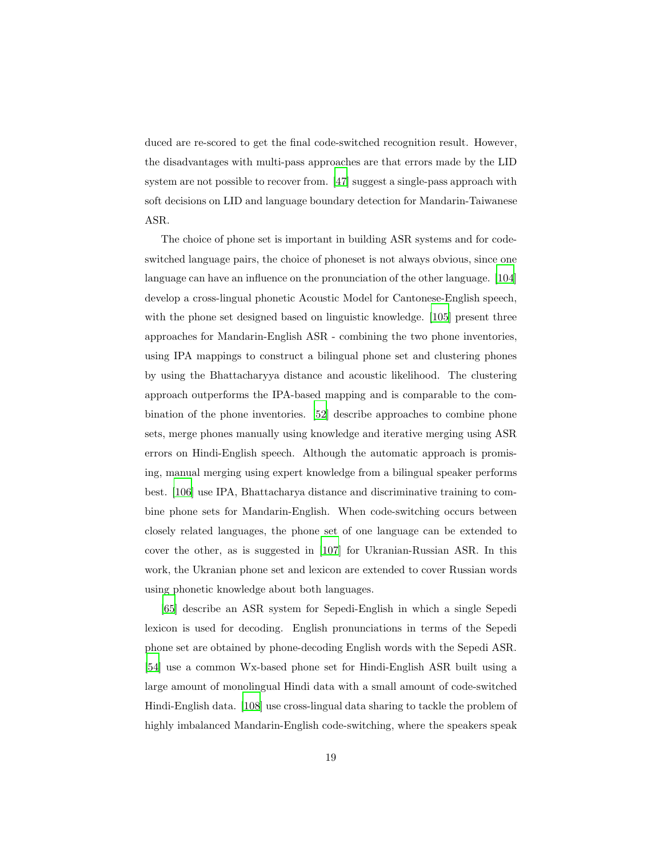duced are re-scored to get the final code-switched recognition result. However, the disadvantages with multi-pass approaches are that errors made by the LID system are not possible to recover from. [\[47](#page-44-2)] suggest a single-pass approach with soft decisions on LID and language boundary detection for Mandarin-Taiwanese ASR.

The choice of phone set is important in building ASR systems and for codeswitched language pairs, the choice of phoneset is not always obvious, since one language can have an influence on the pronunciation of the other language. [\[104\]](#page-51-2) develop a cross-lingual phonetic Acoustic Model for Cantonese-English speech, with the phone set designed based on linguistic knowledge. [\[105](#page-51-3)] present three approaches for Mandarin-English ASR - combining the two phone inventories, using IPA mappings to construct a bilingual phone set and clustering phones by using the Bhattacharyya distance and acoustic likelihood. The clustering approach outperforms the IPA-based mapping and is comparable to the combination of the phone inventories. [\[52\]](#page-44-7) describe approaches to combine phone sets, merge phones manually using knowledge and iterative merging using ASR errors on Hindi-English speech. Although the automatic approach is promising, manual merging using expert knowledge from a bilingual speaker performs best. [\[106\]](#page-51-4) use IPA, Bhattacharya distance and discriminative training to combine phone sets for Mandarin-English. When code-switching occurs between closely related languages, the phone set of one language can be extended to cover the other, as is suggested in [\[107\]](#page-51-5) for Ukranian-Russian ASR. In this work, the Ukranian phone set and lexicon are extended to cover Russian words using phonetic knowledge about both languages.

[\[65\]](#page-46-3) describe an ASR system for Sepedi-English in which a single Sepedi lexicon is used for decoding. English pronunciations in terms of the Sepedi phone set are obtained by phone-decoding English words with the Sepedi ASR. [\[54\]](#page-45-1) use a common Wx-based phone set for Hindi-English ASR built using a large amount of monolingual Hindi data with a small amount of code-switched Hindi-English data. [\[108](#page-51-6)] use cross-lingual data sharing to tackle the problem of highly imbalanced Mandarin-English code-switching, where the speakers speak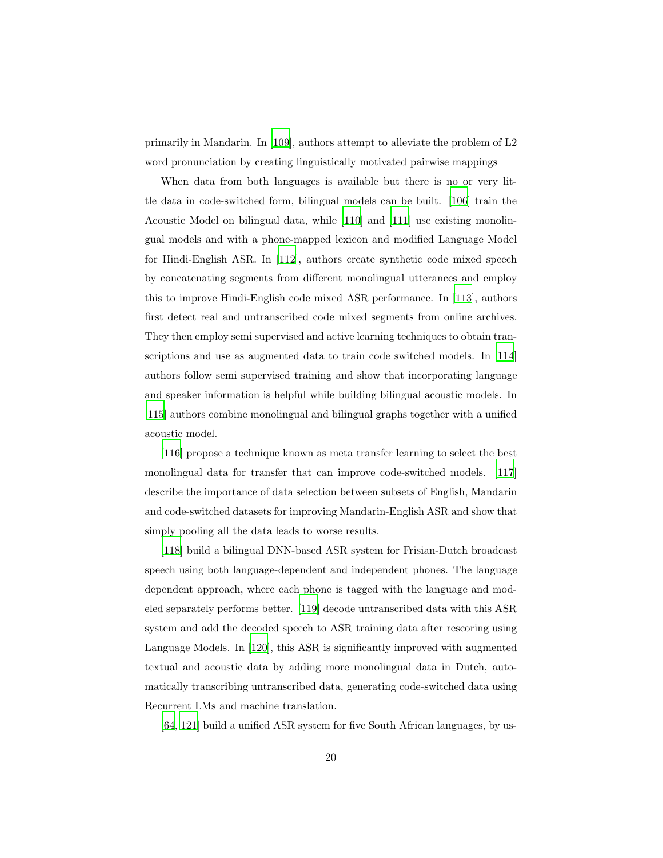primarily in Mandarin. In [\[109](#page-51-7)], authors attempt to alleviate the problem of L2 word pronunciation by creating linguistically motivated pairwise mappings

When data from both languages is available but there is no or very little data in code-switched form, bilingual models can be built. [\[106\]](#page-51-4) train the Acoustic Model on bilingual data, while [\[110\]](#page-52-0) and [\[111](#page-52-1)] use existing monolingual models and with a phone-mapped lexicon and modified Language Model for Hindi-English ASR. In [\[112\]](#page-52-2), authors create synthetic code mixed speech by concatenating segments from different monolingual utterances and employ this to improve Hindi-English code mixed ASR performance. In [\[113\]](#page-52-3), authors first detect real and untranscribed code mixed segments from online archives. They then employ semi supervised and active learning techniques to obtain transcriptions and use as augmented data to train code switched models. In [\[114\]](#page-52-4) authors follow semi supervised training and show that incorporating language and speaker information is helpful while building bilingual acoustic models. In [\[115\]](#page-52-5) authors combine monolingual and bilingual graphs together with a unified acoustic model.

[\[116\]](#page-52-6) propose a technique known as meta transfer learning to select the best monolingual data for transfer that can improve code-switched models. [\[117\]](#page-52-7) describe the importance of data selection between subsets of English, Mandarin and code-switched datasets for improving Mandarin-English ASR and show that simply pooling all the data leads to worse results.

[\[118\]](#page-52-8) build a bilingual DNN-based ASR system for Frisian-Dutch broadcast speech using both language-dependent and independent phones. The language dependent approach, where each phone is tagged with the language and modeled separately performs better. [\[119\]](#page-52-9) decode untranscribed data with this ASR system and add the decoded speech to ASR training data after rescoring using Language Models. In [\[120\]](#page-53-0), this ASR is significantly improved with augmented textual and acoustic data by adding more monolingual data in Dutch, automatically transcribing untranscribed data, generating code-switched data using Recurrent LMs and machine translation.

[\[64,](#page-46-2) [121\]](#page-53-1) build a unified ASR system for five South African languages, by us-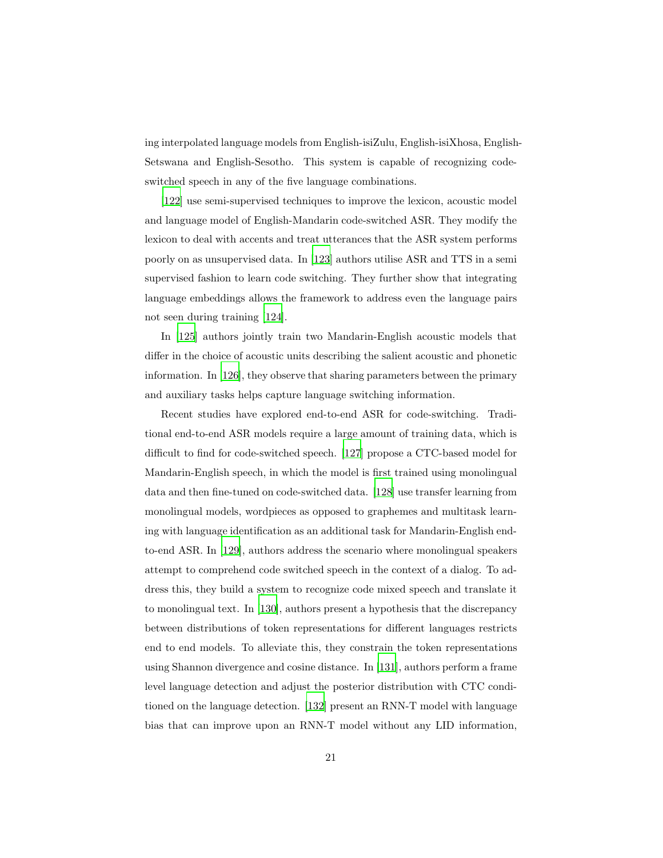ing interpolated language models from English-isiZulu, English-isiXhosa, English-Setswana and English-Sesotho. This system is capable of recognizing codeswitched speech in any of the five language combinations.

[\[122\]](#page-53-2) use semi-supervised techniques to improve the lexicon, acoustic model and language model of English-Mandarin code-switched ASR. They modify the lexicon to deal with accents and treat utterances that the ASR system performs poorly on as unsupervised data. In [\[123\]](#page-53-3) authors utilise ASR and TTS in a semi supervised fashion to learn code switching. They further show that integrating language embeddings allows the framework to address even the language pairs not seen during training [\[124](#page-53-4)].

In [\[125\]](#page-53-5) authors jointly train two Mandarin-English acoustic models that differ in the choice of acoustic units describing the salient acoustic and phonetic information. In [\[126\]](#page-53-6), they observe that sharing parameters between the primary and auxiliary tasks helps capture language switching information.

Recent studies have explored end-to-end ASR for code-switching. Traditional end-to-end ASR models require a large amount of training data, which is difficult to find for code-switched speech. [\[127](#page-53-7)] propose a CTC-based model for Mandarin-English speech, in which the model is first trained using monolingual data and then fine-tuned on code-switched data. [\[128](#page-54-0)] use transfer learning from monolingual models, wordpieces as opposed to graphemes and multitask learning with language identification as an additional task for Mandarin-English endto-end ASR. In [\[129\]](#page-54-1), authors address the scenario where monolingual speakers attempt to comprehend code switched speech in the context of a dialog. To address this, they build a system to recognize code mixed speech and translate it to monolingual text. In [\[130](#page-54-2)], authors present a hypothesis that the discrepancy between distributions of token representations for different languages restricts end to end models. To alleviate this, they constrain the token representations using Shannon divergence and cosine distance. In [\[131\]](#page-54-3), authors perform a frame level language detection and adjust the posterior distribution with CTC conditioned on the language detection. [\[132](#page-54-4)] present an RNN-T model with language bias that can improve upon an RNN-T model without any LID information,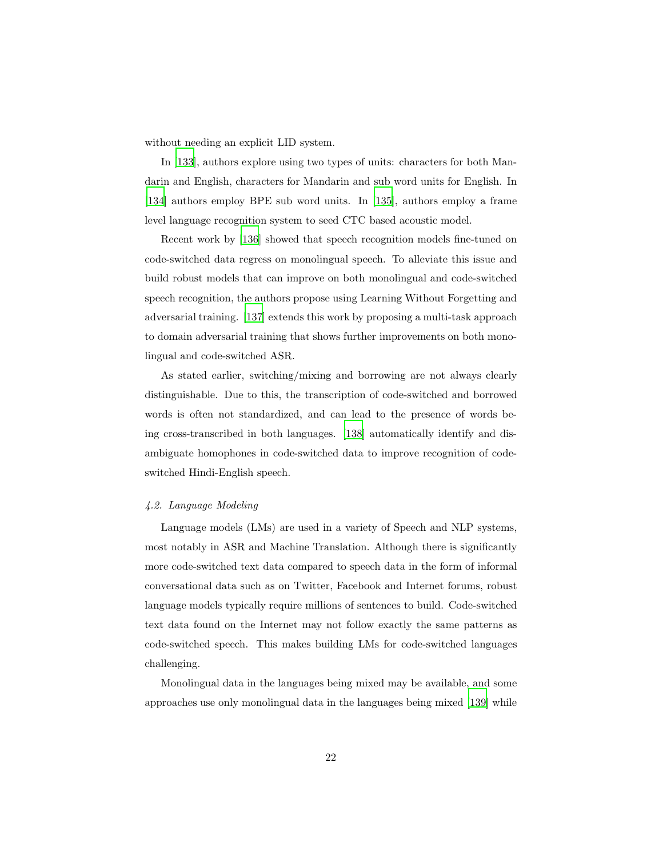without needing an explicit LID system.

In [\[133\]](#page-54-5), authors explore using two types of units: characters for both Mandarin and English, characters for Mandarin and sub word units for English. In [\[134\]](#page-54-6) authors employ BPE sub word units. In [\[135\]](#page-54-7), authors employ a frame level language recognition system to seed CTC based acoustic model.

Recent work by [\[136\]](#page-54-8) showed that speech recognition models fine-tuned on code-switched data regress on monolingual speech. To alleviate this issue and build robust models that can improve on both monolingual and code-switched speech recognition, the authors propose using Learning Without Forgetting and adversarial training. [\[137\]](#page-55-0) extends this work by proposing a multi-task approach to domain adversarial training that shows further improvements on both monolingual and code-switched ASR.

As stated earlier, switching/mixing and borrowing are not always clearly distinguishable. Due to this, the transcription of code-switched and borrowed words is often not standardized, and can lead to the presence of words being cross-transcribed in both languages. [\[138\]](#page-55-1) automatically identify and disambiguate homophones in code-switched data to improve recognition of codeswitched Hindi-English speech.

#### *4.2. Language Modeling*

Language models (LMs) are used in a variety of Speech and NLP systems, most notably in ASR and Machine Translation. Although there is significantly more code-switched text data compared to speech data in the form of informal conversational data such as on Twitter, Facebook and Internet forums, robust language models typically require millions of sentences to build. Code-switched text data found on the Internet may not follow exactly the same patterns as code-switched speech. This makes building LMs for code-switched languages challenging.

Monolingual data in the languages being mixed may be available, and some approaches use only monolingual data in the languages being mixed [\[139\]](#page-55-2) while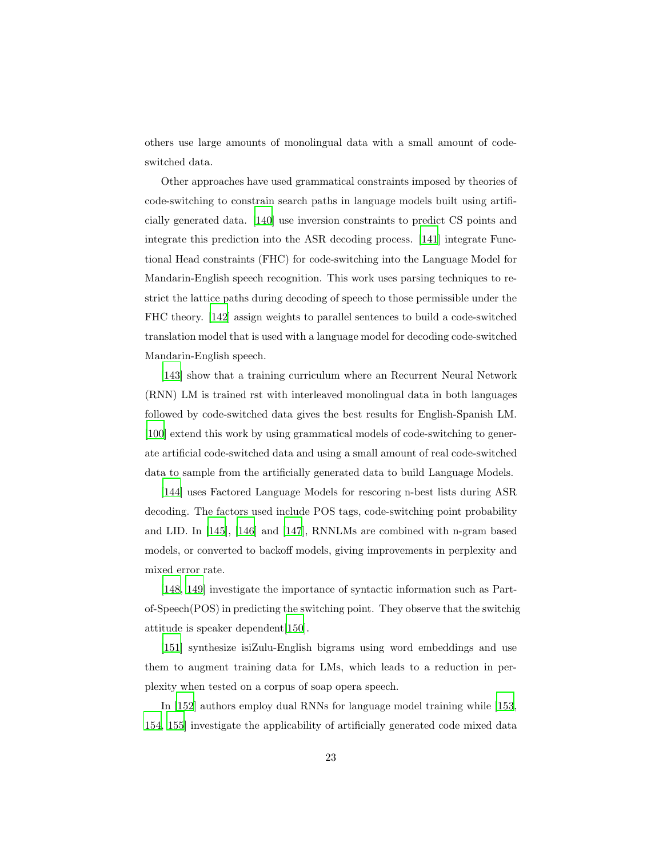others use large amounts of monolingual data with a small amount of codeswitched data.

Other approaches have used grammatical constraints imposed by theories of code-switching to constrain search paths in language models built using artificially generated data. [\[140](#page-55-3)] use inversion constraints to predict CS points and integrate this prediction into the ASR decoding process. [\[141\]](#page-55-4) integrate Functional Head constraints (FHC) for code-switching into the Language Model for Mandarin-English speech recognition. This work uses parsing techniques to restrict the lattice paths during decoding of speech to those permissible under the FHC theory. [\[142](#page-55-5)] assign weights to parallel sentences to build a code-switched translation model that is used with a language model for decoding code-switched Mandarin-English speech.

[\[143\]](#page-55-6) show that a training curriculum where an Recurrent Neural Network (RNN) LM is trained rst with interleaved monolingual data in both languages followed by code-switched data gives the best results for English-Spanish LM. [\[100\]](#page-50-7) extend this work by using grammatical models of code-switching to generate artificial code-switched data and using a small amount of real code-switched data to sample from the artificially generated data to build Language Models.

[\[144\]](#page-55-7) uses Factored Language Models for rescoring n-best lists during ASR decoding. The factors used include POS tags, code-switching point probability and LID. In [\[145\]](#page-55-8), [\[146\]](#page-56-0) and [\[147\]](#page-56-1), RNNLMs are combined with n-gram based models, or converted to backoff models, giving improvements in perplexity and mixed error rate.

[\[148,](#page-56-2) [149\]](#page-56-3) investigate the importance of syntactic information such as Partof-Speech(POS) in predicting the switching point. They observe that the switchig attitude is speaker dependent[\[150](#page-56-4)].

[\[151\]](#page-56-5) synthesize isiZulu-English bigrams using word embeddings and use them to augment training data for LMs, which leads to a reduction in perplexity when tested on a corpus of soap opera speech.

In [\[152\]](#page-56-6) authors employ dual RNNs for language model training while [\[153,](#page-56-7) [154,](#page-56-8) [155\]](#page-57-0) investigate the applicability of artificially generated code mixed data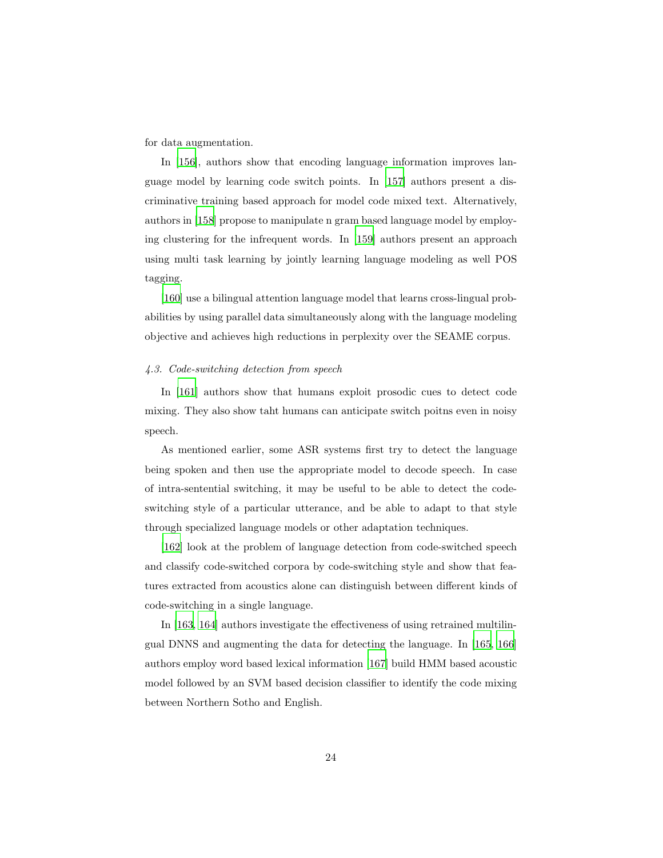for data augmentation.

In [\[156](#page-57-1)], authors show that encoding language information improves language model by learning code switch points. In [\[157\]](#page-57-2) authors present a discriminative training based approach for model code mixed text. Alternatively, authors in [\[158\]](#page-57-3) propose to manipulate n gram based language model by employing clustering for the infrequent words. In [\[159\]](#page-57-4) authors present an approach using multi task learning by jointly learning language modeling as well POS tagging.

[\[160\]](#page-57-5) use a bilingual attention language model that learns cross-lingual probabilities by using parallel data simultaneously along with the language modeling objective and achieves high reductions in perplexity over the SEAME corpus.

#### *4.3. Code-switching detection from speech*

In [\[161\]](#page-57-6) authors show that humans exploit prosodic cues to detect code mixing. They also show taht humans can anticipate switch poitns even in noisy speech.

As mentioned earlier, some ASR systems first try to detect the language being spoken and then use the appropriate model to decode speech. In case of intra-sentential switching, it may be useful to be able to detect the codeswitching style of a particular utterance, and be able to adapt to that style through specialized language models or other adaptation techniques.

[\[162\]](#page-57-7) look at the problem of language detection from code-switched speech and classify code-switched corpora by code-switching style and show that features extracted from acoustics alone can distinguish between different kinds of code-switching in a single language.

In [\[163,](#page-57-8) [164\]](#page-58-0) authors investigate the effectiveness of using retrained multilingual DNNS and augmenting the data for detecting the language. In [\[165,](#page-58-1) [166\]](#page-58-2) authors employ word based lexical information [\[167](#page-58-3)] build HMM based acoustic model followed by an SVM based decision classifier to identify the code mixing between Northern Sotho and English.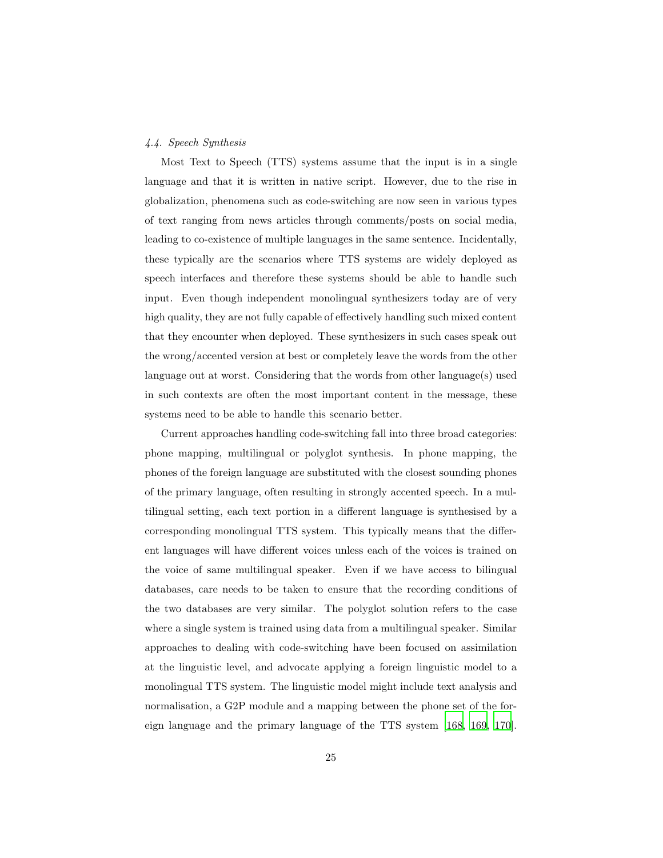## *4.4. Speech Synthesis*

Most Text to Speech (TTS) systems assume that the input is in a single language and that it is written in native script. However, due to the rise in globalization, phenomena such as code-switching are now seen in various types of text ranging from news articles through comments/posts on social media, leading to co-existence of multiple languages in the same sentence. Incidentally, these typically are the scenarios where TTS systems are widely deployed as speech interfaces and therefore these systems should be able to handle such input. Even though independent monolingual synthesizers today are of very high quality, they are not fully capable of effectively handling such mixed content that they encounter when deployed. These synthesizers in such cases speak out the wrong/accented version at best or completely leave the words from the other language out at worst. Considering that the words from other language(s) used in such contexts are often the most important content in the message, these systems need to be able to handle this scenario better.

Current approaches handling code-switching fall into three broad categories: phone mapping, multilingual or polyglot synthesis. In phone mapping, the phones of the foreign language are substituted with the closest sounding phones of the primary language, often resulting in strongly accented speech. In a multilingual setting, each text portion in a different language is synthesised by a corresponding monolingual TTS system. This typically means that the different languages will have different voices unless each of the voices is trained on the voice of same multilingual speaker. Even if we have access to bilingual databases, care needs to be taken to ensure that the recording conditions of the two databases are very similar. The polyglot solution refers to the case where a single system is trained using data from a multilingual speaker. Similar approaches to dealing with code-switching have been focused on assimilation at the linguistic level, and advocate applying a foreign linguistic model to a monolingual TTS system. The linguistic model might include text analysis and normalisation, a G2P module and a mapping between the phone set of the foreign language and the primary language of the TTS system [\[168,](#page-58-4) [169,](#page-58-5) [170\]](#page-58-6).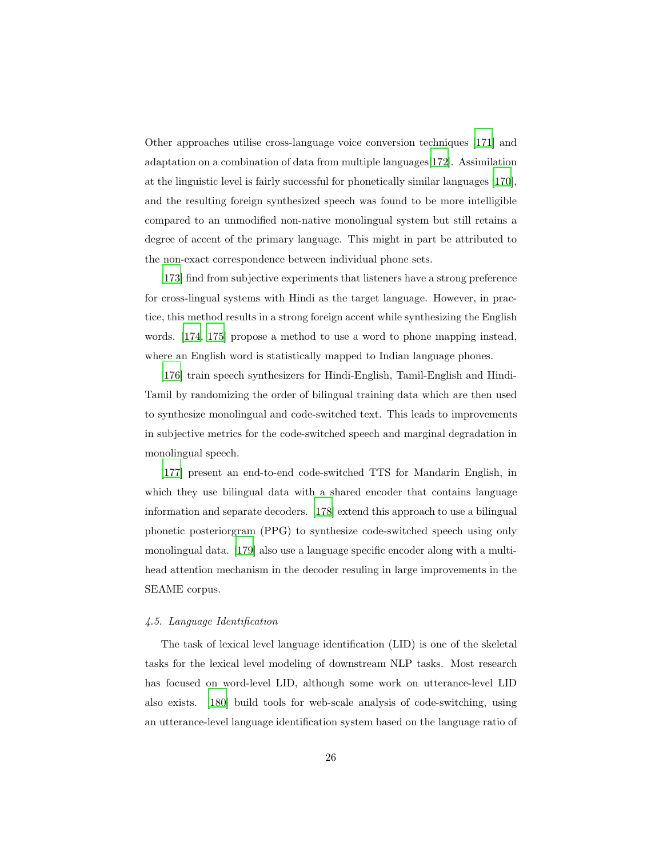Other approaches utilise cross-language voice conversion techniques [\[171\]](#page-58-7) and adaptation on a combination of data from multiple languages[\[172\]](#page-58-8). Assimilation at the linguistic level is fairly successful for phonetically similar languages [\[170\]](#page-58-6), and the resulting foreign synthesized speech was found to be more intelligible compared to an unmodified non-native monolingual system but still retains a degree of accent of the primary language. This might in part be attributed to the non-exact correspondence between individual phone sets.

[\[173\]](#page-58-9) find from subjective experiments that listeners have a strong preference for cross-lingual systems with Hindi as the target language. However, in practice, this method results in a strong foreign accent while synthesizing the English words. [\[174](#page-59-0), [175\]](#page-59-1) propose a method to use a word to phone mapping instead, where an English word is statistically mapped to Indian language phones.

[\[176\]](#page-59-2) train speech synthesizers for Hindi-English, Tamil-English and Hindi-Tamil by randomizing the order of bilingual training data which are then used to synthesize monolingual and code-switched text. This leads to improvements in subjective metrics for the code-switched speech and marginal degradation in monolingual speech.

[\[177\]](#page-59-3) present an end-to-end code-switched TTS for Mandarin English, in which they use bilingual data with a shared encoder that contains language information and separate decoders. [\[178\]](#page-59-4) extend this approach to use a bilingual phonetic posteriorgram (PPG) to synthesize code-switched speech using only monolingual data. [\[179\]](#page-59-5) also use a language specific encoder along with a multihead attention mechanism in the decoder resuling in large improvements in the SEAME corpus.

## *4.5. Language Identification*

The task of lexical level language identification (LID) is one of the skeletal tasks for the lexical level modeling of downstream NLP tasks. Most research has focused on word-level LID, although some work on utterance-level LID also exists. [\[180\]](#page-59-6) build tools for web-scale analysis of code-switching, using an utterance-level language identification system based on the language ratio of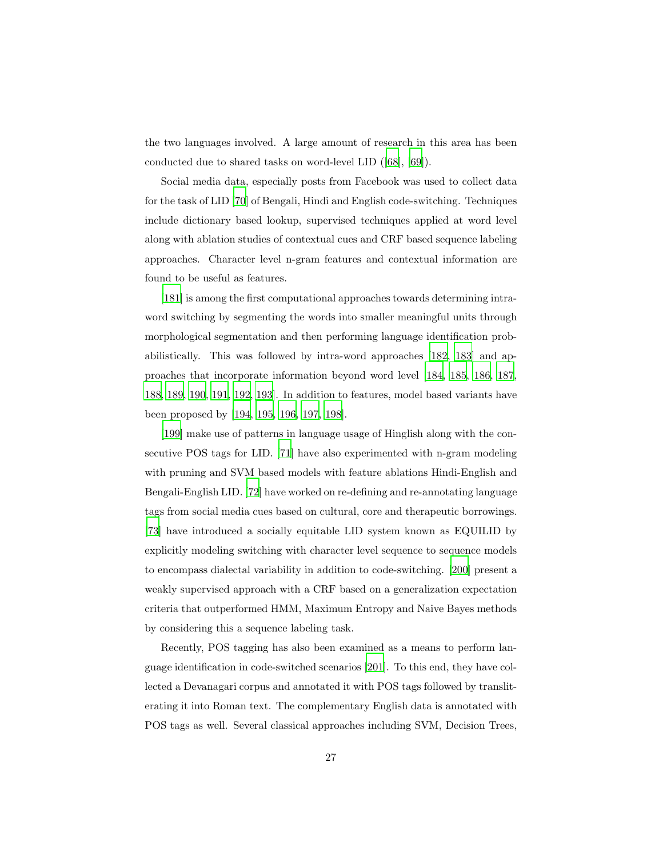the two languages involved. A large amount of research in this area has been conducted due to shared tasks on word-level LID ([\[68\]](#page-46-6), [\[69\]](#page-46-7)).

Social media data, especially posts from Facebook was used to collect data for the task of LID [\[70\]](#page-46-8) of Bengali, Hindi and English code-switching. Techniques include dictionary based lookup, supervised techniques applied at word level along with ablation studies of contextual cues and CRF based sequence labeling approaches. Character level n-gram features and contextual information are found to be useful as features.

[\[181\]](#page-59-7) is among the first computational approaches towards determining intraword switching by segmenting the words into smaller meaningful units through morphological segmentation and then performing language identification probabilistically. This was followed by intra-word approaches [\[182](#page-60-0), [183\]](#page-60-1) and approaches that incorporate information beyond word level [\[184,](#page-60-2) [185,](#page-60-3) [186,](#page-60-4) [187,](#page-60-5) [188,](#page-60-6) [189](#page-60-7), [190,](#page-61-0) [191,](#page-61-1) [192](#page-61-2), [193\]](#page-61-3). In addition to features, model based variants have been proposed by [\[194](#page-61-4), [195](#page-61-5), [196](#page-61-6), [197](#page-61-7), [198\]](#page-61-8).

[\[199\]](#page-62-0) make use of patterns in language usage of Hinglish along with the consecutive POS tags for LID. [\[71\]](#page-47-0) have also experimented with n-gram modeling with pruning and SVM based models with feature ablations Hindi-English and Bengali-English LID. [\[72](#page-47-1)] have worked on re-defining and re-annotating language tags from social media cues based on cultural, core and therapeutic borrowings. [\[73\]](#page-47-2) have introduced a socially equitable LID system known as EQUILID by explicitly modeling switching with character level sequence to sequence models to encompass dialectal variability in addition to code-switching. [\[200](#page-62-1)] present a weakly supervised approach with a CRF based on a generalization expectation criteria that outperformed HMM, Maximum Entropy and Naive Bayes methods by considering this a sequence labeling task.

Recently, POS tagging has also been examined as a means to perform language identification in code-switched scenarios [\[201](#page-62-2)]. To this end, they have collected a Devanagari corpus and annotated it with POS tags followed by transliterating it into Roman text. The complementary English data is annotated with POS tags as well. Several classical approaches including SVM, Decision Trees,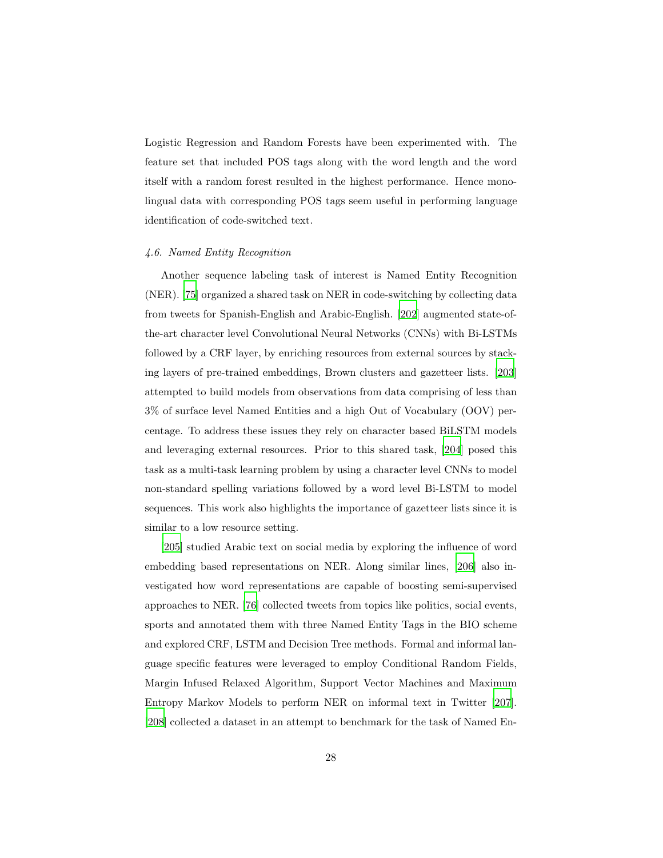Logistic Regression and Random Forests have been experimented with. The feature set that included POS tags along with the word length and the word itself with a random forest resulted in the highest performance. Hence monolingual data with corresponding POS tags seem useful in performing language identification of code-switched text.

#### *4.6. Named Entity Recognition*

Another sequence labeling task of interest is Named Entity Recognition (NER). [\[75\]](#page-47-4) organized a shared task on NER in code-switching by collecting data from tweets for Spanish-English and Arabic-English. [\[202\]](#page-62-3) augmented state-ofthe-art character level Convolutional Neural Networks (CNNs) with Bi-LSTMs followed by a CRF layer, by enriching resources from external sources by stacking layers of pre-trained embeddings, Brown clusters and gazetteer lists. [\[203\]](#page-62-4) attempted to build models from observations from data comprising of less than 3% of surface level Named Entities and a high Out of Vocabulary (OOV) percentage. To address these issues they rely on character based BiLSTM models and leveraging external resources. Prior to this shared task, [\[204\]](#page-62-5) posed this task as a multi-task learning problem by using a character level CNNs to model non-standard spelling variations followed by a word level Bi-LSTM to model sequences. This work also highlights the importance of gazetteer lists since it is similar to a low resource setting.

[\[205\]](#page-62-6) studied Arabic text on social media by exploring the influence of word embedding based representations on NER. Along similar lines, [\[206\]](#page-62-7) also investigated how word representations are capable of boosting semi-supervised approaches to NER. [\[76\]](#page-47-5) collected tweets from topics like politics, social events, sports and annotated them with three Named Entity Tags in the BIO scheme and explored CRF, LSTM and Decision Tree methods. Formal and informal language specific features were leveraged to employ Conditional Random Fields, Margin Infused Relaxed Algorithm, Support Vector Machines and Maximum Entropy Markov Models to perform NER on informal text in Twitter [\[207\]](#page-63-0). [\[208\]](#page-63-1) collected a dataset in an attempt to benchmark for the task of Named En-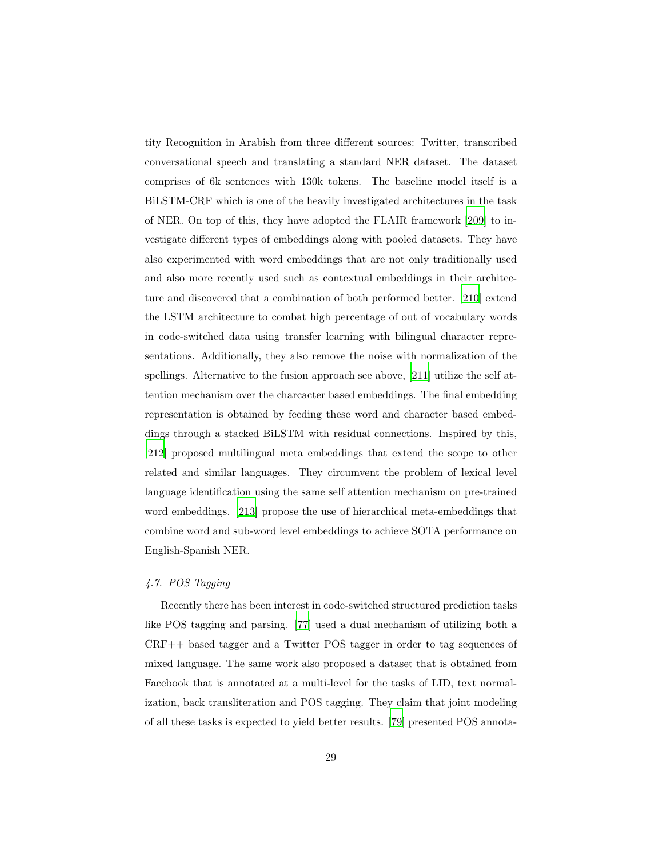tity Recognition in Arabish from three different sources: Twitter, transcribed conversational speech and translating a standard NER dataset. The dataset comprises of 6k sentences with 130k tokens. The baseline model itself is a BiLSTM-CRF which is one of the heavily investigated architectures in the task of NER. On top of this, they have adopted the FLAIR framework [\[209\]](#page-63-2) to investigate different types of embeddings along with pooled datasets. They have also experimented with word embeddings that are not only traditionally used and also more recently used such as contextual embeddings in their architecture and discovered that a combination of both performed better. [\[210\]](#page-63-3) extend the LSTM architecture to combat high percentage of out of vocabulary words in code-switched data using transfer learning with bilingual character representations. Additionally, they also remove the noise with normalization of the spellings. Alternative to the fusion approach see above, [\[211\]](#page-63-4) utilize the self attention mechanism over the charcacter based embeddings. The final embedding representation is obtained by feeding these word and character based embeddings through a stacked BiLSTM with residual connections. Inspired by this, [\[212\]](#page-63-5) proposed multilingual meta embeddings that extend the scope to other related and similar languages. They circumvent the problem of lexical level language identification using the same self attention mechanism on pre-trained word embeddings. [\[213\]](#page-63-6) propose the use of hierarchical meta-embeddings that combine word and sub-word level embeddings to achieve SOTA performance on English-Spanish NER.

# *4.7. POS Tagging*

Recently there has been interest in code-switched structured prediction tasks like POS tagging and parsing. [\[77\]](#page-47-6) used a dual mechanism of utilizing both a CRF++ based tagger and a Twitter POS tagger in order to tag sequences of mixed language. The same work also proposed a dataset that is obtained from Facebook that is annotated at a multi-level for the tasks of LID, text normalization, back transliteration and POS tagging. They claim that joint modeling of all these tasks is expected to yield better results. [\[79\]](#page-48-1) presented POS annota-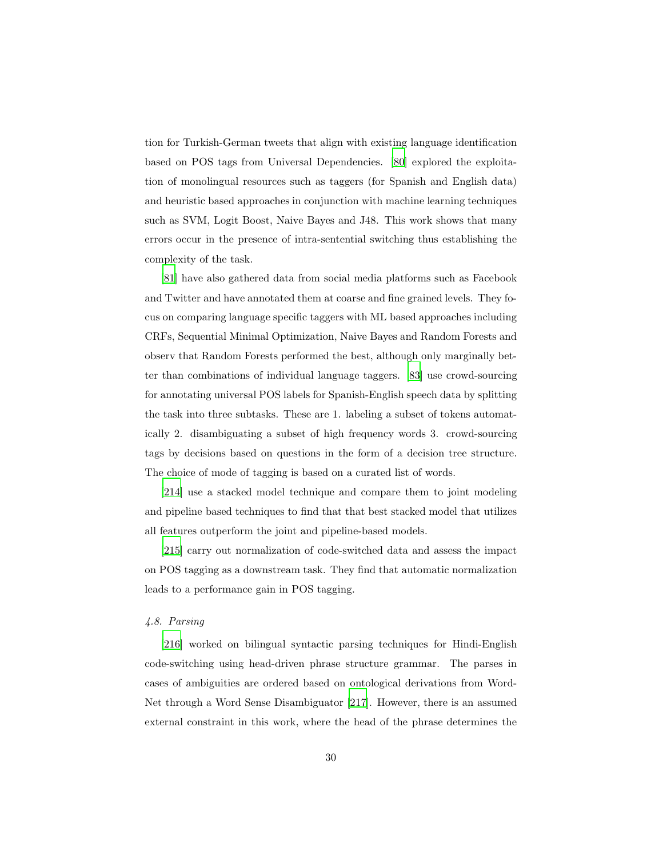tion for Turkish-German tweets that align with existing language identification based on POS tags from Universal Dependencies. [\[80\]](#page-48-2) explored the exploitation of monolingual resources such as taggers (for Spanish and English data) and heuristic based approaches in conjunction with machine learning techniques such as SVM, Logit Boost, Naive Bayes and J48. This work shows that many errors occur in the presence of intra-sentential switching thus establishing the complexity of the task.

[\[81\]](#page-48-3) have also gathered data from social media platforms such as Facebook and Twitter and have annotated them at coarse and fine grained levels. They focus on comparing language specific taggers with ML based approaches including CRFs, Sequential Minimal Optimization, Naive Bayes and Random Forests and observ that Random Forests performed the best, although only marginally better than combinations of individual language taggers. [\[83](#page-48-5)] use crowd-sourcing for annotating universal POS labels for Spanish-English speech data by splitting the task into three subtasks. These are 1. labeling a subset of tokens automatically 2. disambiguating a subset of high frequency words 3. crowd-sourcing tags by decisions based on questions in the form of a decision tree structure. The choice of mode of tagging is based on a curated list of words.

[\[214\]](#page-63-7) use a stacked model technique and compare them to joint modeling and pipeline based techniques to find that that best stacked model that utilizes all features outperform the joint and pipeline-based models.

[\[215\]](#page-63-8) carry out normalization of code-switched data and assess the impact on POS tagging as a downstream task. They find that automatic normalization leads to a performance gain in POS tagging.

## *4.8. Parsing*

[\[216\]](#page-64-0) worked on bilingual syntactic parsing techniques for Hindi-English code-switching using head-driven phrase structure grammar. The parses in cases of ambiguities are ordered based on ontological derivations from Word-Net through a Word Sense Disambiguator [\[217\]](#page-64-1). However, there is an assumed external constraint in this work, where the head of the phrase determines the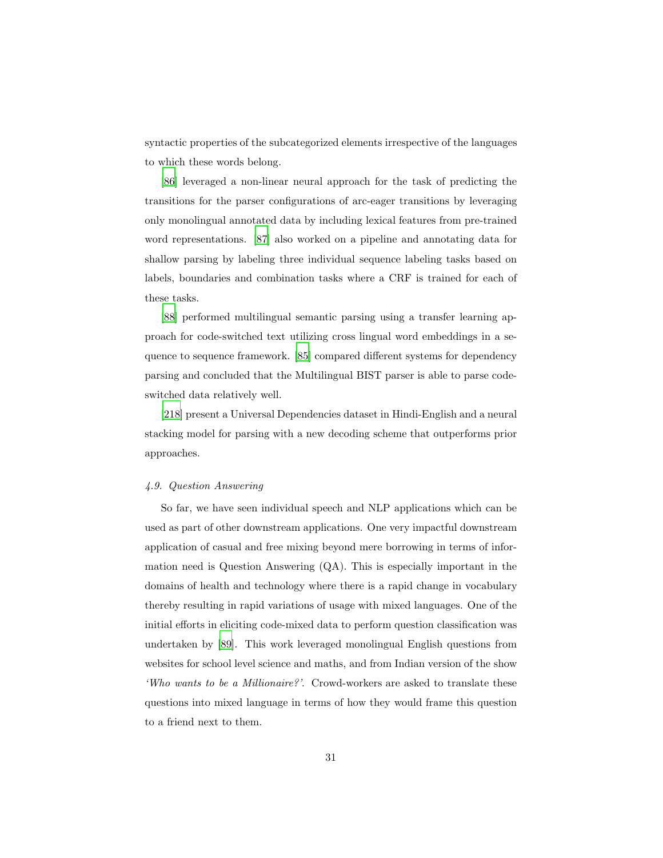syntactic properties of the subcategorized elements irrespective of the languages to which these words belong.

[\[86\]](#page-49-0) leveraged a non-linear neural approach for the task of predicting the transitions for the parser configurations of arc-eager transitions by leveraging only monolingual annotated data by including lexical features from pre-trained word representations. [\[87\]](#page-49-1) also worked on a pipeline and annotating data for shallow parsing by labeling three individual sequence labeling tasks based on labels, boundaries and combination tasks where a CRF is trained for each of these tasks.

[\[88\]](#page-49-2) performed multilingual semantic parsing using a transfer learning approach for code-switched text utilizing cross lingual word embeddings in a sequence to sequence framework. [\[85\]](#page-48-7) compared different systems for dependency parsing and concluded that the Multilingual BIST parser is able to parse codeswitched data relatively well.

[\[218\]](#page-64-2) present a Universal Dependencies dataset in Hindi-English and a neural stacking model for parsing with a new decoding scheme that outperforms prior approaches.

#### *4.9. Question Answering*

So far, we have seen individual speech and NLP applications which can be used as part of other downstream applications. One very impactful downstream application of casual and free mixing beyond mere borrowing in terms of information need is Question Answering (QA). This is especially important in the domains of health and technology where there is a rapid change in vocabulary thereby resulting in rapid variations of usage with mixed languages. One of the initial efforts in eliciting code-mixed data to perform question classification was undertaken by [\[89\]](#page-49-3). This work leveraged monolingual English questions from websites for school level science and maths, and from Indian version of the show *'Who wants to be a Millionaire?'*. Crowd-workers are asked to translate these questions into mixed language in terms of how they would frame this question to a friend next to them.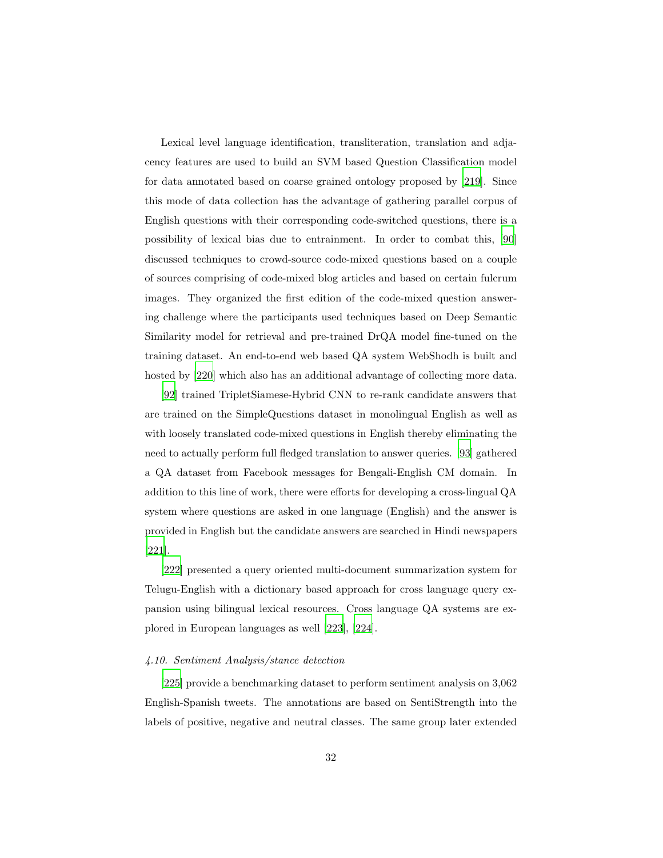Lexical level language identification, transliteration, translation and adjacency features are used to build an SVM based Question Classification model for data annotated based on coarse grained ontology proposed by [\[219\]](#page-64-3). Since this mode of data collection has the advantage of gathering parallel corpus of English questions with their corresponding code-switched questions, there is a possibility of lexical bias due to entrainment. In order to combat this, [\[90\]](#page-49-4) discussed techniques to crowd-source code-mixed questions based on a couple of sources comprising of code-mixed blog articles and based on certain fulcrum images. They organized the first edition of the code-mixed question answering challenge where the participants used techniques based on Deep Semantic Similarity model for retrieval and pre-trained DrQA model fine-tuned on the training dataset. An end-to-end web based QA system WebShodh is built and hosted by [\[220\]](#page-64-4) which also has an additional advantage of collecting more data.

[\[92\]](#page-49-6) trained TripletSiamese-Hybrid CNN to re-rank candidate answers that are trained on the SimpleQuestions dataset in monolingual English as well as with loosely translated code-mixed questions in English thereby eliminating the need to actually perform full fledged translation to answer queries. [\[93\]](#page-50-0) gathered a QA dataset from Facebook messages for Bengali-English CM domain. In addition to this line of work, there were efforts for developing a cross-lingual QA system where questions are asked in one language (English) and the answer is provided in English but the candidate answers are searched in Hindi newspapers [\[221\]](#page-64-5).

[\[222\]](#page-64-6) presented a query oriented multi-document summarization system for Telugu-English with a dictionary based approach for cross language query expansion using bilingual lexical resources. Cross language QA systems are explored in European languages as well [\[223\]](#page-64-7), [\[224](#page-64-8)].

## *4.10. Sentiment Analysis/stance detection*

[\[225\]](#page-65-0) provide a benchmarking dataset to perform sentiment analysis on 3,062 English-Spanish tweets. The annotations are based on SentiStrength into the labels of positive, negative and neutral classes. The same group later extended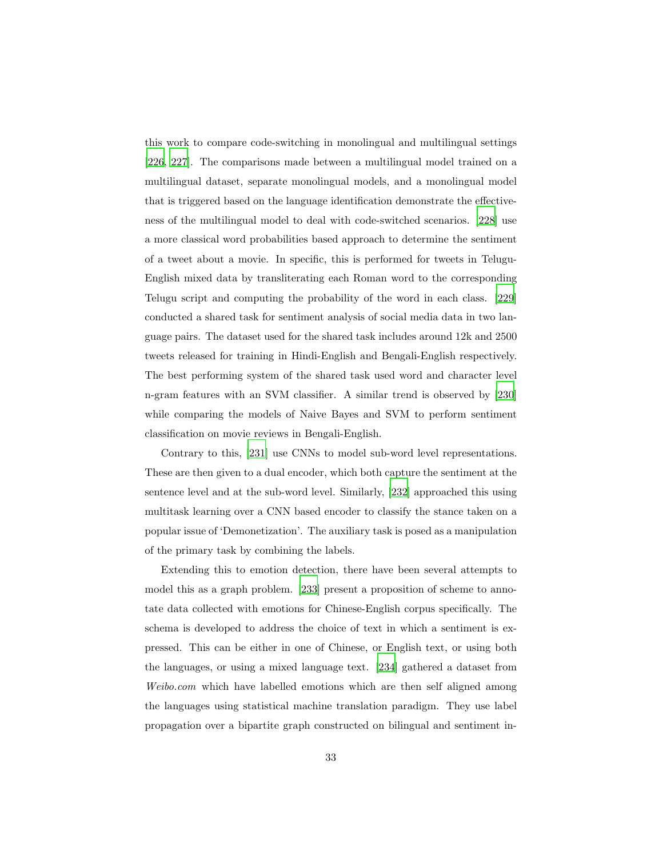this work to compare code-switching in monolingual and multilingual settings [\[226,](#page-65-1) [227](#page-65-2)]. The comparisons made between a multilingual model trained on a multilingual dataset, separate monolingual models, and a monolingual model that is triggered based on the language identification demonstrate the effectiveness of the multilingual model to deal with code-switched scenarios. [\[228](#page-65-3)] use a more classical word probabilities based approach to determine the sentiment of a tweet about a movie. In specific, this is performed for tweets in Telugu-English mixed data by transliterating each Roman word to the corresponding Telugu script and computing the probability of the word in each class. [\[229\]](#page-65-4) conducted a shared task for sentiment analysis of social media data in two language pairs. The dataset used for the shared task includes around 12k and 2500 tweets released for training in Hindi-English and Bengali-English respectively. The best performing system of the shared task used word and character level n-gram features with an SVM classifier. A similar trend is observed by [\[230\]](#page-65-5) while comparing the models of Naive Bayes and SVM to perform sentiment classification on movie reviews in Bengali-English.

Contrary to this, [\[231](#page-65-6)] use CNNs to model sub-word level representations. These are then given to a dual encoder, which both capture the sentiment at the sentence level and at the sub-word level. Similarly, [\[232\]](#page-65-7) approached this using multitask learning over a CNN based encoder to classify the stance taken on a popular issue of 'Demonetization'. The auxiliary task is posed as a manipulation of the primary task by combining the labels.

Extending this to emotion detection, there have been several attempts to model this as a graph problem. [\[233](#page-66-0)] present a proposition of scheme to annotate data collected with emotions for Chinese-English corpus specifically. The schema is developed to address the choice of text in which a sentiment is expressed. This can be either in one of Chinese, or English text, or using both the languages, or using a mixed language text. [\[234\]](#page-66-1) gathered a dataset from *Weibo.com* which have labelled emotions which are then self aligned among the languages using statistical machine translation paradigm. They use label propagation over a bipartite graph constructed on bilingual and sentiment in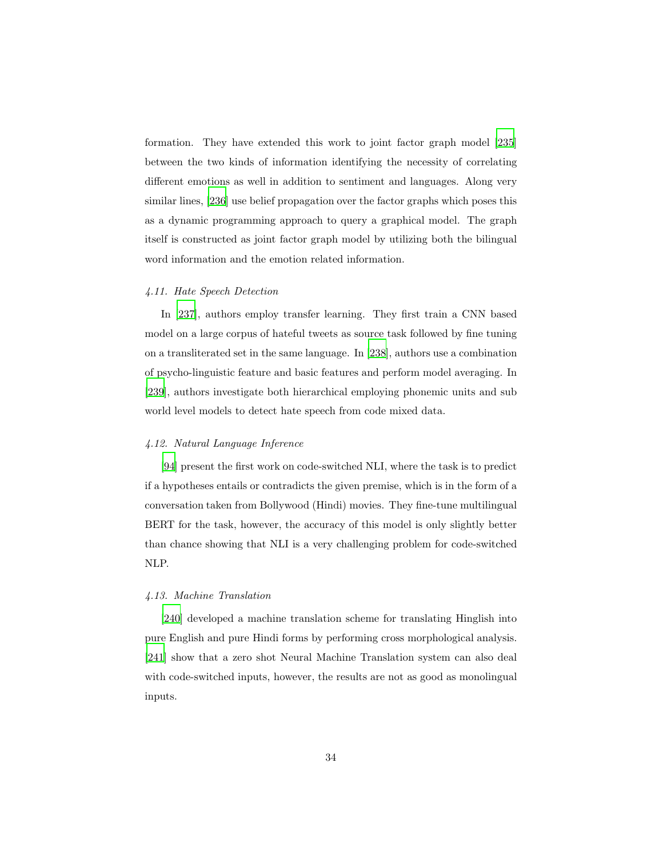formation. They have extended this work to joint factor graph model [\[235\]](#page-66-2) between the two kinds of information identifying the necessity of correlating different emotions as well in addition to sentiment and languages. Along very similar lines, [\[236\]](#page-66-3) use belief propagation over the factor graphs which poses this as a dynamic programming approach to query a graphical model. The graph itself is constructed as joint factor graph model by utilizing both the bilingual word information and the emotion related information.

## *4.11. Hate Speech Detection*

In [\[237\]](#page-66-4), authors employ transfer learning. They first train a CNN based model on a large corpus of hateful tweets as source task followed by fine tuning on a transliterated set in the same language. In [\[238\]](#page-66-5), authors use a combination of psycho-linguistic feature and basic features and perform model averaging. In [\[239\]](#page-66-6), authors investigate both hierarchical employing phonemic units and sub world level models to detect hate speech from code mixed data.

## *4.12. Natural Language Inference*

[\[94\]](#page-50-1) present the first work on code-switched NLI, where the task is to predict if a hypotheses entails or contradicts the given premise, which is in the form of a conversation taken from Bollywood (Hindi) movies. They fine-tune multilingual BERT for the task, however, the accuracy of this model is only slightly better than chance showing that NLI is a very challenging problem for code-switched NLP.

## *4.13. Machine Translation*

[\[240\]](#page-66-7) developed a machine translation scheme for translating Hinglish into pure English and pure Hindi forms by performing cross morphological analysis. [\[241\]](#page-66-8) show that a zero shot Neural Machine Translation system can also deal with code-switched inputs, however, the results are not as good as monolingual inputs.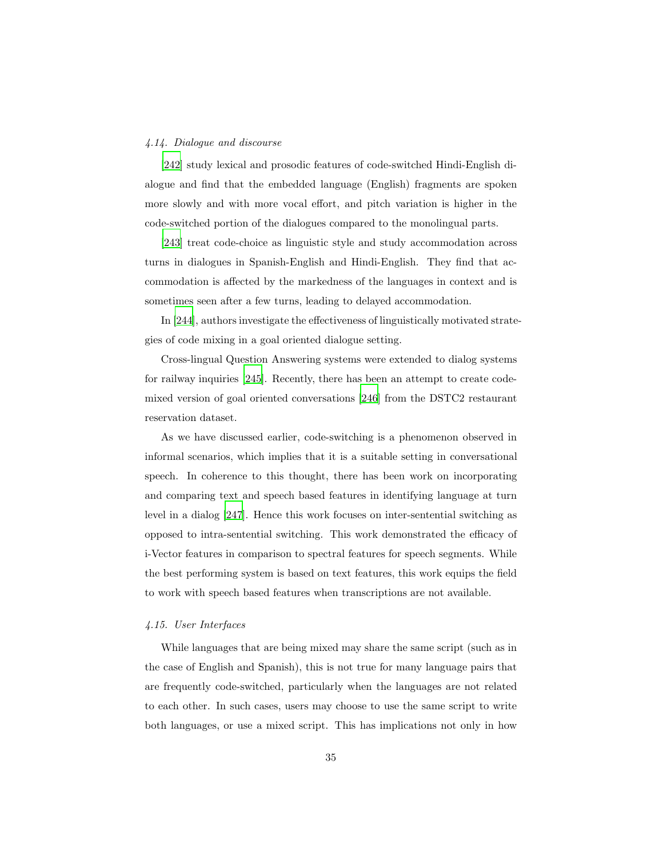#### *4.14. Dialogue and discourse*

[\[242\]](#page-67-0) study lexical and prosodic features of code-switched Hindi-English dialogue and find that the embedded language (English) fragments are spoken more slowly and with more vocal effort, and pitch variation is higher in the code-switched portion of the dialogues compared to the monolingual parts.

[\[243\]](#page-67-1) treat code-choice as linguistic style and study accommodation across turns in dialogues in Spanish-English and Hindi-English. They find that accommodation is affected by the markedness of the languages in context and is sometimes seen after a few turns, leading to delayed accommodation.

In [\[244\]](#page-67-2), authors investigate the effectiveness of linguistically motivated strategies of code mixing in a goal oriented dialogue setting.

Cross-lingual Question Answering systems were extended to dialog systems for railway inquiries [\[245\]](#page-67-3). Recently, there has been an attempt to create codemixed version of goal oriented conversations [\[246\]](#page-67-4) from the DSTC2 restaurant reservation dataset.

As we have discussed earlier, code-switching is a phenomenon observed in informal scenarios, which implies that it is a suitable setting in conversational speech. In coherence to this thought, there has been work on incorporating and comparing text and speech based features in identifying language at turn level in a dialog [\[247\]](#page-67-5). Hence this work focuses on inter-sentential switching as opposed to intra-sentential switching. This work demonstrated the efficacy of i-Vector features in comparison to spectral features for speech segments. While the best performing system is based on text features, this work equips the field to work with speech based features when transcriptions are not available.

# *4.15. User Interfaces*

While languages that are being mixed may share the same script (such as in the case of English and Spanish), this is not true for many language pairs that are frequently code-switched, particularly when the languages are not related to each other. In such cases, users may choose to use the same script to write both languages, or use a mixed script. This has implications not only in how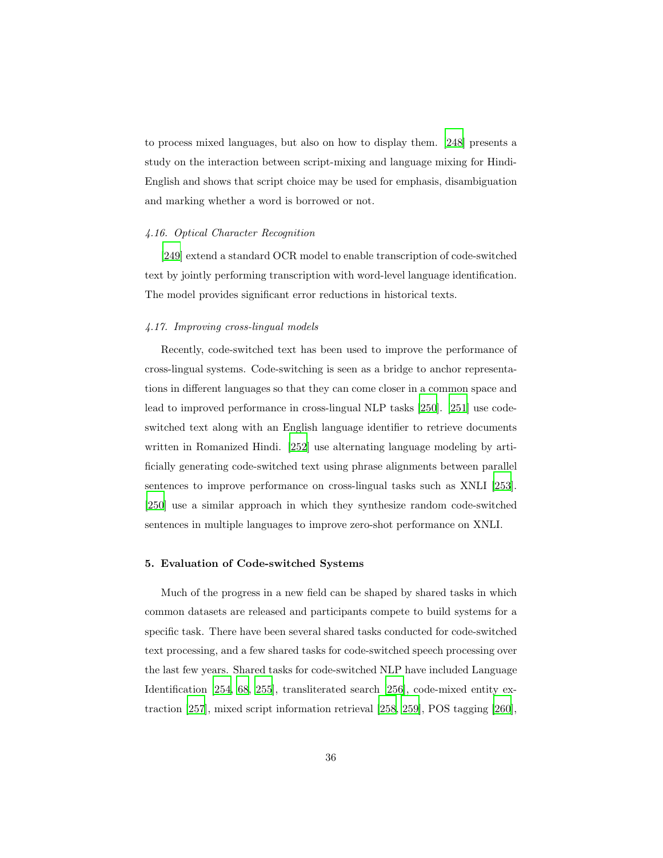to process mixed languages, but also on how to display them. [\[248\]](#page-67-6) presents a study on the interaction between script-mixing and language mixing for Hindi-English and shows that script choice may be used for emphasis, disambiguation and marking whether a word is borrowed or not.

## *4.16. Optical Character Recognition*

[\[249\]](#page-67-7) extend a standard OCR model to enable transcription of code-switched text by jointly performing transcription with word-level language identification. The model provides significant error reductions in historical texts.

## *4.17. Improving cross-lingual models*

Recently, code-switched text has been used to improve the performance of cross-lingual systems. Code-switching is seen as a bridge to anchor representations in different languages so that they can come closer in a common space and lead to improved performance in cross-lingual NLP tasks [\[250\]](#page-68-0). [\[251](#page-68-1)] use codeswitched text along with an English language identifier to retrieve documents written in Romanized Hindi. [\[252\]](#page-68-2) use alternating language modeling by artificially generating code-switched text using phrase alignments between parallel sentences to improve performance on cross-lingual tasks such as XNLI [\[253\]](#page-68-3). [\[250\]](#page-68-0) use a similar approach in which they synthesize random code-switched sentences in multiple languages to improve zero-shot performance on XNLI.

#### 5. Evaluation of Code-switched Systems

Much of the progress in a new field can be shaped by shared tasks in which common datasets are released and participants compete to build systems for a specific task. There have been several shared tasks conducted for code-switched text processing, and a few shared tasks for code-switched speech processing over the last few years. Shared tasks for code-switched NLP have included Language Identification [\[254,](#page-68-4) [68,](#page-46-6) [255\]](#page-68-5), transliterated search [\[256\]](#page-68-6), code-mixed entity extraction [\[257](#page-68-7)], mixed script information retrieval [\[258,](#page-69-0) [259\]](#page-69-1), POS tagging [\[260\]](#page-69-2),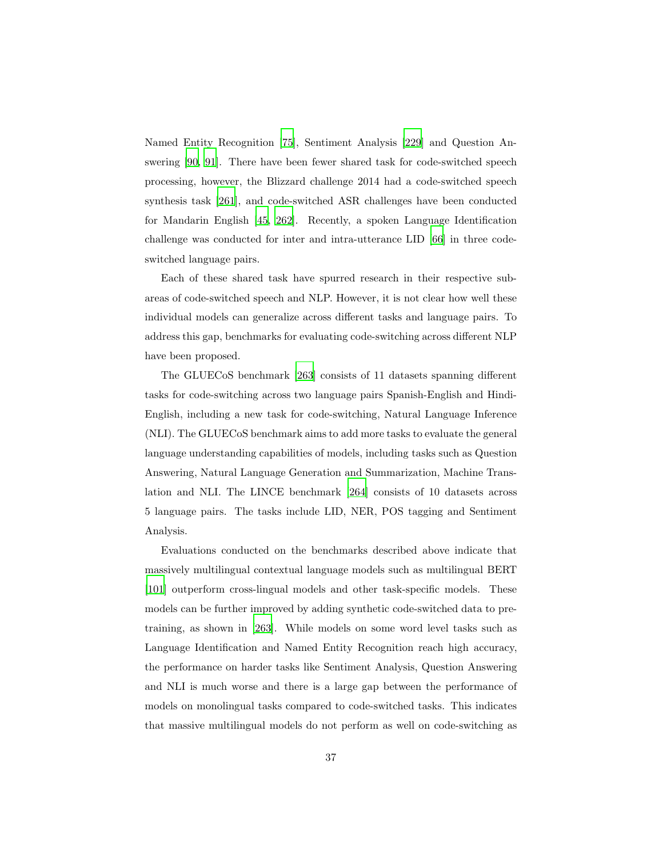Named Entity Recognition [\[75\]](#page-47-4), Sentiment Analysis [\[229](#page-65-4)] and Question Answering [\[90,](#page-49-4) [91\]](#page-49-5). There have been fewer shared task for code-switched speech processing, however, the Blizzard challenge 2014 had a code-switched speech synthesis task [\[261](#page-69-3)], and code-switched ASR challenges have been conducted for Mandarin English [\[45,](#page-44-0) [262\]](#page-69-4). Recently, a spoken Language Identification challenge was conducted for inter and intra-utterance LID [\[66](#page-46-4)] in three codeswitched language pairs.

Each of these shared task have spurred research in their respective subareas of code-switched speech and NLP. However, it is not clear how well these individual models can generalize across different tasks and language pairs. To address this gap, benchmarks for evaluating code-switching across different NLP have been proposed.

The GLUECoS benchmark [\[263\]](#page-69-5) consists of 11 datasets spanning different tasks for code-switching across two language pairs Spanish-English and Hindi-English, including a new task for code-switching, Natural Language Inference (NLI). The GLUECoS benchmark aims to add more tasks to evaluate the general language understanding capabilities of models, including tasks such as Question Answering, Natural Language Generation and Summarization, Machine Translation and NLI. The LINCE benchmark [\[264\]](#page-69-6) consists of 10 datasets across 5 language pairs. The tasks include LID, NER, POS tagging and Sentiment Analysis.

Evaluations conducted on the benchmarks described above indicate that massively multilingual contextual language models such as multilingual BERT [\[101\]](#page-50-8) outperform cross-lingual models and other task-specific models. These models can be further improved by adding synthetic code-switched data to pretraining, as shown in [\[263\]](#page-69-5). While models on some word level tasks such as Language Identification and Named Entity Recognition reach high accuracy, the performance on harder tasks like Sentiment Analysis, Question Answering and NLI is much worse and there is a large gap between the performance of models on monolingual tasks compared to code-switched tasks. This indicates that massive multilingual models do not perform as well on code-switching as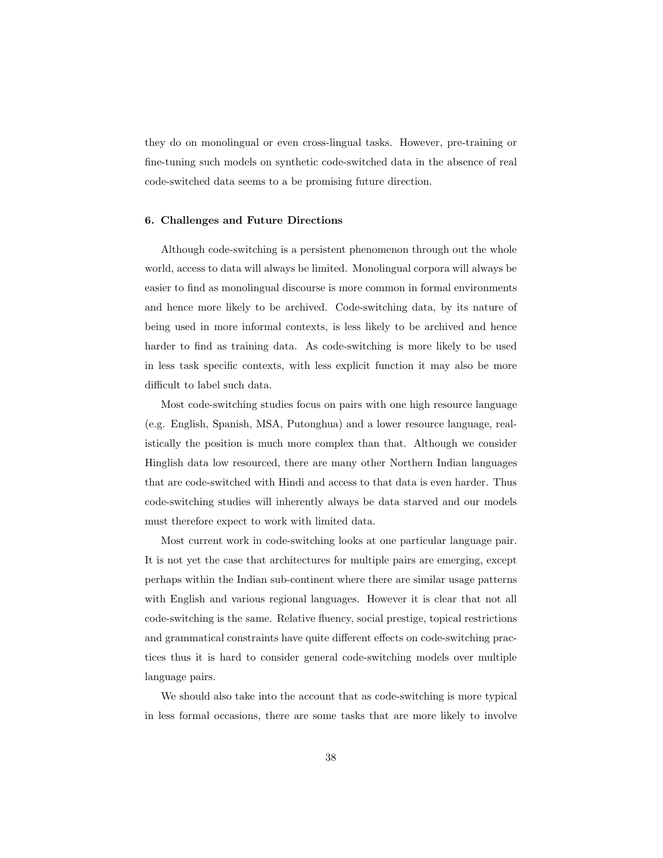they do on monolingual or even cross-lingual tasks. However, pre-training or fine-tuning such models on synthetic code-switched data in the absence of real code-switched data seems to a be promising future direction.

## 6. Challenges and Future Directions

Although code-switching is a persistent phenomenon through out the whole world, access to data will always be limited. Monolingual corpora will always be easier to find as monolingual discourse is more common in formal environments and hence more likely to be archived. Code-switching data, by its nature of being used in more informal contexts, is less likely to be archived and hence harder to find as training data. As code-switching is more likely to be used in less task specific contexts, with less explicit function it may also be more difficult to label such data.

Most code-switching studies focus on pairs with one high resource language (e.g. English, Spanish, MSA, Putonghua) and a lower resource language, realistically the position is much more complex than that. Although we consider Hinglish data low resourced, there are many other Northern Indian languages that are code-switched with Hindi and access to that data is even harder. Thus code-switching studies will inherently always be data starved and our models must therefore expect to work with limited data.

Most current work in code-switching looks at one particular language pair. It is not yet the case that architectures for multiple pairs are emerging, except perhaps within the Indian sub-continent where there are similar usage patterns with English and various regional languages. However it is clear that not all code-switching is the same. Relative fluency, social prestige, topical restrictions and grammatical constraints have quite different effects on code-switching practices thus it is hard to consider general code-switching models over multiple language pairs.

We should also take into the account that as code-switching is more typical in less formal occasions, there are some tasks that are more likely to involve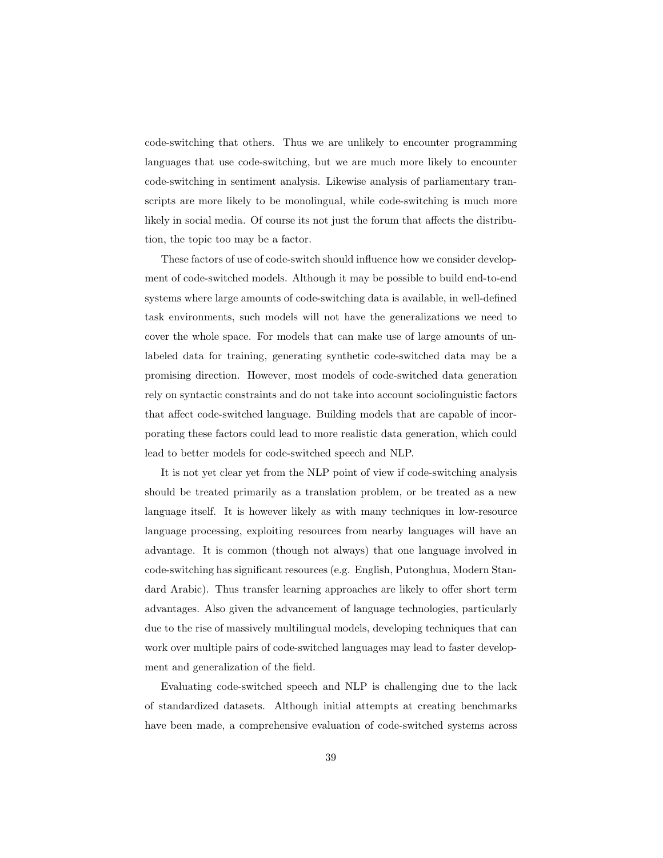code-switching that others. Thus we are unlikely to encounter programming languages that use code-switching, but we are much more likely to encounter code-switching in sentiment analysis. Likewise analysis of parliamentary transcripts are more likely to be monolingual, while code-switching is much more likely in social media. Of course its not just the forum that affects the distribution, the topic too may be a factor.

These factors of use of code-switch should influence how we consider development of code-switched models. Although it may be possible to build end-to-end systems where large amounts of code-switching data is available, in well-defined task environments, such models will not have the generalizations we need to cover the whole space. For models that can make use of large amounts of unlabeled data for training, generating synthetic code-switched data may be a promising direction. However, most models of code-switched data generation rely on syntactic constraints and do not take into account sociolinguistic factors that affect code-switched language. Building models that are capable of incorporating these factors could lead to more realistic data generation, which could lead to better models for code-switched speech and NLP.

It is not yet clear yet from the NLP point of view if code-switching analysis should be treated primarily as a translation problem, or be treated as a new language itself. It is however likely as with many techniques in low-resource language processing, exploiting resources from nearby languages will have an advantage. It is common (though not always) that one language involved in code-switching has significant resources (e.g. English, Putonghua, Modern Standard Arabic). Thus transfer learning approaches are likely to offer short term advantages. Also given the advancement of language technologies, particularly due to the rise of massively multilingual models, developing techniques that can work over multiple pairs of code-switched languages may lead to faster development and generalization of the field.

Evaluating code-switched speech and NLP is challenging due to the lack of standardized datasets. Although initial attempts at creating benchmarks have been made, a comprehensive evaluation of code-switched systems across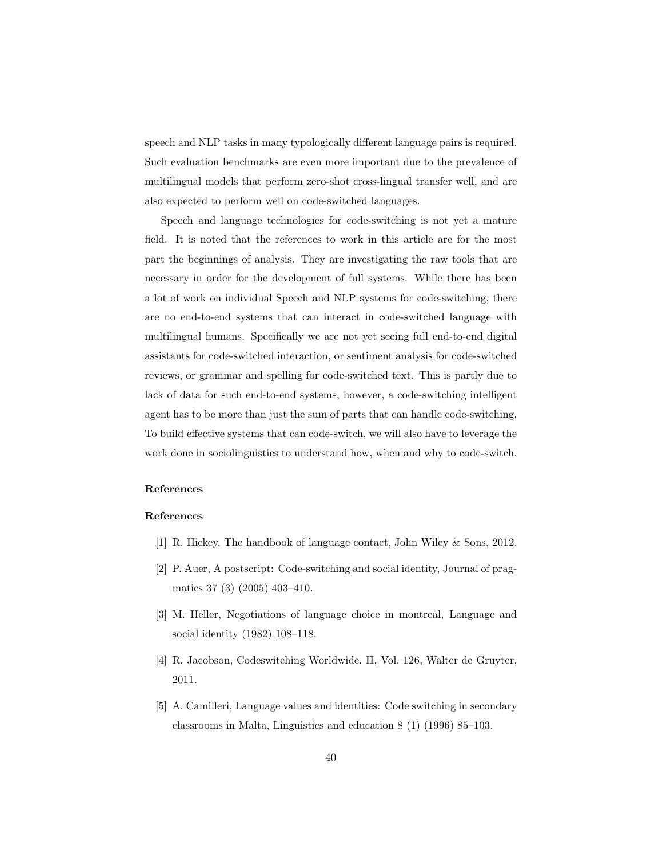speech and NLP tasks in many typologically different language pairs is required. Such evaluation benchmarks are even more important due to the prevalence of multilingual models that perform zero-shot cross-lingual transfer well, and are also expected to perform well on code-switched languages.

Speech and language technologies for code-switching is not yet a mature field. It is noted that the references to work in this article are for the most part the beginnings of analysis. They are investigating the raw tools that are necessary in order for the development of full systems. While there has been a lot of work on individual Speech and NLP systems for code-switching, there are no end-to-end systems that can interact in code-switched language with multilingual humans. Specifically we are not yet seeing full end-to-end digital assistants for code-switched interaction, or sentiment analysis for code-switched reviews, or grammar and spelling for code-switched text. This is partly due to lack of data for such end-to-end systems, however, a code-switching intelligent agent has to be more than just the sum of parts that can handle code-switching. To build effective systems that can code-switch, we will also have to leverage the work done in sociolinguistics to understand how, when and why to code-switch.

# References

#### References

- <span id="page-39-0"></span>[1] R. Hickey, The handbook of language contact, John Wiley & Sons, 2012.
- <span id="page-39-1"></span>[2] P. Auer, A postscript: Code-switching and social identity, Journal of pragmatics 37 (3) (2005) 403–410.
- <span id="page-39-2"></span>[3] M. Heller, Negotiations of language choice in montreal, Language and social identity (1982) 108–118.
- <span id="page-39-3"></span>[4] R. Jacobson, Codeswitching Worldwide. II, Vol. 126, Walter de Gruyter, 2011.
- <span id="page-39-4"></span>[5] A. Camilleri, Language values and identities: Code switching in secondary classrooms in Malta, Linguistics and education 8 (1) (1996) 85–103.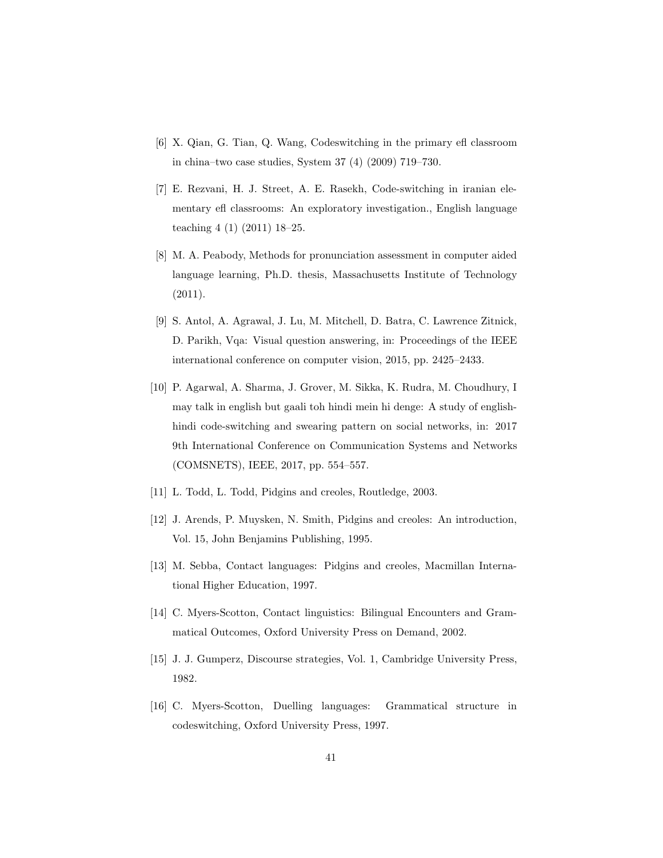- <span id="page-40-0"></span>[6] X. Qian, G. Tian, Q. Wang, Codeswitching in the primary efl classroom in china–two case studies, System 37 (4) (2009) 719–730.
- <span id="page-40-1"></span>[7] E. Rezvani, H. J. Street, A. E. Rasekh, Code-switching in iranian elementary efl classrooms: An exploratory investigation., English language teaching 4 (1) (2011) 18–25.
- <span id="page-40-2"></span>[8] M. A. Peabody, Methods for pronunciation assessment in computer aided language learning, Ph.D. thesis, Massachusetts Institute of Technology (2011).
- <span id="page-40-3"></span>[9] S. Antol, A. Agrawal, J. Lu, M. Mitchell, D. Batra, C. Lawrence Zitnick, D. Parikh, Vqa: Visual question answering, in: Proceedings of the IEEE international conference on computer vision, 2015, pp. 2425–2433.
- <span id="page-40-4"></span>[10] P. Agarwal, A. Sharma, J. Grover, M. Sikka, K. Rudra, M. Choudhury, I may talk in english but gaali toh hindi mein hi denge: A study of englishhindi code-switching and swearing pattern on social networks, in: 2017 9th International Conference on Communication Systems and Networks (COMSNETS), IEEE, 2017, pp. 554–557.
- <span id="page-40-5"></span>[11] L. Todd, L. Todd, Pidgins and creoles, Routledge, 2003.
- <span id="page-40-6"></span>[12] J. Arends, P. Muysken, N. Smith, Pidgins and creoles: An introduction, Vol. 15, John Benjamins Publishing, 1995.
- <span id="page-40-7"></span>[13] M. Sebba, Contact languages: Pidgins and creoles, Macmillan International Higher Education, 1997.
- <span id="page-40-8"></span>[14] C. Myers-Scotton, Contact linguistics: Bilingual Encounters and Grammatical Outcomes, Oxford University Press on Demand, 2002.
- <span id="page-40-9"></span>[15] J. J. Gumperz, Discourse strategies, Vol. 1, Cambridge University Press, 1982.
- <span id="page-40-10"></span>[16] C. Myers-Scotton, Duelling languages: Grammatical structure in codeswitching, Oxford University Press, 1997.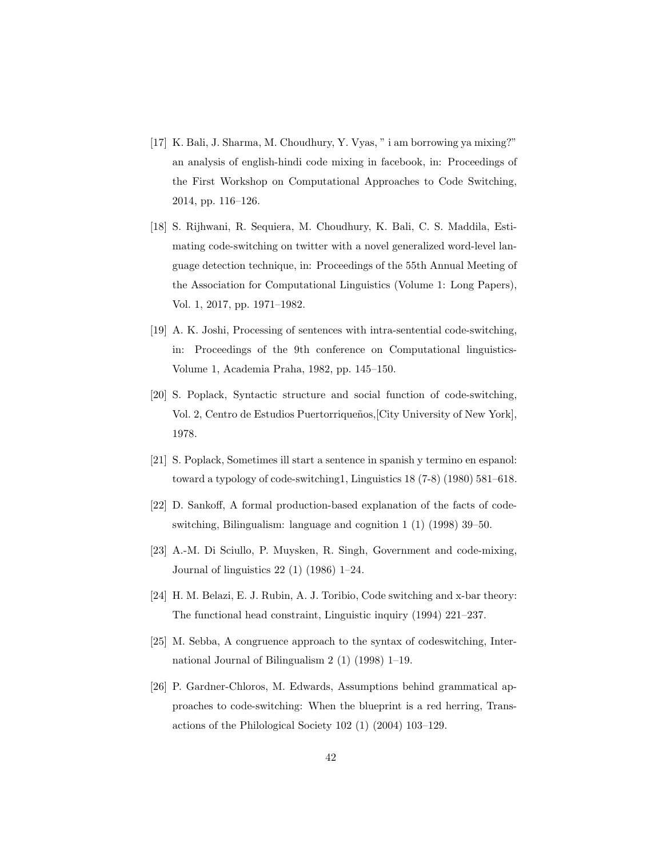- <span id="page-41-0"></span>[17] K. Bali, J. Sharma, M. Choudhury, Y. Vyas, " i am borrowing ya mixing?" an analysis of english-hindi code mixing in facebook, in: Proceedings of the First Workshop on Computational Approaches to Code Switching, 2014, pp. 116–126.
- <span id="page-41-1"></span>[18] S. Rijhwani, R. Sequiera, M. Choudhury, K. Bali, C. S. Maddila, Estimating code-switching on twitter with a novel generalized word-level language detection technique, in: Proceedings of the 55th Annual Meeting of the Association for Computational Linguistics (Volume 1: Long Papers), Vol. 1, 2017, pp. 1971–1982.
- <span id="page-41-2"></span>[19] A. K. Joshi, Processing of sentences with intra-sentential code-switching, in: Proceedings of the 9th conference on Computational linguistics-Volume 1, Academia Praha, 1982, pp. 145–150.
- <span id="page-41-3"></span>[20] S. Poplack, Syntactic structure and social function of code-switching, Vol. 2, Centro de Estudios Puertorriqueños, City University of New York. 1978.
- <span id="page-41-4"></span>[21] S. Poplack, Sometimes ill start a sentence in spanish y termino en espanol: toward a typology of code-switching1, Linguistics 18 (7-8) (1980) 581–618.
- <span id="page-41-5"></span>[22] D. Sankoff, A formal production-based explanation of the facts of codeswitching, Bilingualism: language and cognition 1 (1) (1998) 39–50.
- <span id="page-41-6"></span>[23] A.-M. Di Sciullo, P. Muysken, R. Singh, Government and code-mixing, Journal of linguistics 22 (1) (1986) 1–24.
- <span id="page-41-7"></span>[24] H. M. Belazi, E. J. Rubin, A. J. Toribio, Code switching and x-bar theory: The functional head constraint, Linguistic inquiry (1994) 221–237.
- <span id="page-41-8"></span>[25] M. Sebba, A congruence approach to the syntax of codeswitching, International Journal of Bilingualism 2 (1) (1998) 1–19.
- <span id="page-41-9"></span>[26] P. Gardner-Chloros, M. Edwards, Assumptions behind grammatical approaches to code-switching: When the blueprint is a red herring, Transactions of the Philological Society 102 (1) (2004) 103–129.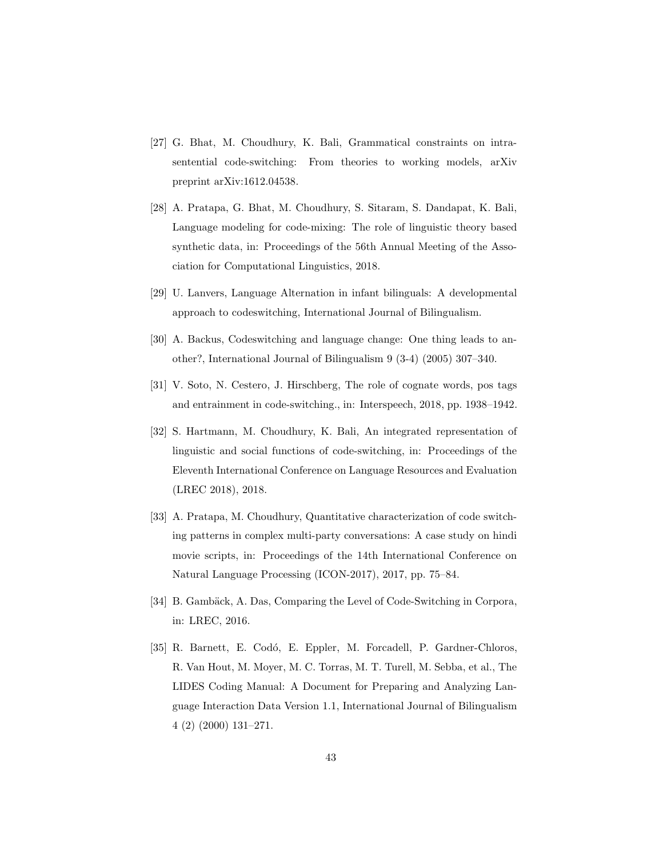- <span id="page-42-0"></span>[27] G. Bhat, M. Choudhury, K. Bali, Grammatical constraints on intrasentential code-switching: From theories to working models, arXiv preprint arXiv:1612.04538.
- <span id="page-42-1"></span>[28] A. Pratapa, G. Bhat, M. Choudhury, S. Sitaram, S. Dandapat, K. Bali, Language modeling for code-mixing: The role of linguistic theory based synthetic data, in: Proceedings of the 56th Annual Meeting of the Association for Computational Linguistics, 2018.
- <span id="page-42-2"></span>[29] U. Lanvers, Language Alternation in infant bilinguals: A developmental approach to codeswitching, International Journal of Bilingualism.
- <span id="page-42-3"></span>[30] A. Backus, Codeswitching and language change: One thing leads to another?, International Journal of Bilingualism 9 (3-4) (2005) 307–340.
- <span id="page-42-4"></span>[31] V. Soto, N. Cestero, J. Hirschberg, The role of cognate words, pos tags and entrainment in code-switching., in: Interspeech, 2018, pp. 1938–1942.
- <span id="page-42-5"></span>[32] S. Hartmann, M. Choudhury, K. Bali, An integrated representation of linguistic and social functions of code-switching, in: Proceedings of the Eleventh International Conference on Language Resources and Evaluation (LREC 2018), 2018.
- <span id="page-42-6"></span>[33] A. Pratapa, M. Choudhury, Quantitative characterization of code switching patterns in complex multi-party conversations: A case study on hindi movie scripts, in: Proceedings of the 14th International Conference on Natural Language Processing (ICON-2017), 2017, pp. 75–84.
- <span id="page-42-7"></span>[34] B. Gambäck, A. Das, Comparing the Level of Code-Switching in Corpora, in: LREC, 2016.
- <span id="page-42-8"></span>[35] R. Barnett, E. Codó, E. Eppler, M. Forcadell, P. Gardner-Chloros, R. Van Hout, M. Moyer, M. C. Torras, M. T. Turell, M. Sebba, et al., The LIDES Coding Manual: A Document for Preparing and Analyzing Language Interaction Data Version 1.1, International Journal of Bilingualism 4 (2) (2000) 131–271.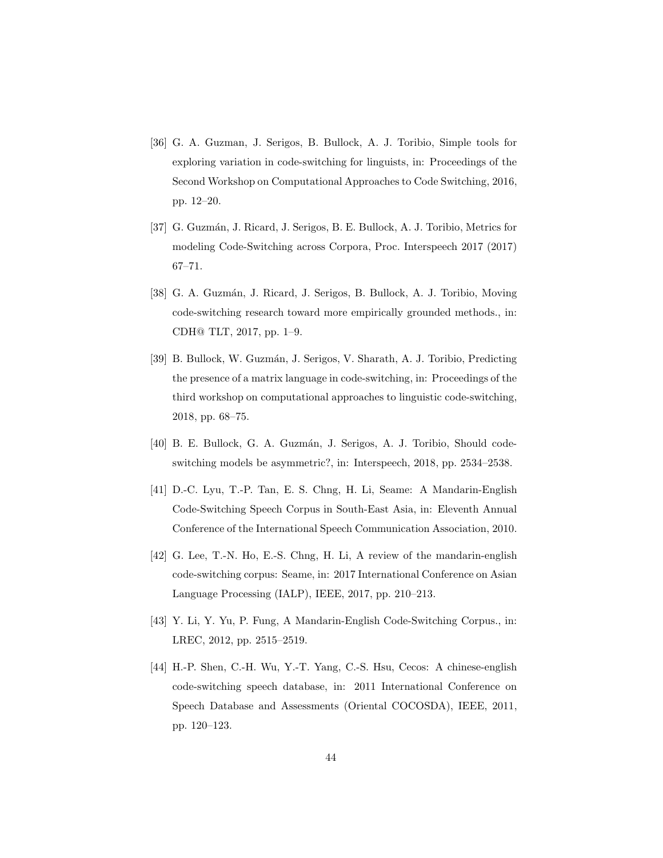- <span id="page-43-0"></span>[36] G. A. Guzman, J. Serigos, B. Bullock, A. J. Toribio, Simple tools for exploring variation in code-switching for linguists, in: Proceedings of the Second Workshop on Computational Approaches to Code Switching, 2016, pp. 12–20.
- <span id="page-43-1"></span>[37] G. Guzmán, J. Ricard, J. Serigos, B. E. Bullock, A. J. Toribio, Metrics for modeling Code-Switching across Corpora, Proc. Interspeech 2017 (2017) 67–71.
- <span id="page-43-2"></span>[38] G. A. Guzmán, J. Ricard, J. Serigos, B. Bullock, A. J. Toribio, Moving code-switching research toward more empirically grounded methods., in: CDH@ TLT, 2017, pp. 1–9.
- <span id="page-43-3"></span>[39] B. Bullock, W. Guzmán, J. Serigos, V. Sharath, A. J. Toribio, Predicting the presence of a matrix language in code-switching, in: Proceedings of the third workshop on computational approaches to linguistic code-switching, 2018, pp. 68–75.
- <span id="page-43-4"></span>[40] B. E. Bullock, G. A. Guzm´an, J. Serigos, A. J. Toribio, Should codeswitching models be asymmetric?, in: Interspeech, 2018, pp. 2534–2538.
- <span id="page-43-5"></span>[41] D.-C. Lyu, T.-P. Tan, E. S. Chng, H. Li, Seame: A Mandarin-English Code-Switching Speech Corpus in South-East Asia, in: Eleventh Annual Conference of the International Speech Communication Association, 2010.
- <span id="page-43-6"></span>[42] G. Lee, T.-N. Ho, E.-S. Chng, H. Li, A review of the mandarin-english code-switching corpus: Seame, in: 2017 International Conference on Asian Language Processing (IALP), IEEE, 2017, pp. 210–213.
- <span id="page-43-7"></span>[43] Y. Li, Y. Yu, P. Fung, A Mandarin-English Code-Switching Corpus., in: LREC, 2012, pp. 2515–2519.
- <span id="page-43-8"></span>[44] H.-P. Shen, C.-H. Wu, Y.-T. Yang, C.-S. Hsu, Cecos: A chinese-english code-switching speech database, in: 2011 International Conference on Speech Database and Assessments (Oriental COCOSDA), IEEE, 2011, pp. 120–123.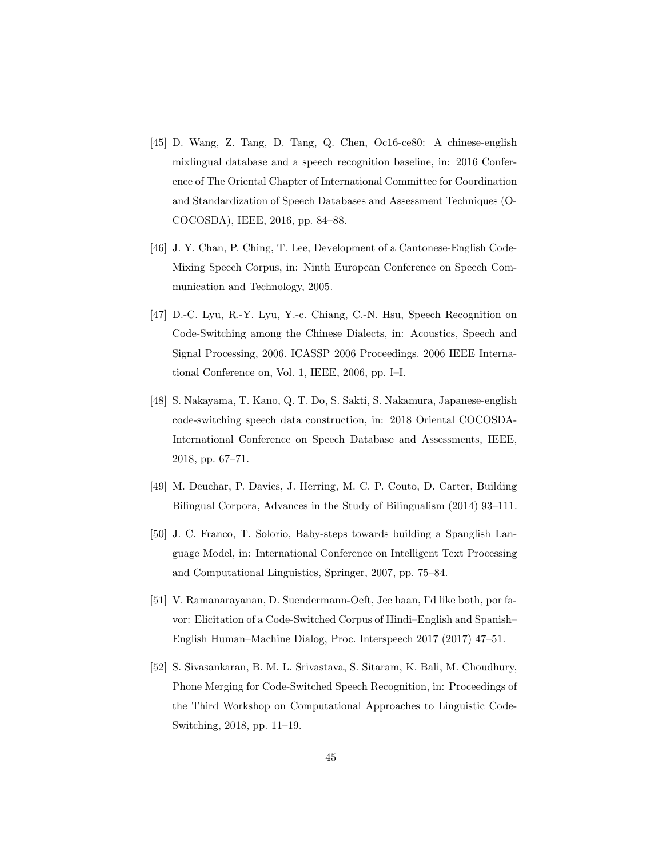- <span id="page-44-0"></span>[45] D. Wang, Z. Tang, D. Tang, Q. Chen, Oc16-ce80: A chinese-english mixlingual database and a speech recognition baseline, in: 2016 Conference of The Oriental Chapter of International Committee for Coordination and Standardization of Speech Databases and Assessment Techniques (O-COCOSDA), IEEE, 2016, pp. 84–88.
- <span id="page-44-1"></span>[46] J. Y. Chan, P. Ching, T. Lee, Development of a Cantonese-English Code-Mixing Speech Corpus, in: Ninth European Conference on Speech Communication and Technology, 2005.
- <span id="page-44-2"></span>[47] D.-C. Lyu, R.-Y. Lyu, Y.-c. Chiang, C.-N. Hsu, Speech Recognition on Code-Switching among the Chinese Dialects, in: Acoustics, Speech and Signal Processing, 2006. ICASSP 2006 Proceedings. 2006 IEEE International Conference on, Vol. 1, IEEE, 2006, pp. I–I.
- <span id="page-44-3"></span>[48] S. Nakayama, T. Kano, Q. T. Do, S. Sakti, S. Nakamura, Japanese-english code-switching speech data construction, in: 2018 Oriental COCOSDA-International Conference on Speech Database and Assessments, IEEE, 2018, pp. 67–71.
- <span id="page-44-4"></span>[49] M. Deuchar, P. Davies, J. Herring, M. C. P. Couto, D. Carter, Building Bilingual Corpora, Advances in the Study of Bilingualism (2014) 93–111.
- <span id="page-44-5"></span>[50] J. C. Franco, T. Solorio, Baby-steps towards building a Spanglish Language Model, in: International Conference on Intelligent Text Processing and Computational Linguistics, Springer, 2007, pp. 75–84.
- <span id="page-44-6"></span>[51] V. Ramanarayanan, D. Suendermann-Oeft, Jee haan, I'd like both, por favor: Elicitation of a Code-Switched Corpus of Hindi–English and Spanish– English Human–Machine Dialog, Proc. Interspeech 2017 (2017) 47–51.
- <span id="page-44-7"></span>[52] S. Sivasankaran, B. M. L. Srivastava, S. Sitaram, K. Bali, M. Choudhury, Phone Merging for Code-Switched Speech Recognition, in: Proceedings of the Third Workshop on Computational Approaches to Linguistic Code-Switching, 2018, pp. 11–19.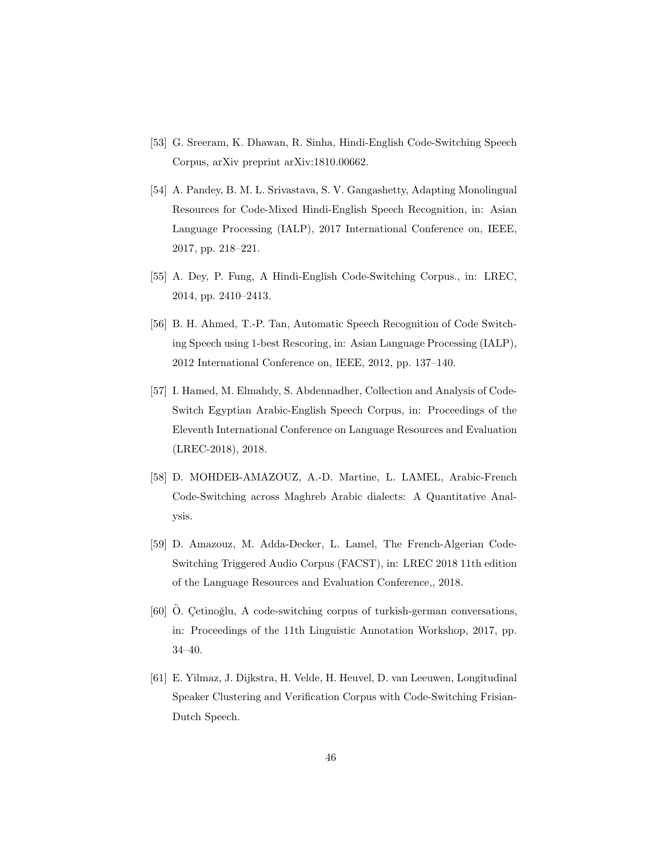- <span id="page-45-0"></span>[53] G. Sreeram, K. Dhawan, R. Sinha, Hindi-English Code-Switching Speech Corpus, arXiv preprint arXiv:1810.00662.
- <span id="page-45-1"></span>[54] A. Pandey, B. M. L. Srivastava, S. V. Gangashetty, Adapting Monolingual Resources for Code-Mixed Hindi-English Speech Recognition, in: Asian Language Processing (IALP), 2017 International Conference on, IEEE, 2017, pp. 218–221.
- <span id="page-45-2"></span>[55] A. Dey, P. Fung, A Hindi-English Code-Switching Corpus., in: LREC, 2014, pp. 2410–2413.
- <span id="page-45-3"></span>[56] B. H. Ahmed, T.-P. Tan, Automatic Speech Recognition of Code Switching Speech using 1-best Rescoring, in: Asian Language Processing (IALP), 2012 International Conference on, IEEE, 2012, pp. 137–140.
- <span id="page-45-4"></span>[57] I. Hamed, M. Elmahdy, S. Abdennadher, Collection and Analysis of Code-Switch Egyptian Arabic-English Speech Corpus, in: Proceedings of the Eleventh International Conference on Language Resources and Evaluation (LREC-2018), 2018.
- <span id="page-45-5"></span>[58] D. MOHDEB-AMAZOUZ, A.-D. Martine, L. LAMEL, Arabic-French Code-Switching across Maghreb Arabic dialects: A Quantitative Analysis.
- <span id="page-45-6"></span>[59] D. Amazouz, M. Adda-Decker, L. Lamel, The French-Algerian Code-Switching Triggered Audio Corpus (FACST), in: LREC 2018 11th edition of the Language Resources and Evaluation Conference,, 2018.
- <span id="page-45-7"></span>[60] O. Cetinoğlu, A code-switching corpus of turkish-german conversations, in: Proceedings of the 11th Linguistic Annotation Workshop, 2017, pp. 34–40.
- <span id="page-45-8"></span>[61] E. Yilmaz, J. Dijkstra, H. Velde, H. Heuvel, D. van Leeuwen, Longitudinal Speaker Clustering and Verification Corpus with Code-Switching Frisian-Dutch Speech.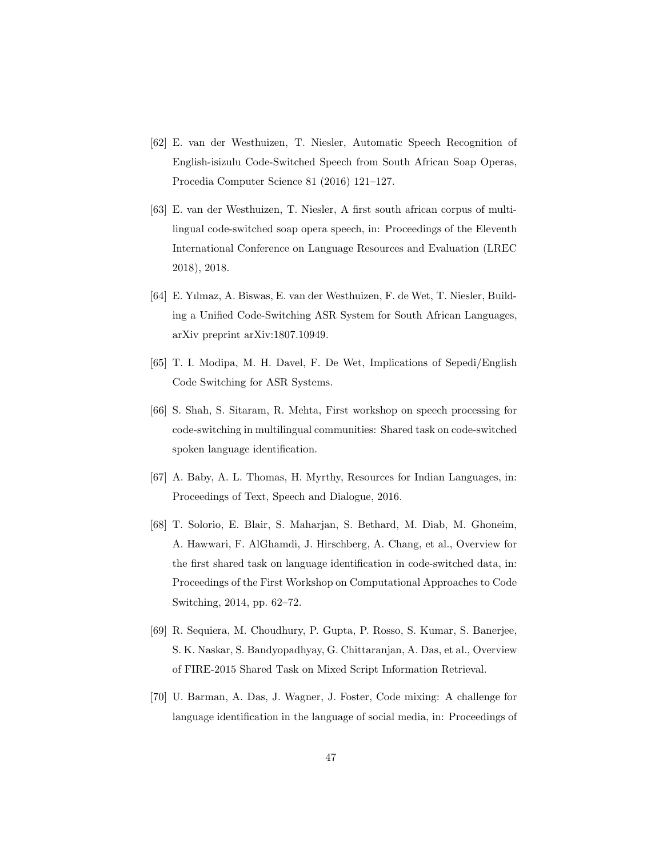- <span id="page-46-0"></span>[62] E. van der Westhuizen, T. Niesler, Automatic Speech Recognition of English-isizulu Code-Switched Speech from South African Soap Operas, Procedia Computer Science 81 (2016) 121–127.
- <span id="page-46-1"></span>[63] E. van der Westhuizen, T. Niesler, A first south african corpus of multilingual code-switched soap opera speech, in: Proceedings of the Eleventh International Conference on Language Resources and Evaluation (LREC 2018), 2018.
- <span id="page-46-2"></span>[64] E. Yılmaz, A. Biswas, E. van der Westhuizen, F. de Wet, T. Niesler, Building a Unified Code-Switching ASR System for South African Languages, arXiv preprint arXiv:1807.10949.
- <span id="page-46-3"></span>[65] T. I. Modipa, M. H. Davel, F. De Wet, Implications of Sepedi/English Code Switching for ASR Systems.
- <span id="page-46-4"></span>[66] S. Shah, S. Sitaram, R. Mehta, First workshop on speech processing for code-switching in multilingual communities: Shared task on code-switched spoken language identification.
- <span id="page-46-5"></span>[67] A. Baby, A. L. Thomas, H. Myrthy, Resources for Indian Languages, in: Proceedings of Text, Speech and Dialogue, 2016.
- <span id="page-46-6"></span>[68] T. Solorio, E. Blair, S. Maharjan, S. Bethard, M. Diab, M. Ghoneim, A. Hawwari, F. AlGhamdi, J. Hirschberg, A. Chang, et al., Overview for the first shared task on language identification in code-switched data, in: Proceedings of the First Workshop on Computational Approaches to Code Switching, 2014, pp. 62–72.
- <span id="page-46-7"></span>[69] R. Sequiera, M. Choudhury, P. Gupta, P. Rosso, S. Kumar, S. Banerjee, S. K. Naskar, S. Bandyopadhyay, G. Chittaranjan, A. Das, et al., Overview of FIRE-2015 Shared Task on Mixed Script Information Retrieval.
- <span id="page-46-8"></span>[70] U. Barman, A. Das, J. Wagner, J. Foster, Code mixing: A challenge for language identification in the language of social media, in: Proceedings of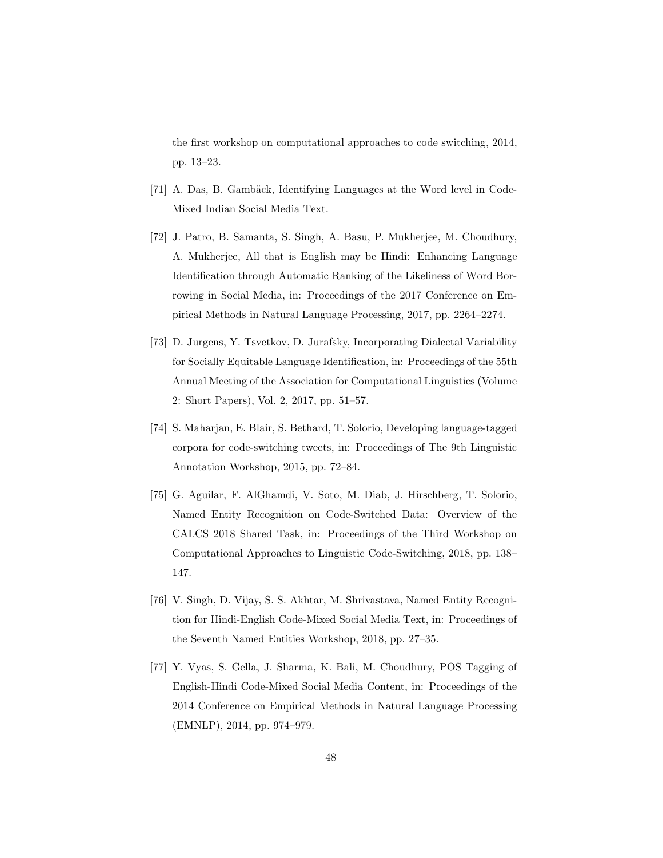the first workshop on computational approaches to code switching, 2014, pp. 13–23.

- <span id="page-47-0"></span>[71] A. Das, B. Gambäck, Identifying Languages at the Word level in Code-Mixed Indian Social Media Text.
- <span id="page-47-1"></span>[72] J. Patro, B. Samanta, S. Singh, A. Basu, P. Mukherjee, M. Choudhury, A. Mukherjee, All that is English may be Hindi: Enhancing Language Identification through Automatic Ranking of the Likeliness of Word Borrowing in Social Media, in: Proceedings of the 2017 Conference on Empirical Methods in Natural Language Processing, 2017, pp. 2264–2274.
- <span id="page-47-2"></span>[73] D. Jurgens, Y. Tsvetkov, D. Jurafsky, Incorporating Dialectal Variability for Socially Equitable Language Identification, in: Proceedings of the 55th Annual Meeting of the Association for Computational Linguistics (Volume 2: Short Papers), Vol. 2, 2017, pp. 51–57.
- <span id="page-47-3"></span>[74] S. Maharjan, E. Blair, S. Bethard, T. Solorio, Developing language-tagged corpora for code-switching tweets, in: Proceedings of The 9th Linguistic Annotation Workshop, 2015, pp. 72–84.
- <span id="page-47-4"></span>[75] G. Aguilar, F. AlGhamdi, V. Soto, M. Diab, J. Hirschberg, T. Solorio, Named Entity Recognition on Code-Switched Data: Overview of the CALCS 2018 Shared Task, in: Proceedings of the Third Workshop on Computational Approaches to Linguistic Code-Switching, 2018, pp. 138– 147.
- <span id="page-47-5"></span>[76] V. Singh, D. Vijay, S. S. Akhtar, M. Shrivastava, Named Entity Recognition for Hindi-English Code-Mixed Social Media Text, in: Proceedings of the Seventh Named Entities Workshop, 2018, pp. 27–35.
- <span id="page-47-6"></span>[77] Y. Vyas, S. Gella, J. Sharma, K. Bali, M. Choudhury, POS Tagging of English-Hindi Code-Mixed Social Media Content, in: Proceedings of the 2014 Conference on Empirical Methods in Natural Language Processing (EMNLP), 2014, pp. 974–979.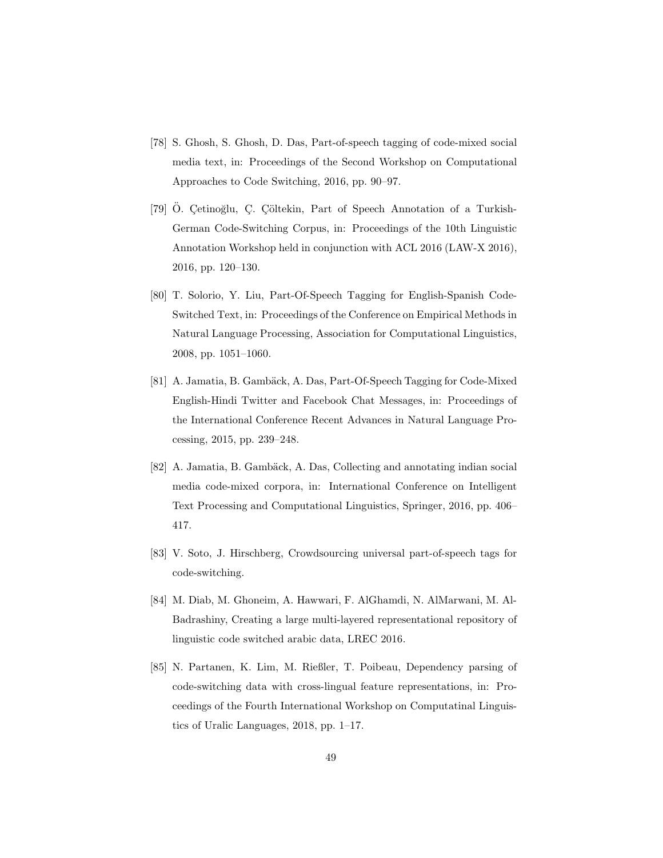- <span id="page-48-0"></span>[78] S. Ghosh, S. Ghosh, D. Das, Part-of-speech tagging of code-mixed social media text, in: Proceedings of the Second Workshop on Computational Approaches to Code Switching, 2016, pp. 90–97.
- <span id="page-48-1"></span>[79] Ö. Çetinoğlu, Ç. Çöltekin, Part of Speech Annotation of a Turkish-German Code-Switching Corpus, in: Proceedings of the 10th Linguistic Annotation Workshop held in conjunction with ACL 2016 (LAW-X 2016), 2016, pp. 120–130.
- <span id="page-48-2"></span>[80] T. Solorio, Y. Liu, Part-Of-Speech Tagging for English-Spanish Code-Switched Text, in: Proceedings of the Conference on Empirical Methods in Natural Language Processing, Association for Computational Linguistics, 2008, pp. 1051–1060.
- <span id="page-48-3"></span>[81] A. Jamatia, B. Gambäck, A. Das, Part-Of-Speech Tagging for Code-Mixed English-Hindi Twitter and Facebook Chat Messages, in: Proceedings of the International Conference Recent Advances in Natural Language Processing, 2015, pp. 239–248.
- <span id="page-48-4"></span>[82] A. Jamatia, B. Gambäck, A. Das, Collecting and annotating indian social media code-mixed corpora, in: International Conference on Intelligent Text Processing and Computational Linguistics, Springer, 2016, pp. 406– 417.
- <span id="page-48-5"></span>[83] V. Soto, J. Hirschberg, Crowdsourcing universal part-of-speech tags for code-switching.
- <span id="page-48-6"></span>[84] M. Diab, M. Ghoneim, A. Hawwari, F. AlGhamdi, N. AlMarwani, M. Al-Badrashiny, Creating a large multi-layered representational repository of linguistic code switched arabic data, LREC 2016.
- <span id="page-48-7"></span>[85] N. Partanen, K. Lim, M. Rießler, T. Poibeau, Dependency parsing of code-switching data with cross-lingual feature representations, in: Proceedings of the Fourth International Workshop on Computatinal Linguistics of Uralic Languages, 2018, pp. 1–17.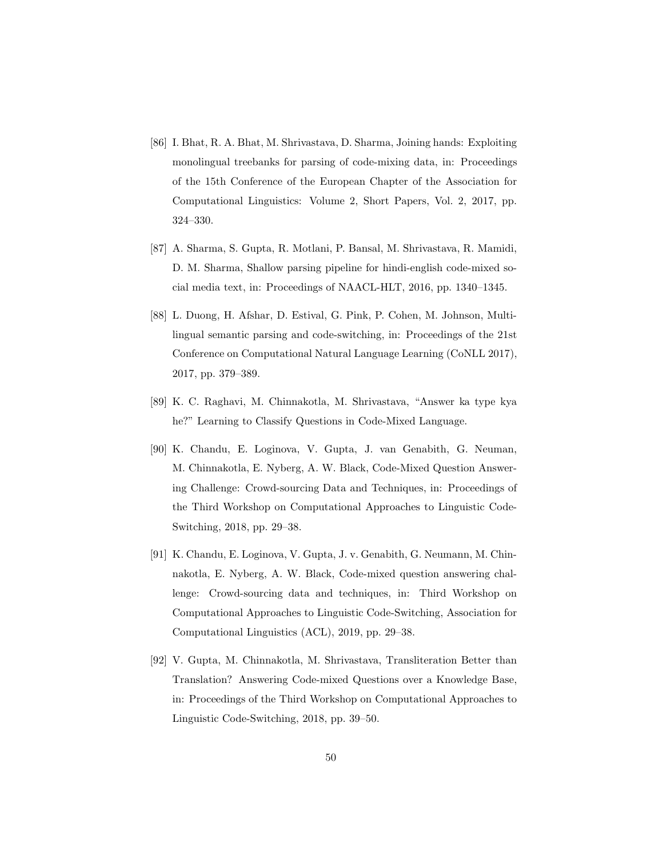- <span id="page-49-0"></span>[86] I. Bhat, R. A. Bhat, M. Shrivastava, D. Sharma, Joining hands: Exploiting monolingual treebanks for parsing of code-mixing data, in: Proceedings of the 15th Conference of the European Chapter of the Association for Computational Linguistics: Volume 2, Short Papers, Vol. 2, 2017, pp. 324–330.
- <span id="page-49-1"></span>[87] A. Sharma, S. Gupta, R. Motlani, P. Bansal, M. Shrivastava, R. Mamidi, D. M. Sharma, Shallow parsing pipeline for hindi-english code-mixed social media text, in: Proceedings of NAACL-HLT, 2016, pp. 1340–1345.
- <span id="page-49-2"></span>[88] L. Duong, H. Afshar, D. Estival, G. Pink, P. Cohen, M. Johnson, Multilingual semantic parsing and code-switching, in: Proceedings of the 21st Conference on Computational Natural Language Learning (CoNLL 2017), 2017, pp. 379–389.
- <span id="page-49-3"></span>[89] K. C. Raghavi, M. Chinnakotla, M. Shrivastava, "Answer ka type kya he?" Learning to Classify Questions in Code-Mixed Language.
- <span id="page-49-4"></span>[90] K. Chandu, E. Loginova, V. Gupta, J. van Genabith, G. Neuman, M. Chinnakotla, E. Nyberg, A. W. Black, Code-Mixed Question Answering Challenge: Crowd-sourcing Data and Techniques, in: Proceedings of the Third Workshop on Computational Approaches to Linguistic Code-Switching, 2018, pp. 29–38.
- <span id="page-49-5"></span>[91] K. Chandu, E. Loginova, V. Gupta, J. v. Genabith, G. Neumann, M. Chinnakotla, E. Nyberg, A. W. Black, Code-mixed question answering challenge: Crowd-sourcing data and techniques, in: Third Workshop on Computational Approaches to Linguistic Code-Switching, Association for Computational Linguistics (ACL), 2019, pp. 29–38.
- <span id="page-49-6"></span>[92] V. Gupta, M. Chinnakotla, M. Shrivastava, Transliteration Better than Translation? Answering Code-mixed Questions over a Knowledge Base, in: Proceedings of the Third Workshop on Computational Approaches to Linguistic Code-Switching, 2018, pp. 39–50.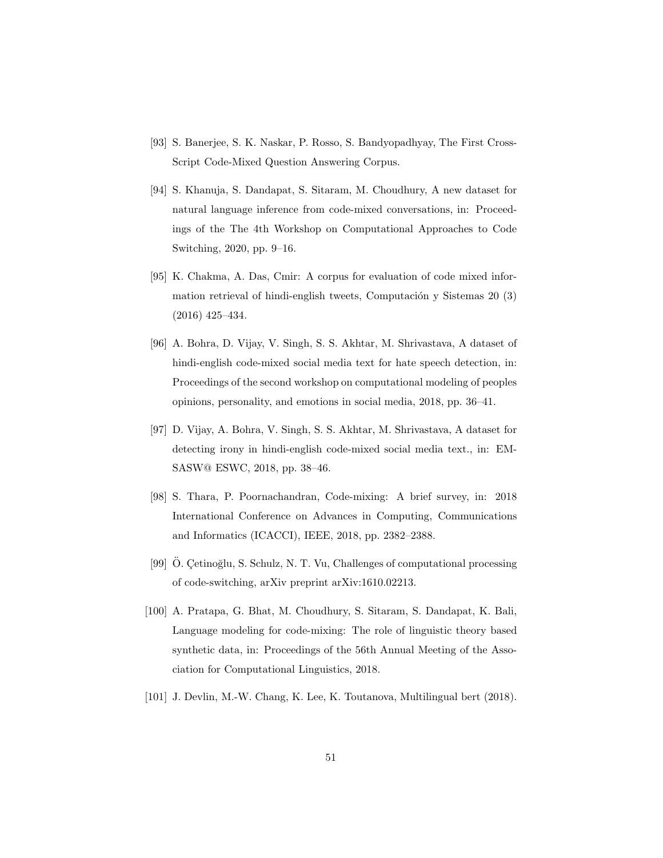- <span id="page-50-0"></span>[93] S. Banerjee, S. K. Naskar, P. Rosso, S. Bandyopadhyay, The First Cross-Script Code-Mixed Question Answering Corpus.
- <span id="page-50-1"></span>[94] S. Khanuja, S. Dandapat, S. Sitaram, M. Choudhury, A new dataset for natural language inference from code-mixed conversations, in: Proceedings of the The 4th Workshop on Computational Approaches to Code Switching, 2020, pp. 9–16.
- <span id="page-50-2"></span>[95] K. Chakma, A. Das, Cmir: A corpus for evaluation of code mixed information retrieval of hindi-english tweets, Computación y Sistemas  $20 \text{ } (3)$ (2016) 425–434.
- <span id="page-50-3"></span>[96] A. Bohra, D. Vijay, V. Singh, S. S. Akhtar, M. Shrivastava, A dataset of hindi-english code-mixed social media text for hate speech detection, in: Proceedings of the second workshop on computational modeling of peoples opinions, personality, and emotions in social media, 2018, pp. 36–41.
- <span id="page-50-4"></span>[97] D. Vijay, A. Bohra, V. Singh, S. S. Akhtar, M. Shrivastava, A dataset for detecting irony in hindi-english code-mixed social media text., in: EM-SASW@ ESWC, 2018, pp. 38–46.
- <span id="page-50-5"></span>[98] S. Thara, P. Poornachandran, Code-mixing: A brief survey, in: 2018 International Conference on Advances in Computing, Communications and Informatics (ICACCI), IEEE, 2018, pp. 2382–2388.
- <span id="page-50-6"></span>[99] O. Cetinoğlu, S. Schulz, N. T. Vu, Challenges of computational processing of code-switching, arXiv preprint arXiv:1610.02213.
- <span id="page-50-7"></span>[100] A. Pratapa, G. Bhat, M. Choudhury, S. Sitaram, S. Dandapat, K. Bali, Language modeling for code-mixing: The role of linguistic theory based synthetic data, in: Proceedings of the 56th Annual Meeting of the Association for Computational Linguistics, 2018.
- <span id="page-50-8"></span>[101] J. Devlin, M.-W. Chang, K. Lee, K. Toutanova, Multilingual bert (2018).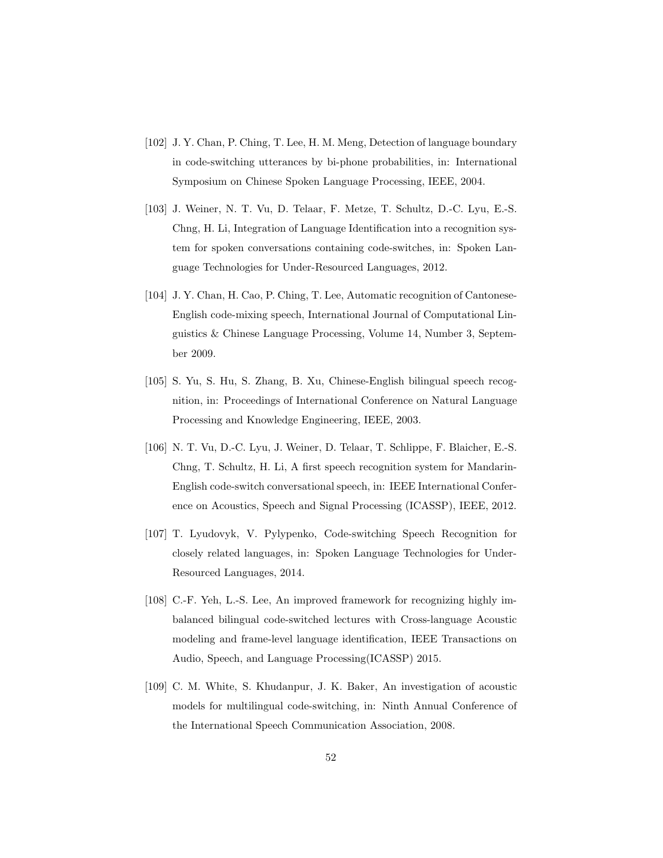- <span id="page-51-0"></span>[102] J. Y. Chan, P. Ching, T. Lee, H. M. Meng, Detection of language boundary in code-switching utterances by bi-phone probabilities, in: International Symposium on Chinese Spoken Language Processing, IEEE, 2004.
- <span id="page-51-1"></span>[103] J. Weiner, N. T. Vu, D. Telaar, F. Metze, T. Schultz, D.-C. Lyu, E.-S. Chng, H. Li, Integration of Language Identification into a recognition system for spoken conversations containing code-switches, in: Spoken Language Technologies for Under-Resourced Languages, 2012.
- <span id="page-51-2"></span>[104] J. Y. Chan, H. Cao, P. Ching, T. Lee, Automatic recognition of Cantonese-English code-mixing speech, International Journal of Computational Linguistics & Chinese Language Processing, Volume 14, Number 3, September 2009.
- <span id="page-51-3"></span>[105] S. Yu, S. Hu, S. Zhang, B. Xu, Chinese-English bilingual speech recognition, in: Proceedings of International Conference on Natural Language Processing and Knowledge Engineering, IEEE, 2003.
- <span id="page-51-4"></span>[106] N. T. Vu, D.-C. Lyu, J. Weiner, D. Telaar, T. Schlippe, F. Blaicher, E.-S. Chng, T. Schultz, H. Li, A first speech recognition system for Mandarin-English code-switch conversational speech, in: IEEE International Conference on Acoustics, Speech and Signal Processing (ICASSP), IEEE, 2012.
- <span id="page-51-5"></span>[107] T. Lyudovyk, V. Pylypenko, Code-switching Speech Recognition for closely related languages, in: Spoken Language Technologies for Under-Resourced Languages, 2014.
- <span id="page-51-6"></span>[108] C.-F. Yeh, L.-S. Lee, An improved framework for recognizing highly imbalanced bilingual code-switched lectures with Cross-language Acoustic modeling and frame-level language identification, IEEE Transactions on Audio, Speech, and Language Processing(ICASSP) 2015.
- <span id="page-51-7"></span>[109] C. M. White, S. Khudanpur, J. K. Baker, An investigation of acoustic models for multilingual code-switching, in: Ninth Annual Conference of the International Speech Communication Association, 2008.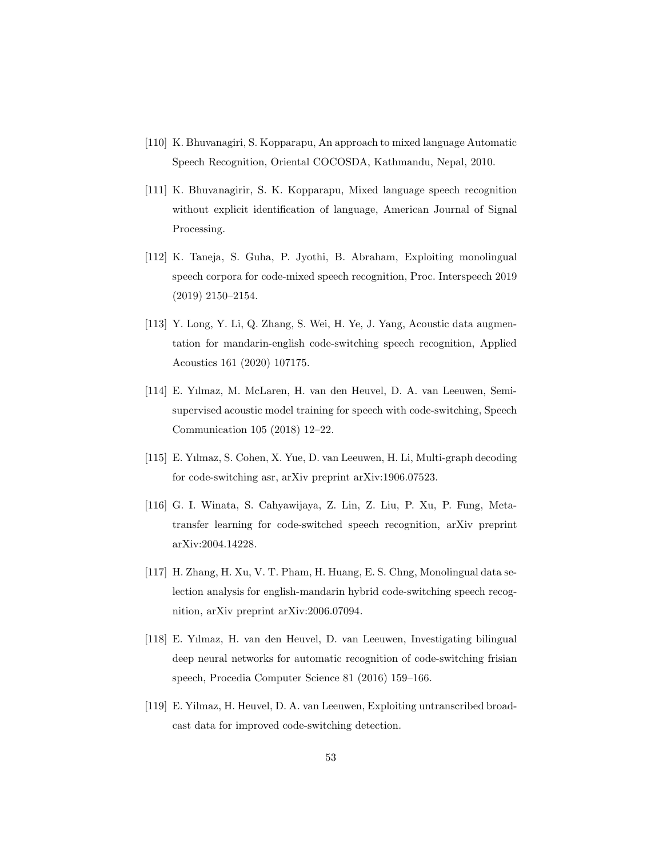- <span id="page-52-0"></span>[110] K. Bhuvanagiri, S. Kopparapu, An approach to mixed language Automatic Speech Recognition, Oriental COCOSDA, Kathmandu, Nepal, 2010.
- <span id="page-52-1"></span>[111] K. Bhuvanagirir, S. K. Kopparapu, Mixed language speech recognition without explicit identification of language, American Journal of Signal Processing.
- <span id="page-52-2"></span>[112] K. Taneja, S. Guha, P. Jyothi, B. Abraham, Exploiting monolingual speech corpora for code-mixed speech recognition, Proc. Interspeech 2019 (2019) 2150–2154.
- <span id="page-52-3"></span>[113] Y. Long, Y. Li, Q. Zhang, S. Wei, H. Ye, J. Yang, Acoustic data augmentation for mandarin-english code-switching speech recognition, Applied Acoustics 161 (2020) 107175.
- <span id="page-52-4"></span>[114] E. Yılmaz, M. McLaren, H. van den Heuvel, D. A. van Leeuwen, Semisupervised acoustic model training for speech with code-switching, Speech Communication 105 (2018) 12–22.
- <span id="page-52-5"></span>[115] E. Yılmaz, S. Cohen, X. Yue, D. van Leeuwen, H. Li, Multi-graph decoding for code-switching asr, arXiv preprint arXiv:1906.07523.
- <span id="page-52-6"></span>[116] G. I. Winata, S. Cahyawijaya, Z. Lin, Z. Liu, P. Xu, P. Fung, Metatransfer learning for code-switched speech recognition, arXiv preprint arXiv:2004.14228.
- <span id="page-52-7"></span>[117] H. Zhang, H. Xu, V. T. Pham, H. Huang, E. S. Chng, Monolingual data selection analysis for english-mandarin hybrid code-switching speech recognition, arXiv preprint arXiv:2006.07094.
- <span id="page-52-8"></span>[118] E. Yılmaz, H. van den Heuvel, D. van Leeuwen, Investigating bilingual deep neural networks for automatic recognition of code-switching frisian speech, Procedia Computer Science 81 (2016) 159–166.
- <span id="page-52-9"></span>[119] E. Yilmaz, H. Heuvel, D. A. van Leeuwen, Exploiting untranscribed broadcast data for improved code-switching detection.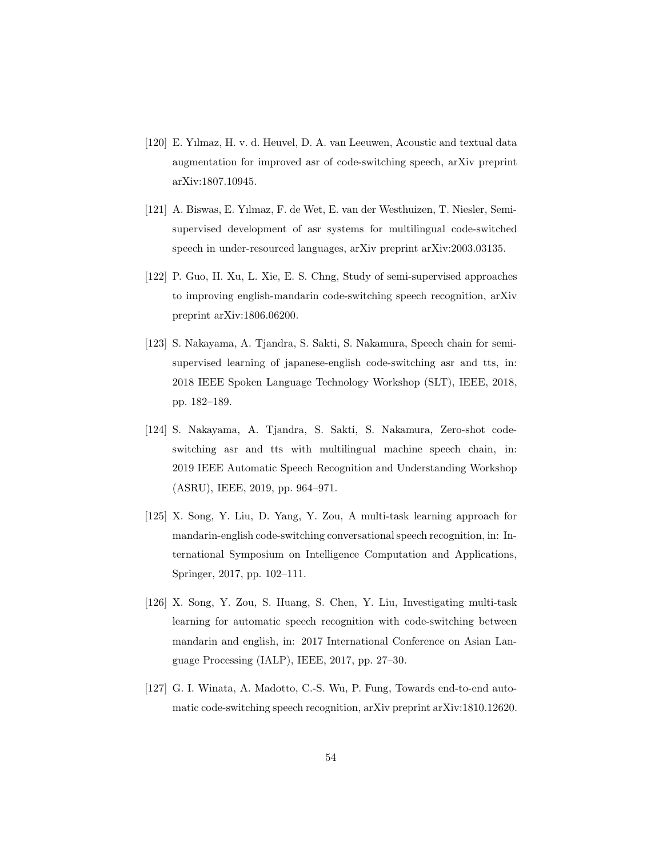- <span id="page-53-0"></span>[120] E. Yılmaz, H. v. d. Heuvel, D. A. van Leeuwen, Acoustic and textual data augmentation for improved asr of code-switching speech, arXiv preprint arXiv:1807.10945.
- <span id="page-53-1"></span>[121] A. Biswas, E. Yılmaz, F. de Wet, E. van der Westhuizen, T. Niesler, Semisupervised development of asr systems for multilingual code-switched speech in under-resourced languages, arXiv preprint arXiv:2003.03135.
- <span id="page-53-2"></span>[122] P. Guo, H. Xu, L. Xie, E. S. Chng, Study of semi-supervised approaches to improving english-mandarin code-switching speech recognition, arXiv preprint arXiv:1806.06200.
- <span id="page-53-3"></span>[123] S. Nakayama, A. Tjandra, S. Sakti, S. Nakamura, Speech chain for semisupervised learning of japanese-english code-switching asr and tts, in: 2018 IEEE Spoken Language Technology Workshop (SLT), IEEE, 2018, pp. 182–189.
- <span id="page-53-4"></span>[124] S. Nakayama, A. Tjandra, S. Sakti, S. Nakamura, Zero-shot codeswitching asr and tts with multilingual machine speech chain, in: 2019 IEEE Automatic Speech Recognition and Understanding Workshop (ASRU), IEEE, 2019, pp. 964–971.
- <span id="page-53-5"></span>[125] X. Song, Y. Liu, D. Yang, Y. Zou, A multi-task learning approach for mandarin-english code-switching conversational speech recognition, in: International Symposium on Intelligence Computation and Applications, Springer, 2017, pp. 102–111.
- <span id="page-53-6"></span>[126] X. Song, Y. Zou, S. Huang, S. Chen, Y. Liu, Investigating multi-task learning for automatic speech recognition with code-switching between mandarin and english, in: 2017 International Conference on Asian Language Processing (IALP), IEEE, 2017, pp. 27–30.
- <span id="page-53-7"></span>[127] G. I. Winata, A. Madotto, C.-S. Wu, P. Fung, Towards end-to-end automatic code-switching speech recognition, arXiv preprint arXiv:1810.12620.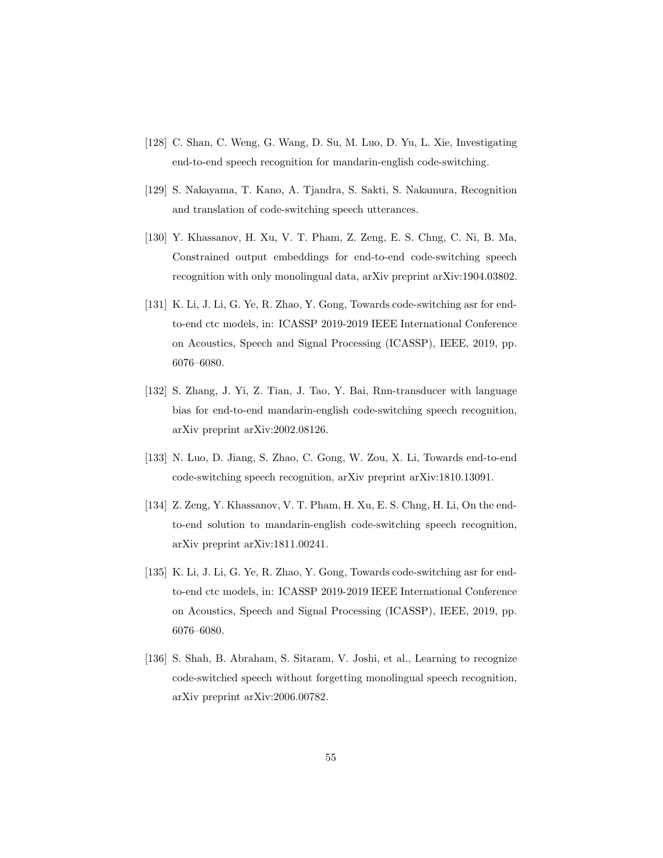- <span id="page-54-0"></span>[128] C. Shan, C. Weng, G. Wang, D. Su, M. Luo, D. Yu, L. Xie, Investigating end-to-end speech recognition for mandarin-english code-switching.
- <span id="page-54-1"></span>[129] S. Nakayama, T. Kano, A. Tjandra, S. Sakti, S. Nakamura, Recognition and translation of code-switching speech utterances.
- <span id="page-54-2"></span>[130] Y. Khassanov, H. Xu, V. T. Pham, Z. Zeng, E. S. Chng, C. Ni, B. Ma, Constrained output embeddings for end-to-end code-switching speech recognition with only monolingual data, arXiv preprint arXiv:1904.03802.
- <span id="page-54-3"></span>[131] K. Li, J. Li, G. Ye, R. Zhao, Y. Gong, Towards code-switching asr for endto-end ctc models, in: ICASSP 2019-2019 IEEE International Conference on Acoustics, Speech and Signal Processing (ICASSP), IEEE, 2019, pp. 6076–6080.
- <span id="page-54-4"></span>[132] S. Zhang, J. Yi, Z. Tian, J. Tao, Y. Bai, Rnn-transducer with language bias for end-to-end mandarin-english code-switching speech recognition, arXiv preprint arXiv:2002.08126.
- <span id="page-54-5"></span>[133] N. Luo, D. Jiang, S. Zhao, C. Gong, W. Zou, X. Li, Towards end-to-end code-switching speech recognition, arXiv preprint arXiv:1810.13091.
- <span id="page-54-6"></span>[134] Z. Zeng, Y. Khassanov, V. T. Pham, H. Xu, E. S. Chng, H. Li, On the endto-end solution to mandarin-english code-switching speech recognition, arXiv preprint arXiv:1811.00241.
- <span id="page-54-7"></span>[135] K. Li, J. Li, G. Ye, R. Zhao, Y. Gong, Towards code-switching asr for endto-end ctc models, in: ICASSP 2019-2019 IEEE International Conference on Acoustics, Speech and Signal Processing (ICASSP), IEEE, 2019, pp. 6076–6080.
- <span id="page-54-8"></span>[136] S. Shah, B. Abraham, S. Sitaram, V. Joshi, et al., Learning to recognize code-switched speech without forgetting monolingual speech recognition, arXiv preprint arXiv:2006.00782.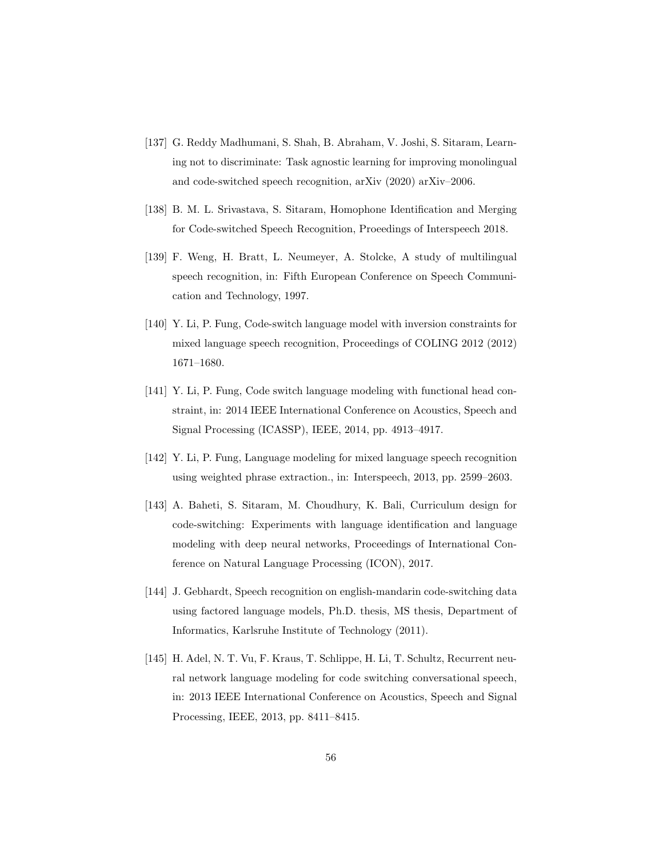- <span id="page-55-0"></span>[137] G. Reddy Madhumani, S. Shah, B. Abraham, V. Joshi, S. Sitaram, Learning not to discriminate: Task agnostic learning for improving monolingual and code-switched speech recognition, arXiv (2020) arXiv–2006.
- <span id="page-55-1"></span>[138] B. M. L. Srivastava, S. Sitaram, Homophone Identification and Merging for Code-switched Speech Recognition, Proeedings of Interspeech 2018.
- <span id="page-55-2"></span>[139] F. Weng, H. Bratt, L. Neumeyer, A. Stolcke, A study of multilingual speech recognition, in: Fifth European Conference on Speech Communication and Technology, 1997.
- <span id="page-55-3"></span>[140] Y. Li, P. Fung, Code-switch language model with inversion constraints for mixed language speech recognition, Proceedings of COLING 2012 (2012) 1671–1680.
- <span id="page-55-4"></span>[141] Y. Li, P. Fung, Code switch language modeling with functional head constraint, in: 2014 IEEE International Conference on Acoustics, Speech and Signal Processing (ICASSP), IEEE, 2014, pp. 4913–4917.
- <span id="page-55-5"></span>[142] Y. Li, P. Fung, Language modeling for mixed language speech recognition using weighted phrase extraction., in: Interspeech, 2013, pp. 2599–2603.
- <span id="page-55-6"></span>[143] A. Baheti, S. Sitaram, M. Choudhury, K. Bali, Curriculum design for code-switching: Experiments with language identification and language modeling with deep neural networks, Proceedings of International Conference on Natural Language Processing (ICON), 2017.
- <span id="page-55-7"></span>[144] J. Gebhardt, Speech recognition on english-mandarin code-switching data using factored language models, Ph.D. thesis, MS thesis, Department of Informatics, Karlsruhe Institute of Technology (2011).
- <span id="page-55-8"></span>[145] H. Adel, N. T. Vu, F. Kraus, T. Schlippe, H. Li, T. Schultz, Recurrent neural network language modeling for code switching conversational speech, in: 2013 IEEE International Conference on Acoustics, Speech and Signal Processing, IEEE, 2013, pp. 8411–8415.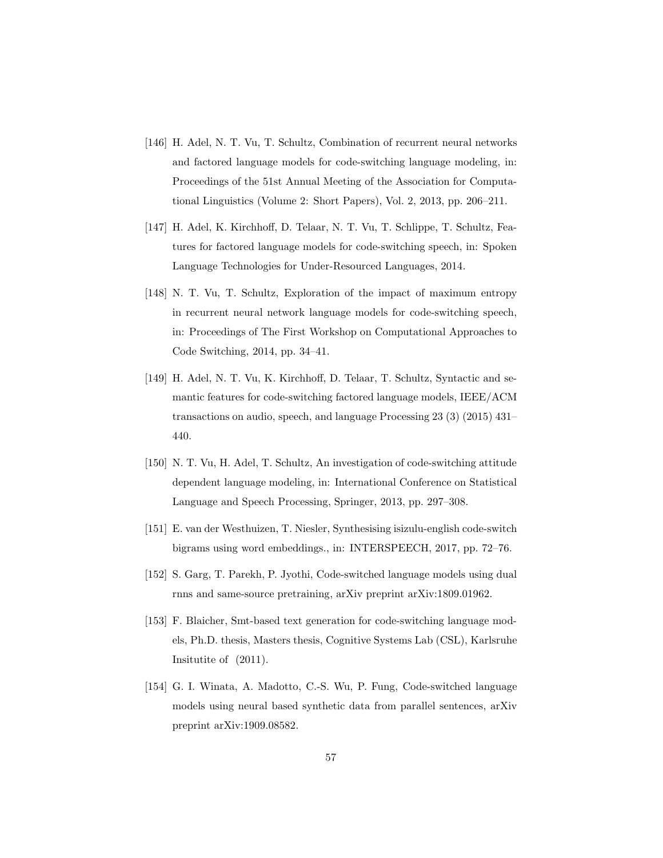- <span id="page-56-0"></span>[146] H. Adel, N. T. Vu, T. Schultz, Combination of recurrent neural networks and factored language models for code-switching language modeling, in: Proceedings of the 51st Annual Meeting of the Association for Computational Linguistics (Volume 2: Short Papers), Vol. 2, 2013, pp. 206–211.
- <span id="page-56-1"></span>[147] H. Adel, K. Kirchhoff, D. Telaar, N. T. Vu, T. Schlippe, T. Schultz, Features for factored language models for code-switching speech, in: Spoken Language Technologies for Under-Resourced Languages, 2014.
- <span id="page-56-2"></span>[148] N. T. Vu, T. Schultz, Exploration of the impact of maximum entropy in recurrent neural network language models for code-switching speech, in: Proceedings of The First Workshop on Computational Approaches to Code Switching, 2014, pp. 34–41.
- <span id="page-56-3"></span>[149] H. Adel, N. T. Vu, K. Kirchhoff, D. Telaar, T. Schultz, Syntactic and semantic features for code-switching factored language models, IEEE/ACM transactions on audio, speech, and language Processing 23 (3) (2015) 431– 440.
- <span id="page-56-4"></span>[150] N. T. Vu, H. Adel, T. Schultz, An investigation of code-switching attitude dependent language modeling, in: International Conference on Statistical Language and Speech Processing, Springer, 2013, pp. 297–308.
- <span id="page-56-5"></span>[151] E. van der Westhuizen, T. Niesler, Synthesising isizulu-english code-switch bigrams using word embeddings., in: INTERSPEECH, 2017, pp. 72–76.
- <span id="page-56-6"></span>[152] S. Garg, T. Parekh, P. Jyothi, Code-switched language models using dual rnns and same-source pretraining, arXiv preprint arXiv:1809.01962.
- <span id="page-56-7"></span>[153] F. Blaicher, Smt-based text generation for code-switching language models, Ph.D. thesis, Masters thesis, Cognitive Systems Lab (CSL), Karlsruhe Insitutite of (2011).
- <span id="page-56-8"></span>[154] G. I. Winata, A. Madotto, C.-S. Wu, P. Fung, Code-switched language models using neural based synthetic data from parallel sentences, arXiv preprint arXiv:1909.08582.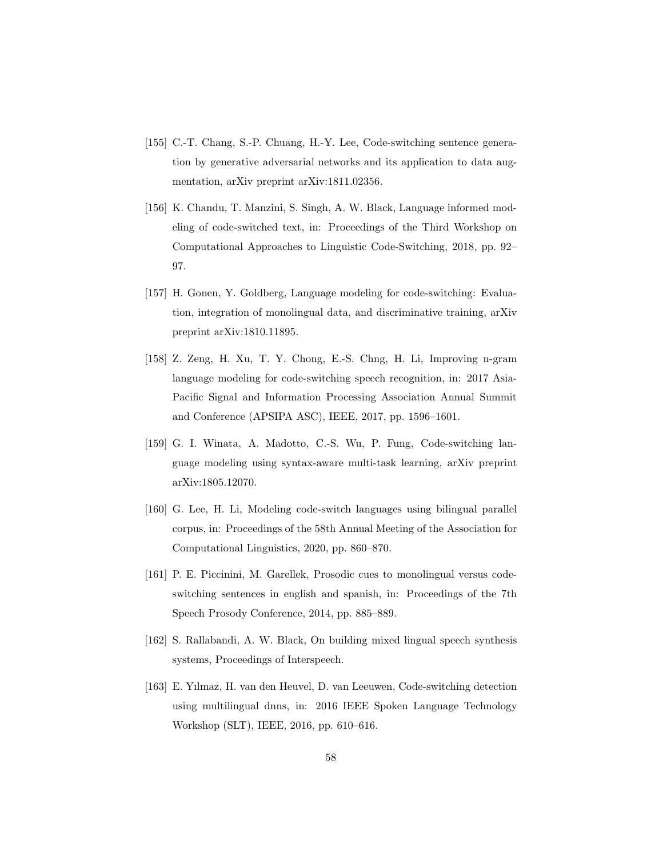- <span id="page-57-0"></span>[155] C.-T. Chang, S.-P. Chuang, H.-Y. Lee, Code-switching sentence generation by generative adversarial networks and its application to data augmentation, arXiv preprint arXiv:1811.02356.
- <span id="page-57-1"></span>[156] K. Chandu, T. Manzini, S. Singh, A. W. Black, Language informed modeling of code-switched text, in: Proceedings of the Third Workshop on Computational Approaches to Linguistic Code-Switching, 2018, pp. 92– 97.
- <span id="page-57-2"></span>[157] H. Gonen, Y. Goldberg, Language modeling for code-switching: Evaluation, integration of monolingual data, and discriminative training, arXiv preprint arXiv:1810.11895.
- <span id="page-57-3"></span>[158] Z. Zeng, H. Xu, T. Y. Chong, E.-S. Chng, H. Li, Improving n-gram language modeling for code-switching speech recognition, in: 2017 Asia-Pacific Signal and Information Processing Association Annual Summit and Conference (APSIPA ASC), IEEE, 2017, pp. 1596–1601.
- <span id="page-57-4"></span>[159] G. I. Winata, A. Madotto, C.-S. Wu, P. Fung, Code-switching language modeling using syntax-aware multi-task learning, arXiv preprint arXiv:1805.12070.
- <span id="page-57-5"></span>[160] G. Lee, H. Li, Modeling code-switch languages using bilingual parallel corpus, in: Proceedings of the 58th Annual Meeting of the Association for Computational Linguistics, 2020, pp. 860–870.
- <span id="page-57-6"></span>[161] P. E. Piccinini, M. Garellek, Prosodic cues to monolingual versus codeswitching sentences in english and spanish, in: Proceedings of the 7th Speech Prosody Conference, 2014, pp. 885–889.
- <span id="page-57-7"></span>[162] S. Rallabandi, A. W. Black, On building mixed lingual speech synthesis systems, Proceedings of Interspeech.
- <span id="page-57-8"></span>[163] E. Yılmaz, H. van den Heuvel, D. van Leeuwen, Code-switching detection using multilingual dnns, in: 2016 IEEE Spoken Language Technology Workshop (SLT), IEEE, 2016, pp. 610–616.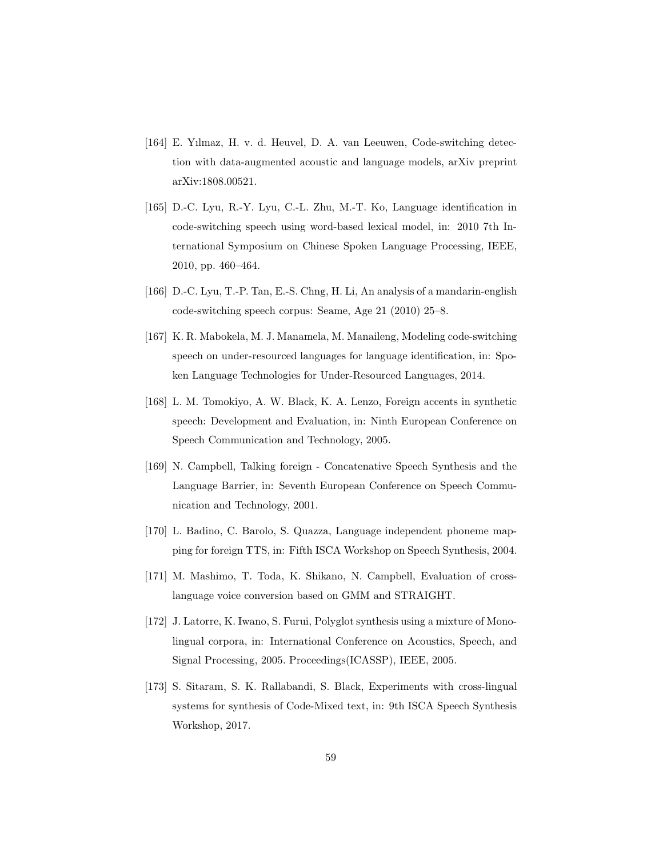- <span id="page-58-0"></span>[164] E. Yılmaz, H. v. d. Heuvel, D. A. van Leeuwen, Code-switching detection with data-augmented acoustic and language models, arXiv preprint arXiv:1808.00521.
- <span id="page-58-1"></span>[165] D.-C. Lyu, R.-Y. Lyu, C.-L. Zhu, M.-T. Ko, Language identification in code-switching speech using word-based lexical model, in: 2010 7th International Symposium on Chinese Spoken Language Processing, IEEE, 2010, pp. 460–464.
- <span id="page-58-2"></span>[166] D.-C. Lyu, T.-P. Tan, E.-S. Chng, H. Li, An analysis of a mandarin-english code-switching speech corpus: Seame, Age 21 (2010) 25–8.
- <span id="page-58-3"></span>[167] K. R. Mabokela, M. J. Manamela, M. Manaileng, Modeling code-switching speech on under-resourced languages for language identification, in: Spoken Language Technologies for Under-Resourced Languages, 2014.
- <span id="page-58-4"></span>[168] L. M. Tomokiyo, A. W. Black, K. A. Lenzo, Foreign accents in synthetic speech: Development and Evaluation, in: Ninth European Conference on Speech Communication and Technology, 2005.
- <span id="page-58-5"></span>[169] N. Campbell, Talking foreign - Concatenative Speech Synthesis and the Language Barrier, in: Seventh European Conference on Speech Communication and Technology, 2001.
- <span id="page-58-6"></span>[170] L. Badino, C. Barolo, S. Quazza, Language independent phoneme mapping for foreign TTS, in: Fifth ISCA Workshop on Speech Synthesis, 2004.
- <span id="page-58-7"></span>[171] M. Mashimo, T. Toda, K. Shikano, N. Campbell, Evaluation of crosslanguage voice conversion based on GMM and STRAIGHT.
- <span id="page-58-8"></span>[172] J. Latorre, K. Iwano, S. Furui, Polyglot synthesis using a mixture of Monolingual corpora, in: International Conference on Acoustics, Speech, and Signal Processing, 2005. Proceedings(ICASSP), IEEE, 2005.
- <span id="page-58-9"></span>[173] S. Sitaram, S. K. Rallabandi, S. Black, Experiments with cross-lingual systems for synthesis of Code-Mixed text, in: 9th ISCA Speech Synthesis Workshop, 2017.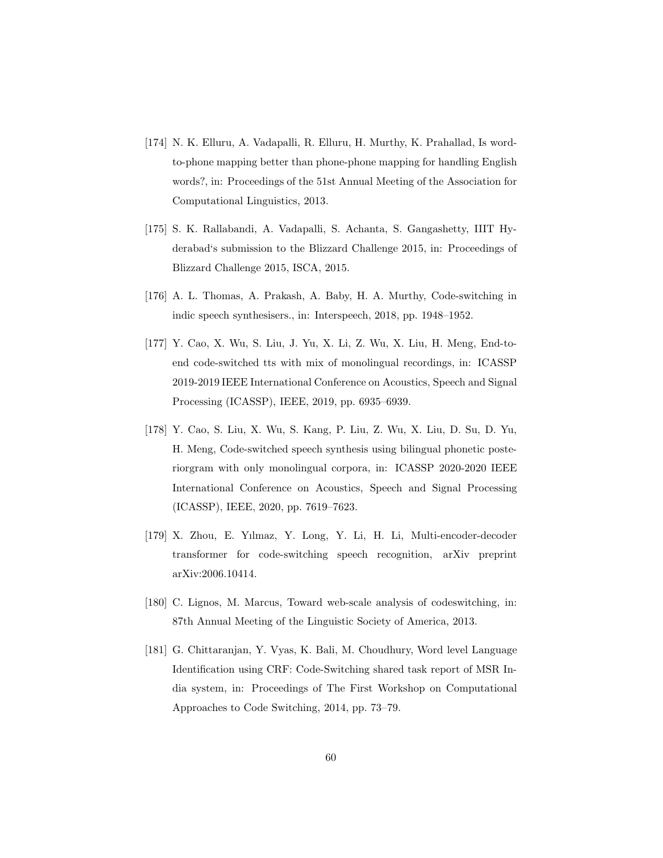- <span id="page-59-0"></span>[174] N. K. Elluru, A. Vadapalli, R. Elluru, H. Murthy, K. Prahallad, Is wordto-phone mapping better than phone-phone mapping for handling English words?, in: Proceedings of the 51st Annual Meeting of the Association for Computational Linguistics, 2013.
- <span id="page-59-1"></span>[175] S. K. Rallabandi, A. Vadapalli, S. Achanta, S. Gangashetty, IIIT Hyderabad's submission to the Blizzard Challenge 2015, in: Proceedings of Blizzard Challenge 2015, ISCA, 2015.
- <span id="page-59-2"></span>[176] A. L. Thomas, A. Prakash, A. Baby, H. A. Murthy, Code-switching in indic speech synthesisers., in: Interspeech, 2018, pp. 1948–1952.
- <span id="page-59-3"></span>[177] Y. Cao, X. Wu, S. Liu, J. Yu, X. Li, Z. Wu, X. Liu, H. Meng, End-toend code-switched tts with mix of monolingual recordings, in: ICASSP 2019-2019 IEEE International Conference on Acoustics, Speech and Signal Processing (ICASSP), IEEE, 2019, pp. 6935–6939.
- <span id="page-59-4"></span>[178] Y. Cao, S. Liu, X. Wu, S. Kang, P. Liu, Z. Wu, X. Liu, D. Su, D. Yu, H. Meng, Code-switched speech synthesis using bilingual phonetic posteriorgram with only monolingual corpora, in: ICASSP 2020-2020 IEEE International Conference on Acoustics, Speech and Signal Processing (ICASSP), IEEE, 2020, pp. 7619–7623.
- <span id="page-59-5"></span>[179] X. Zhou, E. Yılmaz, Y. Long, Y. Li, H. Li, Multi-encoder-decoder transformer for code-switching speech recognition, arXiv preprint arXiv:2006.10414.
- <span id="page-59-6"></span>[180] C. Lignos, M. Marcus, Toward web-scale analysis of codeswitching, in: 87th Annual Meeting of the Linguistic Society of America, 2013.
- <span id="page-59-7"></span>[181] G. Chittaranjan, Y. Vyas, K. Bali, M. Choudhury, Word level Language Identification using CRF: Code-Switching shared task report of MSR India system, in: Proceedings of The First Workshop on Computational Approaches to Code Switching, 2014, pp. 73–79.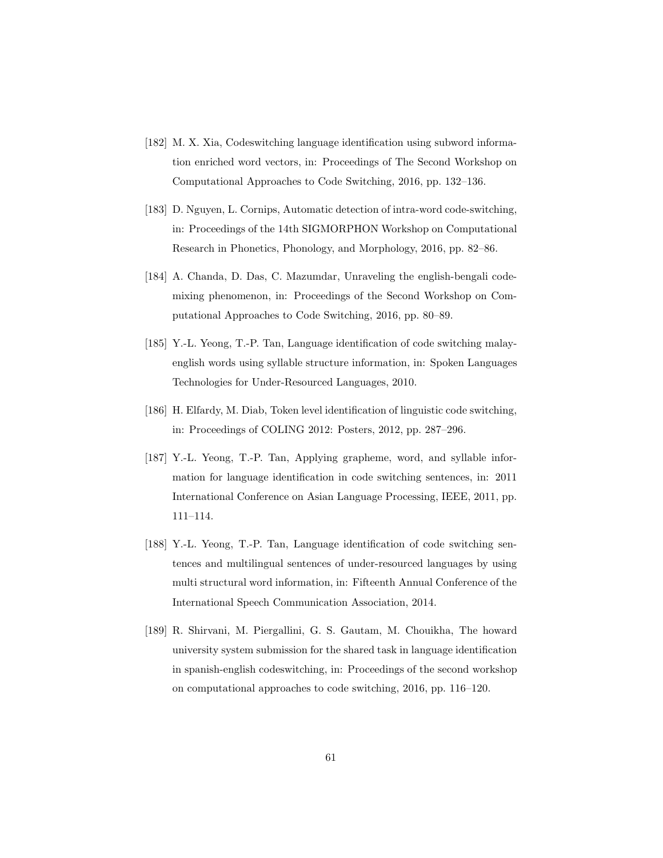- <span id="page-60-0"></span>[182] M. X. Xia, Codeswitching language identification using subword information enriched word vectors, in: Proceedings of The Second Workshop on Computational Approaches to Code Switching, 2016, pp. 132–136.
- <span id="page-60-1"></span>[183] D. Nguyen, L. Cornips, Automatic detection of intra-word code-switching, in: Proceedings of the 14th SIGMORPHON Workshop on Computational Research in Phonetics, Phonology, and Morphology, 2016, pp. 82–86.
- <span id="page-60-2"></span>[184] A. Chanda, D. Das, C. Mazumdar, Unraveling the english-bengali codemixing phenomenon, in: Proceedings of the Second Workshop on Computational Approaches to Code Switching, 2016, pp. 80–89.
- <span id="page-60-3"></span>[185] Y.-L. Yeong, T.-P. Tan, Language identification of code switching malayenglish words using syllable structure information, in: Spoken Languages Technologies for Under-Resourced Languages, 2010.
- <span id="page-60-4"></span>[186] H. Elfardy, M. Diab, Token level identification of linguistic code switching, in: Proceedings of COLING 2012: Posters, 2012, pp. 287–296.
- <span id="page-60-5"></span>[187] Y.-L. Yeong, T.-P. Tan, Applying grapheme, word, and syllable information for language identification in code switching sentences, in: 2011 International Conference on Asian Language Processing, IEEE, 2011, pp. 111–114.
- <span id="page-60-6"></span>[188] Y.-L. Yeong, T.-P. Tan, Language identification of code switching sentences and multilingual sentences of under-resourced languages by using multi structural word information, in: Fifteenth Annual Conference of the International Speech Communication Association, 2014.
- <span id="page-60-7"></span>[189] R. Shirvani, M. Piergallini, G. S. Gautam, M. Chouikha, The howard university system submission for the shared task in language identification in spanish-english codeswitching, in: Proceedings of the second workshop on computational approaches to code switching, 2016, pp. 116–120.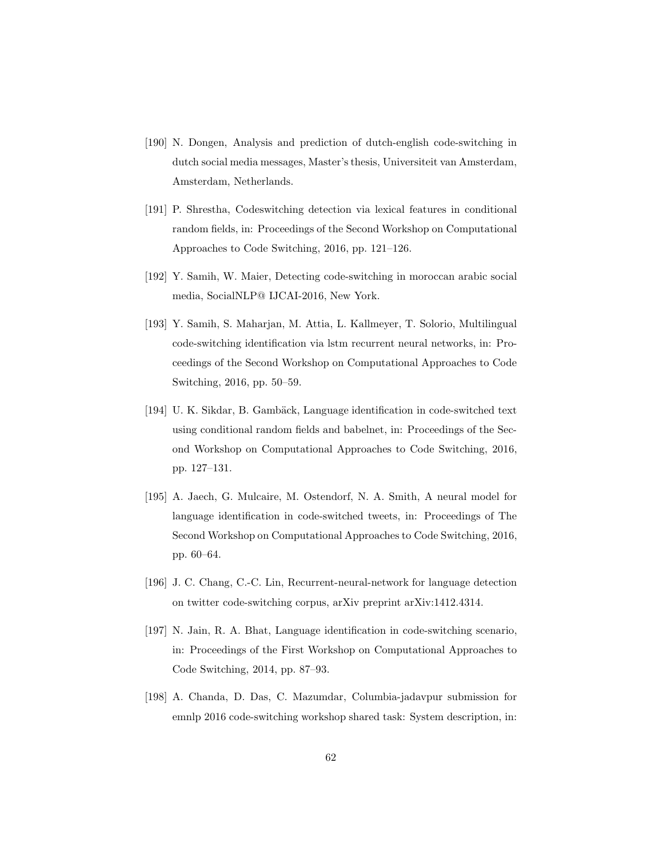- <span id="page-61-0"></span>[190] N. Dongen, Analysis and prediction of dutch-english code-switching in dutch social media messages, Master's thesis, Universiteit van Amsterdam, Amsterdam, Netherlands.
- <span id="page-61-1"></span>[191] P. Shrestha, Codeswitching detection via lexical features in conditional random fields, in: Proceedings of the Second Workshop on Computational Approaches to Code Switching, 2016, pp. 121–126.
- <span id="page-61-2"></span>[192] Y. Samih, W. Maier, Detecting code-switching in moroccan arabic social media, SocialNLP@ IJCAI-2016, New York.
- <span id="page-61-3"></span>[193] Y. Samih, S. Maharjan, M. Attia, L. Kallmeyer, T. Solorio, Multilingual code-switching identification via lstm recurrent neural networks, in: Proceedings of the Second Workshop on Computational Approaches to Code Switching, 2016, pp. 50–59.
- <span id="page-61-4"></span>[194] U. K. Sikdar, B. Gambäck, Language identification in code-switched text using conditional random fields and babelnet, in: Proceedings of the Second Workshop on Computational Approaches to Code Switching, 2016, pp. 127–131.
- <span id="page-61-5"></span>[195] A. Jaech, G. Mulcaire, M. Ostendorf, N. A. Smith, A neural model for language identification in code-switched tweets, in: Proceedings of The Second Workshop on Computational Approaches to Code Switching, 2016, pp. 60–64.
- <span id="page-61-6"></span>[196] J. C. Chang, C.-C. Lin, Recurrent-neural-network for language detection on twitter code-switching corpus, arXiv preprint arXiv:1412.4314.
- <span id="page-61-7"></span>[197] N. Jain, R. A. Bhat, Language identification in code-switching scenario, in: Proceedings of the First Workshop on Computational Approaches to Code Switching, 2014, pp. 87–93.
- <span id="page-61-8"></span>[198] A. Chanda, D. Das, C. Mazumdar, Columbia-jadavpur submission for emnlp 2016 code-switching workshop shared task: System description, in: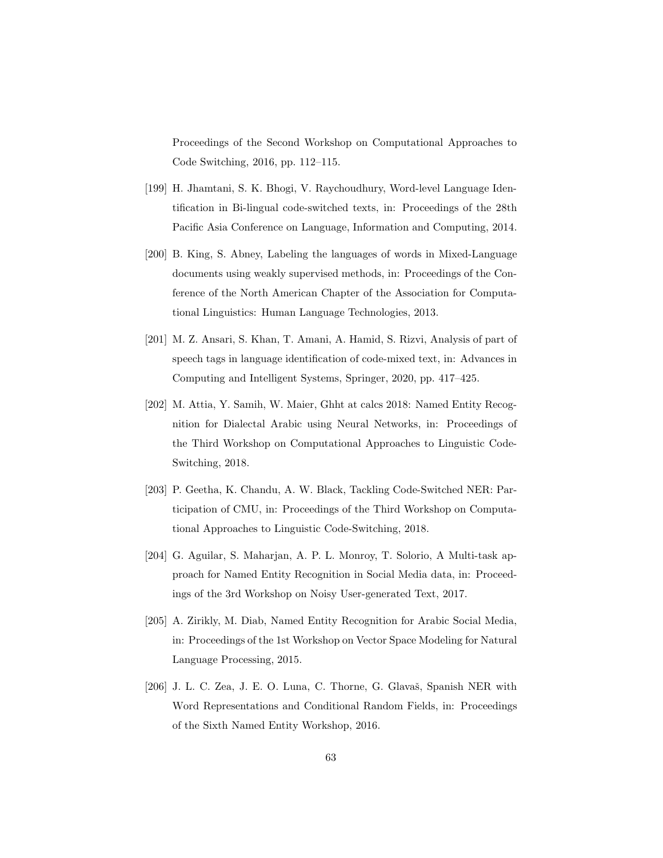Proceedings of the Second Workshop on Computational Approaches to Code Switching, 2016, pp. 112–115.

- <span id="page-62-0"></span>[199] H. Jhamtani, S. K. Bhogi, V. Raychoudhury, Word-level Language Identification in Bi-lingual code-switched texts, in: Proceedings of the 28th Pacific Asia Conference on Language, Information and Computing, 2014.
- <span id="page-62-1"></span>[200] B. King, S. Abney, Labeling the languages of words in Mixed-Language documents using weakly supervised methods, in: Proceedings of the Conference of the North American Chapter of the Association for Computational Linguistics: Human Language Technologies, 2013.
- <span id="page-62-2"></span>[201] M. Z. Ansari, S. Khan, T. Amani, A. Hamid, S. Rizvi, Analysis of part of speech tags in language identification of code-mixed text, in: Advances in Computing and Intelligent Systems, Springer, 2020, pp. 417–425.
- <span id="page-62-3"></span>[202] M. Attia, Y. Samih, W. Maier, Ghht at calcs 2018: Named Entity Recognition for Dialectal Arabic using Neural Networks, in: Proceedings of the Third Workshop on Computational Approaches to Linguistic Code-Switching, 2018.
- <span id="page-62-4"></span>[203] P. Geetha, K. Chandu, A. W. Black, Tackling Code-Switched NER: Participation of CMU, in: Proceedings of the Third Workshop on Computational Approaches to Linguistic Code-Switching, 2018.
- <span id="page-62-5"></span>[204] G. Aguilar, S. Maharjan, A. P. L. Monroy, T. Solorio, A Multi-task approach for Named Entity Recognition in Social Media data, in: Proceedings of the 3rd Workshop on Noisy User-generated Text, 2017.
- <span id="page-62-6"></span>[205] A. Zirikly, M. Diab, Named Entity Recognition for Arabic Social Media, in: Proceedings of the 1st Workshop on Vector Space Modeling for Natural Language Processing, 2015.
- <span id="page-62-7"></span>[206] J. L. C. Zea, J. E. O. Luna, C. Thorne, G. Glavaš, Spanish NER with Word Representations and Conditional Random Fields, in: Proceedings of the Sixth Named Entity Workshop, 2016.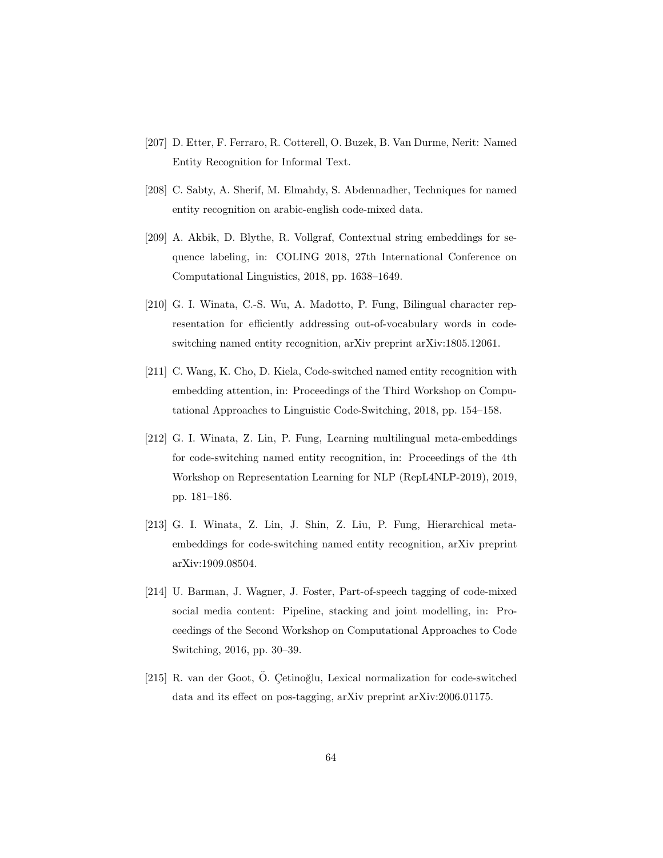- <span id="page-63-0"></span>[207] D. Etter, F. Ferraro, R. Cotterell, O. Buzek, B. Van Durme, Nerit: Named Entity Recognition for Informal Text.
- <span id="page-63-1"></span>[208] C. Sabty, A. Sherif, M. Elmahdy, S. Abdennadher, Techniques for named entity recognition on arabic-english code-mixed data.
- <span id="page-63-2"></span>[209] A. Akbik, D. Blythe, R. Vollgraf, Contextual string embeddings for sequence labeling, in: COLING 2018, 27th International Conference on Computational Linguistics, 2018, pp. 1638–1649.
- <span id="page-63-3"></span>[210] G. I. Winata, C.-S. Wu, A. Madotto, P. Fung, Bilingual character representation for efficiently addressing out-of-vocabulary words in codeswitching named entity recognition, arXiv preprint arXiv:1805.12061.
- <span id="page-63-4"></span>[211] C. Wang, K. Cho, D. Kiela, Code-switched named entity recognition with embedding attention, in: Proceedings of the Third Workshop on Computational Approaches to Linguistic Code-Switching, 2018, pp. 154–158.
- <span id="page-63-5"></span>[212] G. I. Winata, Z. Lin, P. Fung, Learning multilingual meta-embeddings for code-switching named entity recognition, in: Proceedings of the 4th Workshop on Representation Learning for NLP (RepL4NLP-2019), 2019, pp. 181–186.
- <span id="page-63-6"></span>[213] G. I. Winata, Z. Lin, J. Shin, Z. Liu, P. Fung, Hierarchical metaembeddings for code-switching named entity recognition, arXiv preprint arXiv:1909.08504.
- <span id="page-63-7"></span>[214] U. Barman, J. Wagner, J. Foster, Part-of-speech tagging of code-mixed social media content: Pipeline, stacking and joint modelling, in: Proceedings of the Second Workshop on Computational Approaches to Code Switching, 2016, pp. 30–39.
- <span id="page-63-8"></span> $[215]$  R. van der Goot, Ö. Cetinoğlu, Lexical normalization for code-switched data and its effect on pos-tagging, arXiv preprint arXiv:2006.01175.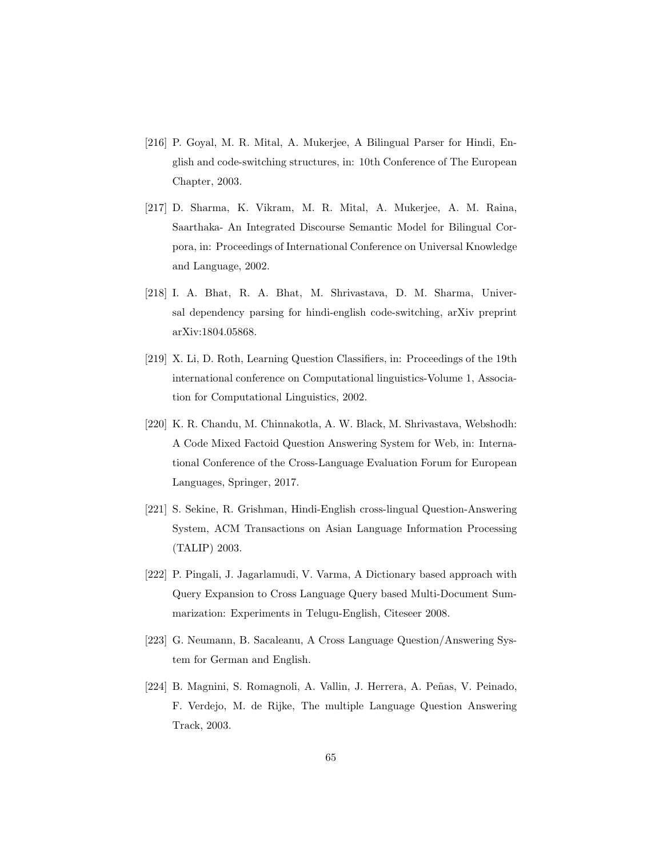- <span id="page-64-0"></span>[216] P. Goyal, M. R. Mital, A. Mukerjee, A Bilingual Parser for Hindi, English and code-switching structures, in: 10th Conference of The European Chapter, 2003.
- <span id="page-64-1"></span>[217] D. Sharma, K. Vikram, M. R. Mital, A. Mukerjee, A. M. Raina, Saarthaka- An Integrated Discourse Semantic Model for Bilingual Corpora, in: Proceedings of International Conference on Universal Knowledge and Language, 2002.
- <span id="page-64-2"></span>[218] I. A. Bhat, R. A. Bhat, M. Shrivastava, D. M. Sharma, Universal dependency parsing for hindi-english code-switching, arXiv preprint arXiv:1804.05868.
- <span id="page-64-3"></span>[219] X. Li, D. Roth, Learning Question Classifiers, in: Proceedings of the 19th international conference on Computational linguistics-Volume 1, Association for Computational Linguistics, 2002.
- <span id="page-64-4"></span>[220] K. R. Chandu, M. Chinnakotla, A. W. Black, M. Shrivastava, Webshodh: A Code Mixed Factoid Question Answering System for Web, in: International Conference of the Cross-Language Evaluation Forum for European Languages, Springer, 2017.
- <span id="page-64-5"></span>[221] S. Sekine, R. Grishman, Hindi-English cross-lingual Question-Answering System, ACM Transactions on Asian Language Information Processing (TALIP) 2003.
- <span id="page-64-6"></span>[222] P. Pingali, J. Jagarlamudi, V. Varma, A Dictionary based approach with Query Expansion to Cross Language Query based Multi-Document Summarization: Experiments in Telugu-English, Citeseer 2008.
- <span id="page-64-7"></span>[223] G. Neumann, B. Sacaleanu, A Cross Language Question/Answering System for German and English.
- <span id="page-64-8"></span>[224] B. Magnini, S. Romagnoli, A. Vallin, J. Herrera, A. Peñas, V. Peinado, F. Verdejo, M. de Rijke, The multiple Language Question Answering Track, 2003.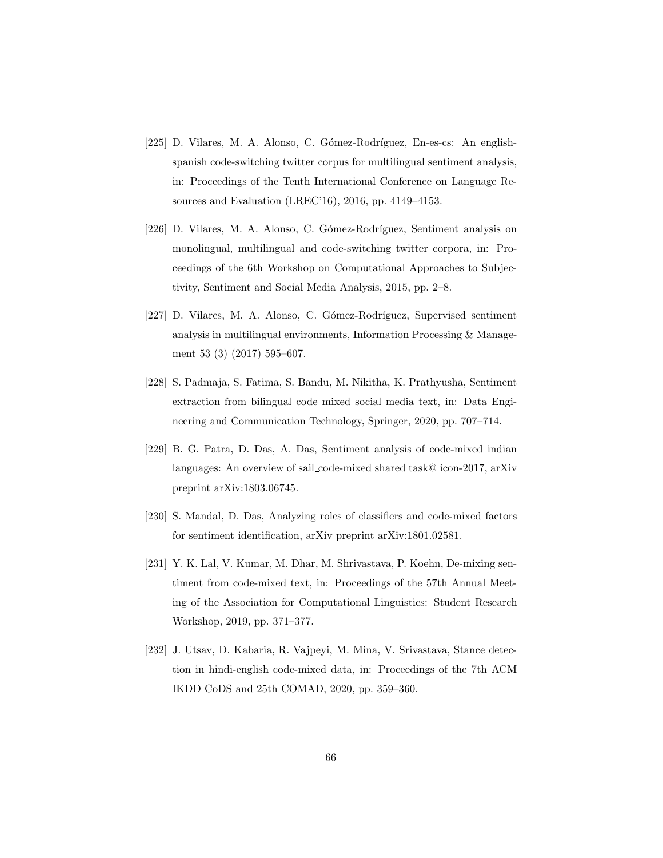- <span id="page-65-0"></span>[225] D. Vilares, M. A. Alonso, C. Gómez-Rodríguez, En-es-cs: An englishspanish code-switching twitter corpus for multilingual sentiment analysis, in: Proceedings of the Tenth International Conference on Language Resources and Evaluation (LREC'16), 2016, pp. 4149–4153.
- <span id="page-65-1"></span>[226] D. Vilares, M. A. Alonso, C. Gómez-Rodríguez, Sentiment analysis on monolingual, multilingual and code-switching twitter corpora, in: Proceedings of the 6th Workshop on Computational Approaches to Subjectivity, Sentiment and Social Media Analysis, 2015, pp. 2–8.
- <span id="page-65-2"></span>[227] D. Vilares, M. A. Alonso, C. Gómez-Rodríguez, Supervised sentiment analysis in multilingual environments, Information Processing & Management 53 (3) (2017) 595–607.
- <span id="page-65-3"></span>[228] S. Padmaja, S. Fatima, S. Bandu, M. Nikitha, K. Prathyusha, Sentiment extraction from bilingual code mixed social media text, in: Data Engineering and Communication Technology, Springer, 2020, pp. 707–714.
- <span id="page-65-4"></span>[229] B. G. Patra, D. Das, A. Das, Sentiment analysis of code-mixed indian languages: An overview of sail code-mixed shared task@ icon-2017, arXiv preprint arXiv:1803.06745.
- <span id="page-65-5"></span>[230] S. Mandal, D. Das, Analyzing roles of classifiers and code-mixed factors for sentiment identification, arXiv preprint arXiv:1801.02581.
- <span id="page-65-6"></span>[231] Y. K. Lal, V. Kumar, M. Dhar, M. Shrivastava, P. Koehn, De-mixing sentiment from code-mixed text, in: Proceedings of the 57th Annual Meeting of the Association for Computational Linguistics: Student Research Workshop, 2019, pp. 371–377.
- <span id="page-65-7"></span>[232] J. Utsav, D. Kabaria, R. Vajpeyi, M. Mina, V. Srivastava, Stance detection in hindi-english code-mixed data, in: Proceedings of the 7th ACM IKDD CoDS and 25th COMAD, 2020, pp. 359–360.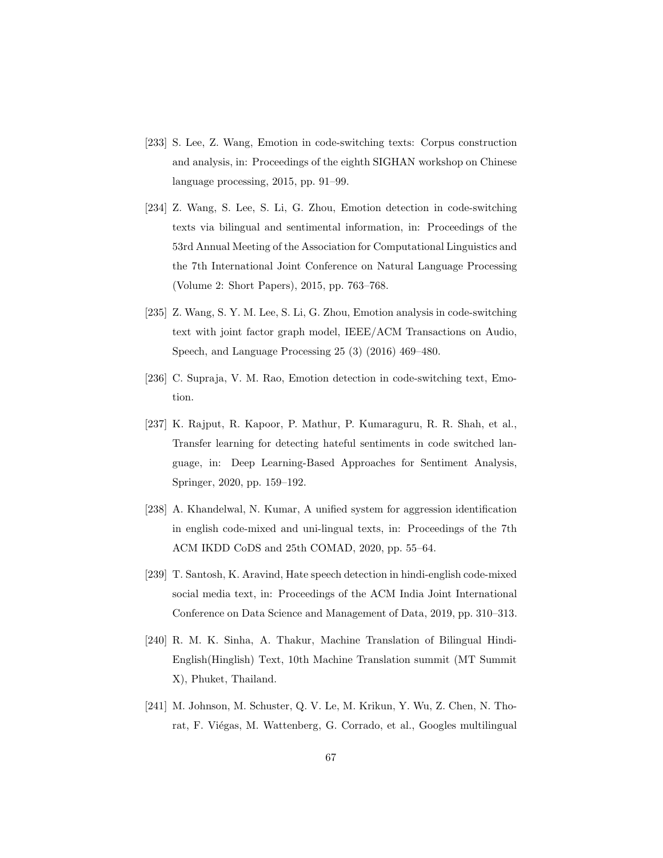- <span id="page-66-0"></span>[233] S. Lee, Z. Wang, Emotion in code-switching texts: Corpus construction and analysis, in: Proceedings of the eighth SIGHAN workshop on Chinese language processing, 2015, pp. 91–99.
- <span id="page-66-1"></span>[234] Z. Wang, S. Lee, S. Li, G. Zhou, Emotion detection in code-switching texts via bilingual and sentimental information, in: Proceedings of the 53rd Annual Meeting of the Association for Computational Linguistics and the 7th International Joint Conference on Natural Language Processing (Volume 2: Short Papers), 2015, pp. 763–768.
- <span id="page-66-2"></span>[235] Z. Wang, S. Y. M. Lee, S. Li, G. Zhou, Emotion analysis in code-switching text with joint factor graph model, IEEE/ACM Transactions on Audio, Speech, and Language Processing 25 (3) (2016) 469–480.
- <span id="page-66-3"></span>[236] C. Supraja, V. M. Rao, Emotion detection in code-switching text, Emotion.
- <span id="page-66-4"></span>[237] K. Rajput, R. Kapoor, P. Mathur, P. Kumaraguru, R. R. Shah, et al., Transfer learning for detecting hateful sentiments in code switched language, in: Deep Learning-Based Approaches for Sentiment Analysis, Springer, 2020, pp. 159–192.
- <span id="page-66-5"></span>[238] A. Khandelwal, N. Kumar, A unified system for aggression identification in english code-mixed and uni-lingual texts, in: Proceedings of the 7th ACM IKDD CoDS and 25th COMAD, 2020, pp. 55–64.
- <span id="page-66-6"></span>[239] T. Santosh, K. Aravind, Hate speech detection in hindi-english code-mixed social media text, in: Proceedings of the ACM India Joint International Conference on Data Science and Management of Data, 2019, pp. 310–313.
- <span id="page-66-7"></span>[240] R. M. K. Sinha, A. Thakur, Machine Translation of Bilingual Hindi-English(Hinglish) Text, 10th Machine Translation summit (MT Summit X), Phuket, Thailand.
- <span id="page-66-8"></span>[241] M. Johnson, M. Schuster, Q. V. Le, M. Krikun, Y. Wu, Z. Chen, N. Thorat, F. Viégas, M. Wattenberg, G. Corrado, et al., Googles multilingual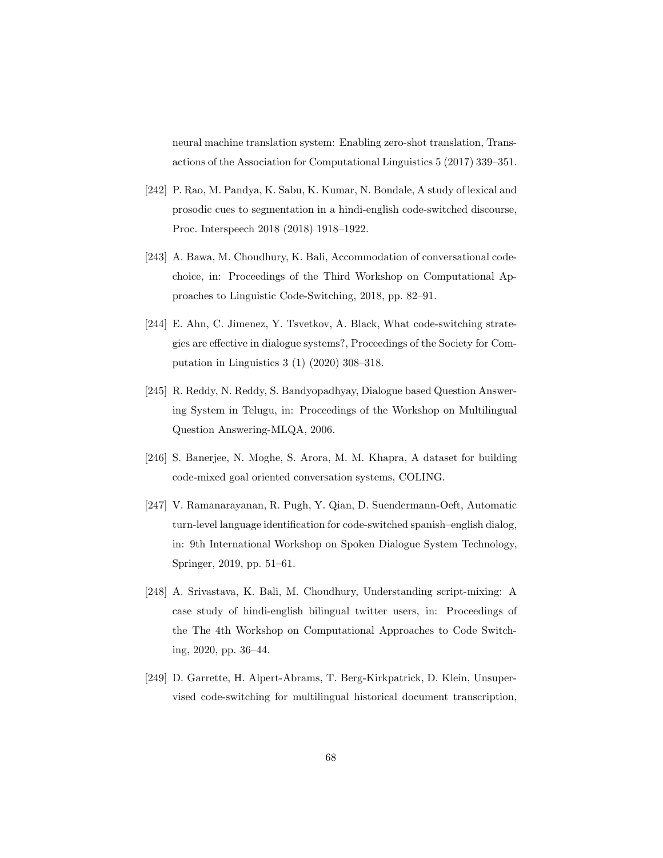neural machine translation system: Enabling zero-shot translation, Transactions of the Association for Computational Linguistics 5 (2017) 339–351.

- <span id="page-67-0"></span>[242] P. Rao, M. Pandya, K. Sabu, K. Kumar, N. Bondale, A study of lexical and prosodic cues to segmentation in a hindi-english code-switched discourse, Proc. Interspeech 2018 (2018) 1918–1922.
- <span id="page-67-1"></span>[243] A. Bawa, M. Choudhury, K. Bali, Accommodation of conversational codechoice, in: Proceedings of the Third Workshop on Computational Approaches to Linguistic Code-Switching, 2018, pp. 82–91.
- <span id="page-67-2"></span>[244] E. Ahn, C. Jimenez, Y. Tsvetkov, A. Black, What code-switching strategies are effective in dialogue systems?, Proceedings of the Society for Computation in Linguistics 3 (1) (2020) 308–318.
- <span id="page-67-3"></span>[245] R. Reddy, N. Reddy, S. Bandyopadhyay, Dialogue based Question Answering System in Telugu, in: Proceedings of the Workshop on Multilingual Question Answering-MLQA, 2006.
- <span id="page-67-4"></span>[246] S. Banerjee, N. Moghe, S. Arora, M. M. Khapra, A dataset for building code-mixed goal oriented conversation systems, COLING.
- <span id="page-67-5"></span>[247] V. Ramanarayanan, R. Pugh, Y. Qian, D. Suendermann-Oeft, Automatic turn-level language identification for code-switched spanish–english dialog, in: 9th International Workshop on Spoken Dialogue System Technology, Springer, 2019, pp. 51–61.
- <span id="page-67-6"></span>[248] A. Srivastava, K. Bali, M. Choudhury, Understanding script-mixing: A case study of hindi-english bilingual twitter users, in: Proceedings of the The 4th Workshop on Computational Approaches to Code Switching, 2020, pp. 36–44.
- <span id="page-67-7"></span>[249] D. Garrette, H. Alpert-Abrams, T. Berg-Kirkpatrick, D. Klein, Unsupervised code-switching for multilingual historical document transcription,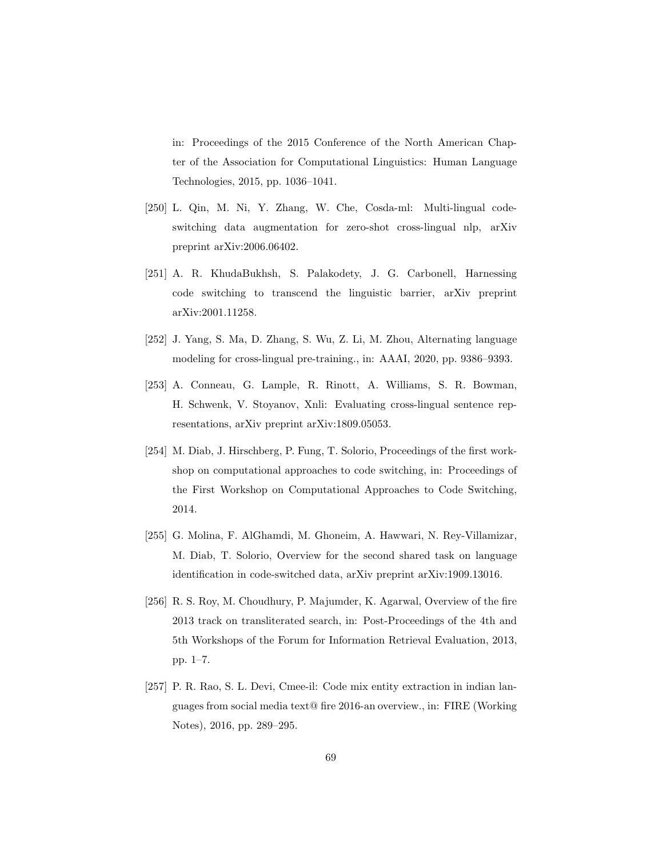in: Proceedings of the 2015 Conference of the North American Chapter of the Association for Computational Linguistics: Human Language Technologies, 2015, pp. 1036–1041.

- <span id="page-68-0"></span>[250] L. Qin, M. Ni, Y. Zhang, W. Che, Cosda-ml: Multi-lingual codeswitching data augmentation for zero-shot cross-lingual nlp, arXiv preprint arXiv:2006.06402.
- <span id="page-68-1"></span>[251] A. R. KhudaBukhsh, S. Palakodety, J. G. Carbonell, Harnessing code switching to transcend the linguistic barrier, arXiv preprint arXiv:2001.11258.
- <span id="page-68-2"></span>[252] J. Yang, S. Ma, D. Zhang, S. Wu, Z. Li, M. Zhou, Alternating language modeling for cross-lingual pre-training., in: AAAI, 2020, pp. 9386–9393.
- <span id="page-68-3"></span>[253] A. Conneau, G. Lample, R. Rinott, A. Williams, S. R. Bowman, H. Schwenk, V. Stoyanov, Xnli: Evaluating cross-lingual sentence representations, arXiv preprint arXiv:1809.05053.
- <span id="page-68-4"></span>[254] M. Diab, J. Hirschberg, P. Fung, T. Solorio, Proceedings of the first workshop on computational approaches to code switching, in: Proceedings of the First Workshop on Computational Approaches to Code Switching, 2014.
- <span id="page-68-5"></span>[255] G. Molina, F. AlGhamdi, M. Ghoneim, A. Hawwari, N. Rey-Villamizar, M. Diab, T. Solorio, Overview for the second shared task on language identification in code-switched data, arXiv preprint arXiv:1909.13016.
- <span id="page-68-6"></span>[256] R. S. Roy, M. Choudhury, P. Majumder, K. Agarwal, Overview of the fire 2013 track on transliterated search, in: Post-Proceedings of the 4th and 5th Workshops of the Forum for Information Retrieval Evaluation, 2013, pp. 1–7.
- <span id="page-68-7"></span>[257] P. R. Rao, S. L. Devi, Cmee-il: Code mix entity extraction in indian languages from social media text@ fire 2016-an overview., in: FIRE (Working Notes), 2016, pp. 289–295.